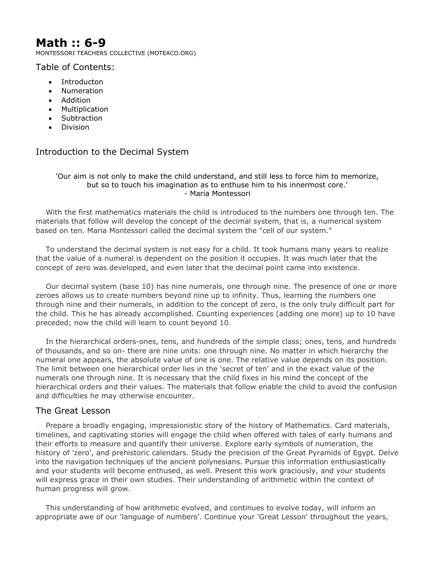# **Math :: 6-9**

MONTESSORI TEACHERS COLLECTIVE (MOTEACO.ORG)

Table of Contents:

- Introducton
- Numeration
- Addition
- Multiplication
- Subtraction
- Division

## Introduction to the Decimal System

#### 'Our aim is not only to make the child understand, and still less to force him to memorize, but so to touch his imagination as to enthuse him to his innermost core.' - Maria Montessori

 With the first mathematics materials the child is introduced to the numbers one through ten. The materials that follow will develop the concept of the decimal system, that is, a numerical system based on ten. Maria Montessori called the decimal system the "cell of our system."

 To understand the decimal system is not easy for a child. It took humans many years to realize that the value of a numeral is dependent on the position it occupies. It was much later that the concept of zero was developed, and even later that the decimal point came into existence.

 Our decimal system (base 10) has nine numerals, one through nine. The presence of one or more zeroes allows us to create numbers beyond nine up to infinity. Thus, learning the numbers one through nine and their numerals, in addition to the concept of zero, is the only truly difficult part for the child. This he has already accomplished. Counting experiences (adding one more) up to 10 have preceded; now the child will learn to count beyond 10.

 In the hierarchical orders-ones, tens, and hundreds of the simple class; ones, tens, and hundreds of thousands, and so on- there are nine units: one through nine. No matter in which hierarchy the numeral one appears, the absolute value of one is one. The relative value depends on its position. The limit between one hierarchical order lies in the 'secret of ten' and in the exact value of the numerals one through nine. It is necessary that the child fixes in his mind the concept of the hierarchical orders and their values. The materials that follow enable the child to avoid the confusion and difficulties he may otherwise encounter.

## The Great Lesson

 Prepare a broadly engaging, impressionistic story of the history of Mathematics. Card materials, timelines, and captivating stories will engage the child when offered with tales of early humans and their efforts to measure and quantify their universe. Explore early symbols of numeration, the history of 'zero', and prehistoric calendars. Study the precision of the Great Pyramids of Egypt. Delve into the navigation techniques of the ancient polynesians. Pursue this information enthusiastically and your students will become enthused, as well. Present this work graciously, and your students will express grace in their own studies. Their understanding of arithmetic within the context of human progress will grow.

 This understanding of how arithmetic evolved, and continues to evolve today, will inform an appropriate awe of our 'language of numbers'. Continue your 'Great Lesson' throughout the years,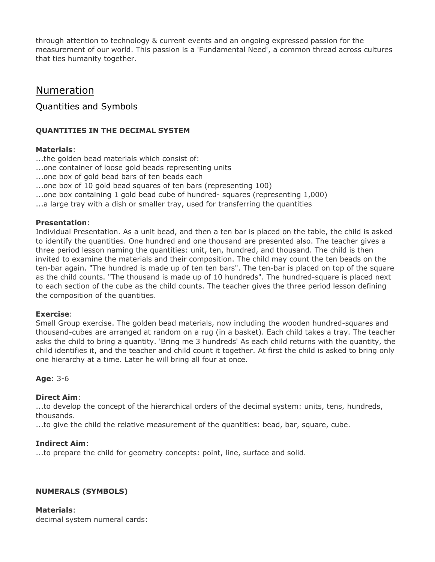through attention to technology & current events and an ongoing expressed passion for the measurement of our world. This passion is a 'Fundamental Need', a common thread across cultures that ties humanity together.

## Numeration

Quantities and Symbols

## **QUANTITIES IN THE DECIMAL SYSTEM**

## **Materials**:

- ...the golden bead materials which consist of:
- ...one container of loose gold beads representing units
- ...one box of gold bead bars of ten beads each
- ...one box of 10 gold bead squares of ten bars (representing 100)
- ...one box containing 1 gold bead cube of hundred- squares (representing 1,000)
- ...a large tray with a dish or smaller tray, used for transferring the quantities

## **Presentation**:

Individual Presentation. As a unit bead, and then a ten bar is placed on the table, the child is asked to identify the quantities. One hundred and one thousand are presented also. The teacher gives a three period lesson naming the quantities: unit, ten, hundred, and thousand. The child is then invited to examine the materials and their composition. The child may count the ten beads on the ten-bar again. "The hundred is made up of ten ten bars". The ten-bar is placed on top of the square as the child counts. "The thousand is made up of 10 hundreds". The hundred-square is placed next to each section of the cube as the child counts. The teacher gives the three period lesson defining the composition of the quantities.

#### **Exercise**:

Small Group exercise. The golden bead materials, now including the wooden hundred-squares and thousand-cubes are arranged at random on a rug (in a basket). Each child takes a tray. The teacher asks the child to bring a quantity. 'Bring me 3 hundreds' As each child returns with the quantity, the child identifies it, and the teacher and child count it together. At first the child is asked to bring only one hierarchy at a time. Later he will bring all four at once.

## **Age**: 3-6

## **Direct Aim**:

...to develop the concept of the hierarchical orders of the decimal system: units, tens, hundreds, thousands.

...to give the child the relative measurement of the quantities: bead, bar, square, cube.

## **Indirect Aim**:

...to prepare the child for geometry concepts: point, line, surface and solid.

## **NUMERALS (SYMBOLS)**

**Materials**: decimal system numeral cards: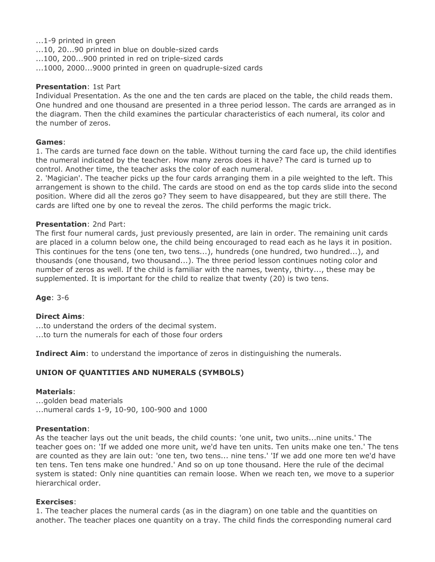#### ...1-9 printed in green

- ...10, 20...90 printed in blue on double-sized cards
- ...100, 200...900 printed in red on triple-sized cards
- ...1000, 2000...9000 printed in green on quadruple-sized cards

#### **Presentation**: 1st Part

Individual Presentation. As the one and the ten cards are placed on the table, the child reads them. One hundred and one thousand are presented in a three period lesson. The cards are arranged as in the diagram. Then the child examines the particular characteristics of each numeral, its color and the number of zeros.

#### **Games**:

1. The cards are turned face down on the table. Without turning the card face up, the child identifies the numeral indicated by the teacher. How many zeros does it have? The card is turned up to control. Another time, the teacher asks the color of each numeral.

2. 'Magician'. The teacher picks up the four cards arranging them in a pile weighted to the left. This arrangement is shown to the child. The cards are stood on end as the top cards slide into the second position. Where did all the zeros go? They seem to have disappeared, but they are still there. The cards are lifted one by one to reveal the zeros. The child performs the magic trick.

#### **Presentation**: 2nd Part:

The first four numeral cards, just previously presented, are lain in order. The remaining unit cards are placed in a column below one, the child being encouraged to read each as he lays it in position. This continues for the tens (one ten, two tens...), hundreds (one hundred, two hundred...), and thousands (one thousand, two thousand...). The three period lesson continues noting color and number of zeros as well. If the child is familiar with the names, twenty, thirty..., these may be supplemented. It is important for the child to realize that twenty (20) is two tens.

#### **Age**: 3-6

#### **Direct Aims**:

...to understand the orders of the decimal system.

...to turn the numerals for each of those four orders

**Indirect Aim**: to understand the importance of zeros in distinguishing the numerals.

## **UNION OF QUANTITIES AND NUMERALS (SYMBOLS)**

#### **Materials**:

...golden bead materials ...numeral cards 1-9, 10-90, 100-900 and 1000

#### **Presentation**:

As the teacher lays out the unit beads, the child counts: 'one unit, two units...nine units.' The teacher goes on: 'If we added one more unit, we'd have ten units. Ten units make one ten.' The tens are counted as they are lain out: 'one ten, two tens... nine tens.' 'If we add one more ten we'd have ten tens. Ten tens make one hundred.' And so on up tone thousand. Here the rule of the decimal system is stated: Only nine quantities can remain loose. When we reach ten, we move to a superior hierarchical order.

#### **Exercises**:

1. The teacher places the numeral cards (as in the diagram) on one table and the quantities on another. The teacher places one quantity on a tray. The child finds the corresponding numeral card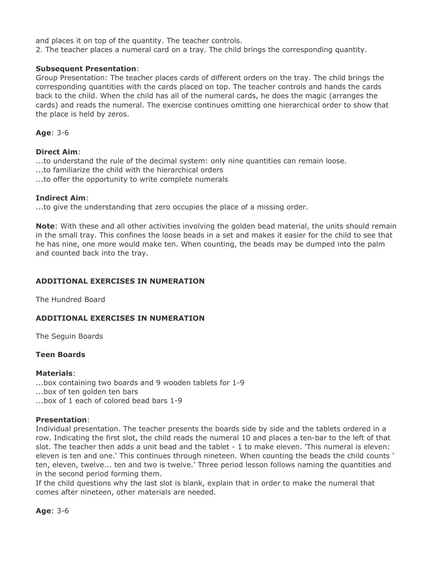and places it on top of the quantity. The teacher controls.

2. The teacher places a numeral card on a tray. The child brings the corresponding quantity.

#### **Subsequent Presentation**:

Group Presentation: The teacher places cards of different orders on the tray. The child brings the corresponding quantities with the cards placed on top. The teacher controls and hands the cards back to the child. When the child has all of the numeral cards, he does the magic (arranges the cards) and reads the numeral. The exercise continues omitting one hierarchical order to show that the place is held by zeros.

**Age**: 3-6

#### **Direct Aim**:

...to understand the rule of the decimal system: only nine quantities can remain loose.

...to familiarize the child with the hierarchical orders

...to offer the opportunity to write complete numerals

#### **Indirect Aim**:

...to give the understanding that zero occupies the place of a missing order.

**Note**: With these and all other activities involving the golden bead material, the units should remain in the small tray. This confines the loose beads in a set and makes it easier for the child to see that he has nine, one more would make ten. When counting, the beads may be dumped into the palm and counted back into the tray.

#### **ADDITIONAL EXERCISES IN NUMERATION**

The Hundred Board

#### **ADDITIONAL EXERCISES IN NUMERATION**

The Seguin Boards

#### **Teen Boards**

#### **Materials**:

...box containing two boards and 9 wooden tablets for 1-9 ...box of ten golden ten bars ...box of 1 each of colored bead bars 1-9

#### **Presentation**:

Individual presentation. The teacher presents the boards side by side and the tablets ordered in a row. Indicating the first slot, the child reads the numeral 10 and places a ten-bar to the left of that slot. The teacher then adds a unit bead and the tablet - 1 to make eleven. 'This numeral is eleven: eleven is ten and one.' This continues through nineteen. When counting the beads the child counts ' ten, eleven, twelve... ten and two is twelve.' Three period lesson follows naming the quantities and in the second period forming them.

If the child questions why the last slot is blank, explain that in order to make the numeral that comes after nineteen, other materials are needed.

**Age**: 3-6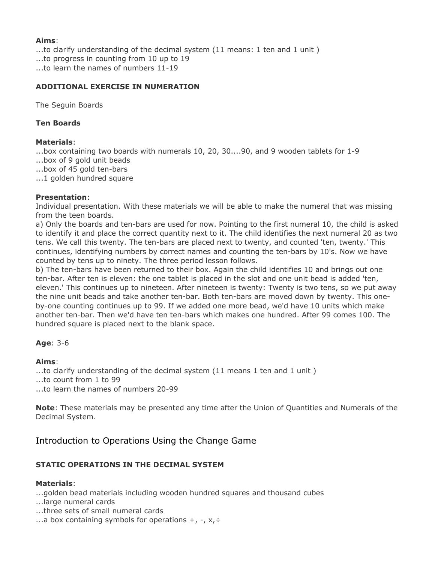#### **Aims**:

...to clarify understanding of the decimal system (11 means: 1 ten and 1 unit ) ...to progress in counting from 10 up to 19 ...to learn the names of numbers 11-19

#### **ADDITIONAL EXERCISE IN NUMERATION**

The Seguin Boards

## **Ten Boards**

#### **Materials**:

...box containing two boards with numerals 10, 20, 30....90, and 9 wooden tablets for 1-9

- ...box of 9 gold unit beads
- ...box of 45 gold ten-bars
- ...1 golden hundred square

#### **Presentation**:

Individual presentation. With these materials we will be able to make the numeral that was missing from the teen boards.

a) Only the boards and ten-bars are used for now. Pointing to the first numeral 10, the child is asked to identify it and place the correct quantity next to it. The child identifies the next numeral 20 as two tens. We call this twenty. The ten-bars are placed next to twenty, and counted 'ten, twenty.' This continues, identifying numbers by correct names and counting the ten-bars by 10's. Now we have counted by tens up to ninety. The three period lesson follows.

b) The ten-bars have been returned to their box. Again the child identifies 10 and brings out one ten-bar. After ten is eleven: the one tablet is placed in the slot and one unit bead is added 'ten, eleven.' This continues up to nineteen. After nineteen is twenty: Twenty is two tens, so we put away the nine unit beads and take another ten-bar. Both ten-bars are moved down by twenty. This oneby-one counting continues up to 99. If we added one more bead, we'd have 10 units which make another ten-bar. Then we'd have ten ten-bars which makes one hundred. After 99 comes 100. The hundred square is placed next to the blank space.

## **Age**: 3-6

#### **Aims**:

...to clarify understanding of the decimal system (11 means 1 ten and 1 unit ) ...to count from 1 to 99 ...to learn the names of numbers 20-99

**Note**: These materials may be presented any time after the Union of Quantities and Numerals of the Decimal System.

## Introduction to Operations Using the Change Game

## **STATIC OPERATIONS IN THE DECIMAL SYSTEM**

## **Materials**:

...golden bead materials including wooden hundred squares and thousand cubes

- ...large numeral cards
- ...three sets of small numeral cards
- ...a box containing symbols for operations  $+$ ,  $-$ ,  $x$ ,  $\div$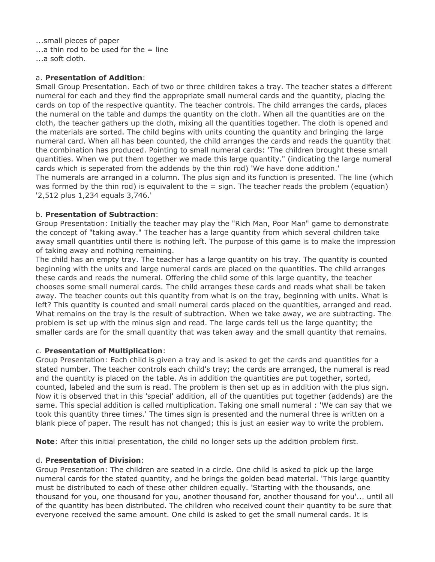...small pieces of paper  $\ldots$ a thin rod to be used for the = line ...a soft cloth.

#### a. **Presentation of Addition**:

Small Group Presentation. Each of two or three children takes a tray. The teacher states a different numeral for each and they find the appropriate small numeral cards and the quantity, placing the cards on top of the respective quantity. The teacher controls. The child arranges the cards, places the numeral on the table and dumps the quantity on the cloth. When all the quantities are on the cloth, the teacher gathers up the cloth, mixing all the quantities together. The cloth is opened and the materials are sorted. The child begins with units counting the quantity and bringing the large numeral card. When all has been counted, the child arranges the cards and reads the quantity that the combination has produced. Pointing to small numeral cards: 'The children brought these small quantities. When we put them together we made this large quantity." (indicating the large numeral cards which is seperated from the addends by the thin rod) 'We have done addition.'

The numerals are arranged in a column. The plus sign and its function is presented. The line (which was formed by the thin rod) is equivalent to the = sign. The teacher reads the problem (equation) '2,512 plus 1,234 equals 3,746.'

#### b. **Presentation of Subtraction**:

Group Presentation: Initially the teacher may play the "Rich Man, Poor Man" game to demonstrate the concept of "taking away." The teacher has a large quantity from which several children take away small quantities until there is nothing left. The purpose of this game is to make the impression of taking away and nothing remaining.

The child has an empty tray. The teacher has a large quantity on his tray. The quantity is counted beginning with the units and large numeral cards are placed on the quantities. The child arranges these cards and reads the numeral. Offering the child some of this large quantity, the teacher chooses some small numeral cards. The child arranges these cards and reads what shall be taken away. The teacher counts out this quantity from what is on the tray, beginning with units. What is left? This quantity is counted and small numeral cards placed on the quantities, arranged and read. What remains on the tray is the result of subtraction. When we take away, we are subtracting. The problem is set up with the minus sign and read. The large cards tell us the large quantity; the smaller cards are for the small quantity that was taken away and the small quantity that remains.

#### c. **Presentation of Multiplication**:

Group Presentation: Each child is given a tray and is asked to get the cards and quantities for a stated number. The teacher controls each child's tray; the cards are arranged, the numeral is read and the quantity is placed on the table. As in addition the quantities are put together, sorted, counted, labeled and the sum is read. The problem is then set up as in addition with the plus sign. Now it is observed that in this 'special' addition, all of the quantities put together (addends) are the same. This special addition is called multiplication. Taking one small numeral : 'We can say that we took this quantity three times.' The times sign is presented and the numeral three is written on a blank piece of paper. The result has not changed; this is just an easier way to write the problem.

**Note**: After this initial presentation, the child no longer sets up the addition problem first.

#### d. **Presentation of Division**:

Group Presentation: The children are seated in a circle. One child is asked to pick up the large numeral cards for the stated quantity, and he brings the golden bead material. 'This large quantity must be distributed to each of these other children equally. 'Starting with the thousands, one thousand for you, one thousand for you, another thousand for, another thousand for you'... until all of the quantity has been distributed. The children who received count their quantity to be sure that everyone received the same amount. One child is asked to get the small numeral cards. It is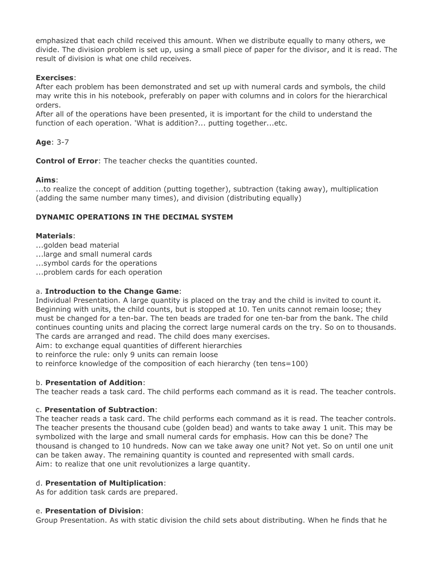emphasized that each child received this amount. When we distribute equally to many others, we divide. The division problem is set up, using a small piece of paper for the divisor, and it is read. The result of division is what one child receives.

## **Exercises**:

After each problem has been demonstrated and set up with numeral cards and symbols, the child may write this in his notebook, preferably on paper with columns and in colors for the hierarchical orders.

After all of the operations have been presented, it is important for the child to understand the function of each operation. 'What is addition?... putting together...etc.

## **Age**: 3-7

**Control of Error**: The teacher checks the quantities counted.

## **Aims**:

...to realize the concept of addition (putting together), subtraction (taking away), multiplication (adding the same number many times), and division (distributing equally)

## **DYNAMIC OPERATIONS IN THE DECIMAL SYSTEM**

## **Materials**:

- ...golden bead material
- ...large and small numeral cards
- ...symbol cards for the operations
- ...problem cards for each operation

## a. **Introduction to the Change Game**:

Individual Presentation. A large quantity is placed on the tray and the child is invited to count it. Beginning with units, the child counts, but is stopped at 10. Ten units cannot remain loose; they must be changed for a ten-bar. The ten beads are traded for one ten-bar from the bank. The child continues counting units and placing the correct large numeral cards on the try. So on to thousands. The cards are arranged and read. The child does many exercises.

Aim: to exchange equal quantities of different hierarchies

to reinforce the rule: only 9 units can remain loose

to reinforce knowledge of the composition of each hierarchy (ten tens=100)

## b. **Presentation of Addition**:

The teacher reads a task card. The child performs each command as it is read. The teacher controls.

## c. **Presentation of Subtraction**:

The teacher reads a task card. The child performs each command as it is read. The teacher controls. The teacher presents the thousand cube (golden bead) and wants to take away 1 unit. This may be symbolized with the large and small numeral cards for emphasis. How can this be done? The thousand is changed to 10 hundreds. Now can we take away one unit? Not yet. So on until one unit can be taken away. The remaining quantity is counted and represented with small cards. Aim: to realize that one unit revolutionizes a large quantity.

## d. **Presentation of Multiplication**:

As for addition task cards are prepared.

#### e. **Presentation of Division**:

Group Presentation. As with static division the child sets about distributing. When he finds that he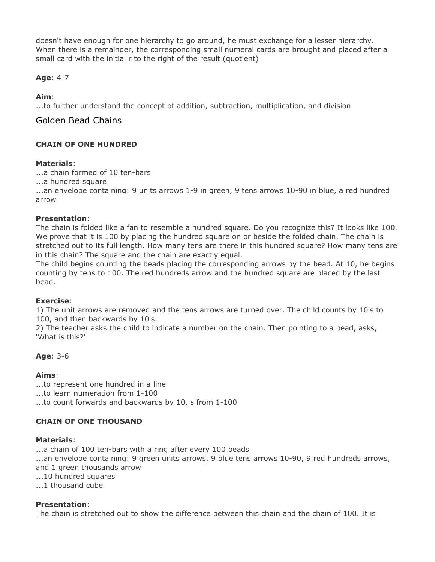doesn't have enough for one hierarchy to go around, he must exchange for a lesser hierarchy. When there is a remainder, the corresponding small numeral cards are brought and placed after a small card with the initial r to the right of the result (quotient)

## **Age**: 4-7

## **Aim**:

...to further understand the concept of addition, subtraction, multiplication, and division

## Golden Bead Chains

## **CHAIN OF ONE HUNDRED**

## **Materials**:

...a chain formed of 10 ten-bars

...a hundred square

...an envelope containing: 9 units arrows 1-9 in green, 9 tens arrows 10-90 in blue, a red hundred arrow

## **Presentation**:

The chain is folded like a fan to resemble a hundred square. Do you recognize this? It looks like 100. We prove that it is 100 by placing the hundred square on or beside the folded chain. The chain is stretched out to its full length. How many tens are there in this hundred square? How many tens are in this chain? The square and the chain are exactly equal.

The child begins counting the beads placing the corresponding arrows by the bead. At 10, he begins counting by tens to 100. The red hundreds arrow and the hundred square are placed by the last bead.

## **Exercise**:

1) The unit arrows are removed and the tens arrows are turned over. The child counts by 10's to 100, and then backwards by 10's.

2) The teacher asks the child to indicate a number on the chain. Then pointing to a bead, asks, 'What is this?'

## **Age**: 3-6

## **Aims**:

...to represent one hundred in a line ...to learn numeration from 1-100 ...to count forwards and backwards by 10, s from 1-100

## **CHAIN OF ONE THOUSAND**

#### **Materials**:

...a chain of 100 ten-bars with a ring after every 100 beads ...an envelope containing: 9 green units arrows, 9 blue tens arrows 10-90, 9 red hundreds arrows, and 1 green thousands arrow ...10 hundred squares ...1 thousand cube

#### **Presentation**:

The chain is stretched out to show the difference between this chain and the chain of 100. It is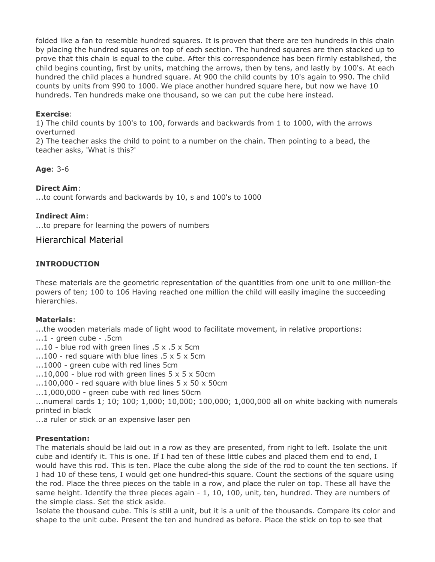folded like a fan to resemble hundred squares. It is proven that there are ten hundreds in this chain by placing the hundred squares on top of each section. The hundred squares are then stacked up to prove that this chain is equal to the cube. After this correspondence has been firmly established, the child begins counting, first by units, matching the arrows, then by tens, and lastly by 100's. At each hundred the child places a hundred square. At 900 the child counts by 10's again to 990. The child counts by units from 990 to 1000. We place another hundred square here, but now we have 10 hundreds. Ten hundreds make one thousand, so we can put the cube here instead.

## **Exercise**:

1) The child counts by 100's to 100, forwards and backwards from 1 to 1000, with the arrows overturned

2) The teacher asks the child to point to a number on the chain. Then pointing to a bead, the teacher asks, 'What is this?'

**Age**: 3-6

#### **Direct Aim**:

...to count forwards and backwards by 10, s and 100's to 1000

#### **Indirect Aim**:

...to prepare for learning the powers of numbers

## Hierarchical Material

## **INTRODUCTION**

These materials are the geometric representation of the quantities from one unit to one million-the powers of ten; 100 to 106 Having reached one million the child will easily imagine the succeeding hierarchies.

#### **Materials**:

...the wooden materials made of light wood to facilitate movement, in relative proportions:

- ...1 green cube .5cm
- ...10 blue rod with green lines .5 x .5 x 5cm
- ...100 red square with blue lines .5 x 5 x 5cm
- ...1000 green cube with red lines 5cm
- $\dots$ 10,000 blue rod with green lines 5 x 5 x 50cm
- $\dots$ 100,000 red square with blue lines 5 x 50 x 50cm
- ...1,000,000 green cube with red lines 50cm

...numeral cards 1; 10; 100; 1,000; 10,000; 100,000; 1,000,000 all on white backing with numerals printed in black

...a ruler or stick or an expensive laser pen

#### **Presentation:**

The materials should be laid out in a row as they are presented, from right to left. Isolate the unit cube and identify it. This is one. If I had ten of these little cubes and placed them end to end, I would have this rod. This is ten. Place the cube along the side of the rod to count the ten sections. If I had 10 of these tens, I would get one hundred-this square. Count the sections of the square using the rod. Place the three pieces on the table in a row, and place the ruler on top. These all have the same height. Identify the three pieces again - 1, 10, 100, unit, ten, hundred. They are numbers of the simple class. Set the stick aside.

Isolate the thousand cube. This is still a unit, but it is a unit of the thousands. Compare its color and shape to the unit cube. Present the ten and hundred as before. Place the stick on top to see that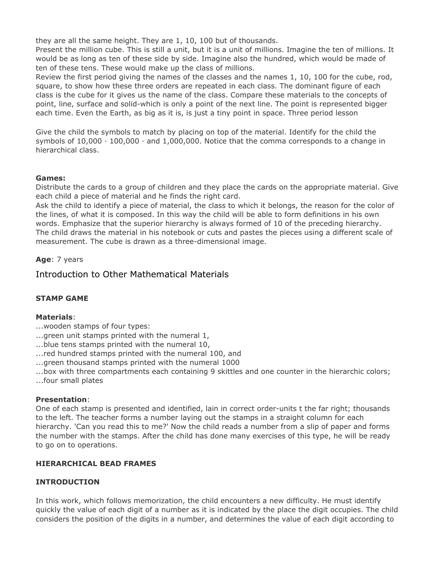they are all the same height. They are 1, 10, 100 but of thousands.

Present the million cube. This is still a unit, but it is a unit of millions. Imagine the ten of millions. It would be as long as ten of these side by side. Imagine also the hundred, which would be made of ten of these tens. These would make up the class of millions.

Review the first period giving the names of the classes and the names 1, 10, 100 for the cube, rod, square, to show how these three orders are repeated in each class. The dominant figure of each class is the cube for it gives us the name of the class. Compare these materials to the concepts of point, line, surface and solid-which is only a point of the next line. The point is represented bigger each time. Even the Earth, as big as it is, is just a tiny point in space. Three period lesson

Give the child the symbols to match by placing on top of the material. Identify for the child the symbols of  $10,000 \cdot 100,000 \cdot$  and  $1,000,000$ . Notice that the comma corresponds to a change in hierarchical class.

#### **Games:**

Distribute the cards to a group of children and they place the cards on the appropriate material. Give each child a piece of material and he finds the right card.

Ask the child to identify a piece of material, the class to which it belongs, the reason for the color of the lines, of what it is composed. In this way the child will be able to form definitions in his own words. Emphasize that the superior hierarchy is always formed of 10 of the preceding hierarchy. The child draws the material in his notebook or cuts and pastes the pieces using a different scale of measurement. The cube is drawn as a three-dimensional image.

#### **Age**: 7 years

## Introduction to Other Mathematical Materials

## **STAMP GAME**

#### **Materials**:

- ...wooden stamps of four types:
- ...green unit stamps printed with the numeral 1,
- ...blue tens stamps printed with the numeral 10,
- ...red hundred stamps printed with the numeral 100, and

...green thousand stamps printed with the numeral 1000

...box with three compartments each containing 9 skittles and one counter in the hierarchic colors; ...four small plates

#### **Presentation**:

One of each stamp is presented and identified, lain in correct order-units t the far right; thousands to the left. The teacher forms a number laying out the stamps in a straight column for each hierarchy. 'Can you read this to me?' Now the child reads a number from a slip of paper and forms the number with the stamps. After the child has done many exercises of this type, he will be ready to go on to operations.

#### **HIERARCHICAL BEAD FRAMES**

#### **INTRODUCTION**

In this work, which follows memorization, the child encounters a new difficulty. He must identify quickly the value of each digit of a number as it is indicated by the place the digit occupies. The child considers the position of the digits in a number, and determines the value of each digit according to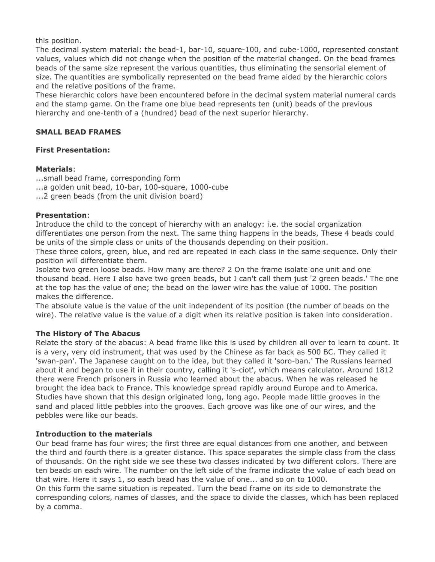this position.

The decimal system material: the bead-1, bar-10, square-100, and cube-1000, represented constant values, values which did not change when the position of the material changed. On the bead frames beads of the same size represent the various quantities, thus eliminating the sensorial element of size. The quantities are symbolically represented on the bead frame aided by the hierarchic colors and the relative positions of the frame.

These hierarchic colors have been encountered before in the decimal system material numeral cards and the stamp game. On the frame one blue bead represents ten (unit) beads of the previous hierarchy and one-tenth of a (hundred) bead of the next superior hierarchy.

#### **SMALL BEAD FRAMES**

#### **First Presentation:**

#### **Materials**:

...small bead frame, corresponding form

- ...a golden unit bead, 10-bar, 100-square, 1000-cube
- ...2 green beads (from the unit division board)

#### **Presentation**:

Introduce the child to the concept of hierarchy with an analogy: i.e. the social organization differentiates one person from the next. The same thing happens in the beads, These 4 beads could be units of the simple class or units of the thousands depending on their position.

These three colors, green, blue, and red are repeated in each class in the same sequence. Only their position will differentiate them.

Isolate two green loose beads. How many are there? 2 On the frame isolate one unit and one thousand bead. Here I also have two green beads, but I can't call them just '2 green beads.' The one at the top has the value of one; the bead on the lower wire has the value of 1000. The position makes the difference.

The absolute value is the value of the unit independent of its position (the number of beads on the wire). The relative value is the value of a digit when its relative position is taken into consideration.

## **The History of The Abacus**

Relate the story of the abacus: A bead frame like this is used by children all over to learn to count. It is a very, very old instrument, that was used by the Chinese as far back as 500 BC. They called it 'swan-pan'. The Japanese caught on to the idea, but they called it 'soro-ban.' The Russians learned about it and began to use it in their country, calling it 's-ciot', which means calculator. Around 1812 there were French prisoners in Russia who learned about the abacus. When he was released he brought the idea back to France. This knowledge spread rapidly around Europe and to America. Studies have shown that this design originated long, long ago. People made little grooves in the sand and placed little pebbles into the grooves. Each groove was like one of our wires, and the pebbles were like our beads.

#### **Introduction to the materials**

Our bead frame has four wires; the first three are equal distances from one another, and between the third and fourth there is a greater distance. This space separates the simple class from the class of thousands. On the right side we see these two classes indicated by two different colors. There are ten beads on each wire. The number on the left side of the frame indicate the value of each bead on that wire. Here it says 1, so each bead has the value of one... and so on to 1000.

On this form the same situation is repeated. Turn the bead frame on its side to demonstrate the corresponding colors, names of classes, and the space to divide the classes, which has been replaced by a comma.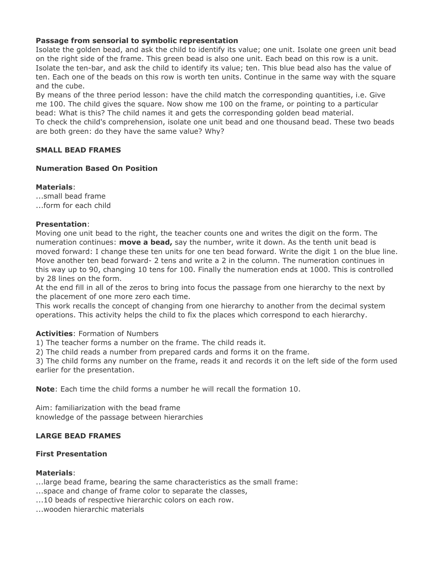#### **Passage from sensorial to symbolic representation**

Isolate the golden bead, and ask the child to identify its value; one unit. Isolate one green unit bead on the right side of the frame. This green bead is also one unit. Each bead on this row is a unit. Isolate the ten-bar, and ask the child to identify its value; ten. This blue bead also has the value of ten. Each one of the beads on this row is worth ten units. Continue in the same way with the square and the cube.

By means of the three period lesson: have the child match the corresponding quantities, i.e. Give me 100. The child gives the square. Now show me 100 on the frame, or pointing to a particular bead: What is this? The child names it and gets the corresponding golden bead material. To check the child's comprehension, isolate one unit bead and one thousand bead. These two beads are both green: do they have the same value? Why?

## **SMALL BEAD FRAMES**

#### **Numeration Based On Position**

**Materials**: ...small bead frame ...form for each child

#### **Presentation**:

Moving one unit bead to the right, the teacher counts one and writes the digit on the form. The numeration continues: **move a bead,** say the number, write it down. As the tenth unit bead is moved forward: I change these ten units for one ten bead forward. Write the digit 1 on the blue line. Move another ten bead forward- 2 tens and write a 2 in the column. The numeration continues in this way up to 90, changing 10 tens for 100. Finally the numeration ends at 1000. This is controlled by 28 lines on the form.

At the end fill in all of the zeros to bring into focus the passage from one hierarchy to the next by the placement of one more zero each time.

This work recalls the concept of changing from one hierarchy to another from the decimal system operations. This activity helps the child to fix the places which correspond to each hierarchy.

#### **Activities**: Formation of Numbers

1) The teacher forms a number on the frame. The child reads it.

2) The child reads a number from prepared cards and forms it on the frame.

3) The child forms any number on the frame, reads it and records it on the left side of the form used earlier for the presentation.

**Note**: Each time the child forms a number he will recall the formation 10.

Aim: familiarization with the bead frame knowledge of the passage between hierarchies

## **LARGE BEAD FRAMES**

#### **First Presentation**

#### **Materials**:

...large bead frame, bearing the same characteristics as the small frame:

...space and change of frame color to separate the classes,

...10 beads of respective hierarchic colors on each row.

...wooden hierarchic materials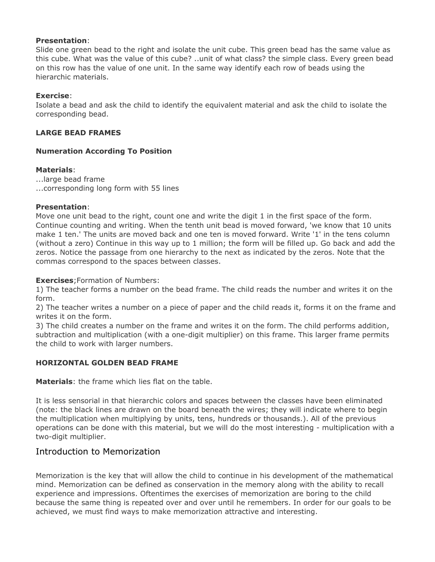#### **Presentation**:

Slide one green bead to the right and isolate the unit cube. This green bead has the same value as this cube. What was the value of this cube? ..unit of what class? the simple class. Every green bead on this row has the value of one unit. In the same way identify each row of beads using the hierarchic materials.

#### **Exercise**:

Isolate a bead and ask the child to identify the equivalent material and ask the child to isolate the corresponding bead.

#### **LARGE BEAD FRAMES**

#### **Numeration According To Position**

#### **Materials**:

...large bead frame ...corresponding long form with 55 lines

#### **Presentation**:

Move one unit bead to the right, count one and write the digit 1 in the first space of the form. Continue counting and writing. When the tenth unit bead is moved forward, 'we know that 10 units make 1 ten.' The units are moved back and one ten is moved forward. Write '1' in the tens column (without a zero) Continue in this way up to 1 million; the form will be filled up. Go back and add the zeros. Notice the passage from one hierarchy to the next as indicated by the zeros. Note that the commas correspond to the spaces between classes.

**Exercises**;Formation of Numbers:

1) The teacher forms a number on the bead frame. The child reads the number and writes it on the form.

2) The teacher writes a number on a piece of paper and the child reads it, forms it on the frame and writes it on the form.

3) The child creates a number on the frame and writes it on the form. The child performs addition, subtraction and multiplication (with a one-digit multiplier) on this frame. This larger frame permits the child to work with larger numbers.

## **HORIZONTAL GOLDEN BEAD FRAME**

**Materials**: the frame which lies flat on the table.

It is less sensorial in that hierarchic colors and spaces between the classes have been eliminated (note: the black lines are drawn on the board beneath the wires; they will indicate where to begin the multiplication when multiplying by units, tens, hundreds or thousands.). All of the previous operations can be done with this material, but we will do the most interesting - multiplication with a two-digit multiplier.

## Introduction to Memorization

Memorization is the key that will allow the child to continue in his development of the mathematical mind. Memorization can be defined as conservation in the memory along with the ability to recall experience and impressions. Oftentimes the exercises of memorization are boring to the child because the same thing is repeated over and over until he remembers. In order for our goals to be achieved, we must find ways to make memorization attractive and interesting.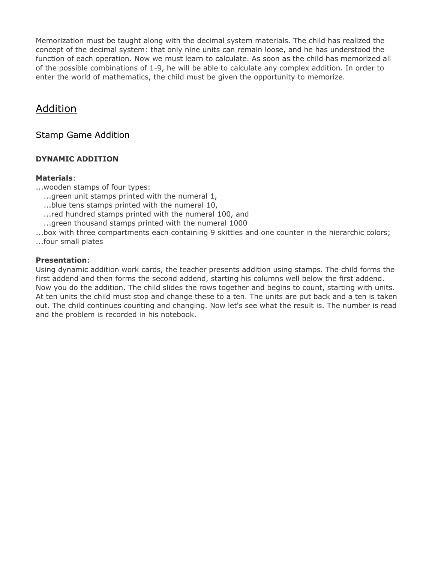Memorization must be taught along with the decimal system materials. The child has realized the concept of the decimal system: that only nine units can remain loose, and he has understood the function of each operation. Now we must learn to calculate. As soon as the child has memorized all of the possible combinations of 1-9, he will be able to calculate any complex addition. In order to enter the world of mathematics, the child must be given the opportunity to memorize.

## Addition

## Stamp Game Addition

## **DYNAMIC ADDITION**

#### **Materials**:

...wooden stamps of four types:

- ...qreen unit stamps printed with the numeral 1,
- ......blue tens stamps printed with the numeral 10,
- ...red hundred stamps printed with the numeral 100, and
- ......green thousand stamps printed with the numeral 1000

...box with three compartments each containing 9 skittles and one counter in the hierarchic colors; ...four small plates

#### **Presentation**:

Using dynamic addition work cards, the teacher presents addition using stamps. The child forms the first addend and then forms the second addend, starting his columns well below the first addend. Now you do the addition. The child slides the rows together and begins to count, starting with units. At ten units the child must stop and change these to a ten. The units are put back and a ten is taken out. The child continues counting and changing. Now let's see what the result is. The number is read and the problem is recorded in his notebook.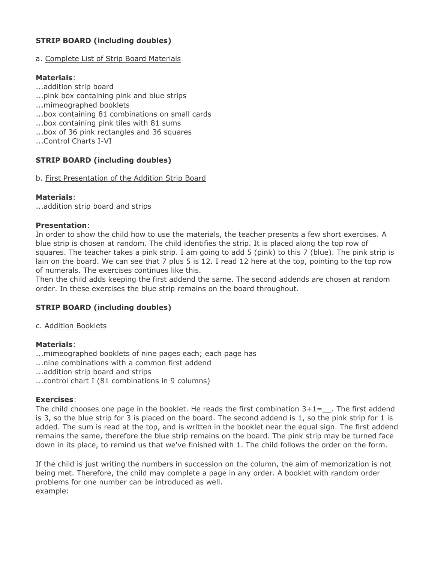## **STRIP BOARD (including doubles)**

#### a. Complete List of Strip Board Materials

#### **Materials**:

- ...addition strip board
- ...pink box containing pink and blue strips
- ...mimeographed booklets
- ...box containing 81 combinations on small cards
- ...box containing pink tiles with 81 sums
- ...box of 36 pink rectangles and 36 squares
- ...Control Charts I-VI

## **STRIP BOARD (including doubles)**

#### b. First Presentation of the Addition Strip Board

## **Materials**:

...addition strip board and strips

#### **Presentation**:

In order to show the child how to use the materials, the teacher presents a few short exercises. A blue strip is chosen at random. The child identifies the strip. It is placed along the top row of squares. The teacher takes a pink strip. I am going to add 5 (pink) to this 7 (blue). The pink strip is lain on the board. We can see that 7 plus 5 is 12. I read 12 here at the top, pointing to the top row of numerals. The exercises continues like this.

Then the child adds keeping the first addend the same. The second addends are chosen at random order. In these exercises the blue strip remains on the board throughout.

## **STRIP BOARD (including doubles)**

c. Addition Booklets

## **Materials**:

...mimeographed booklets of nine pages each; each page has ...nine combinations with a common first addend ...addition strip board and strips ...control chart I (81 combinations in 9 columns)

## **Exercises**:

The child chooses one page in the booklet. He reads the first combination  $3+1=-$ . The first addend is 3, so the blue strip for 3 is placed on the board. The second addend is 1, so the pink strip for 1 is added. The sum is read at the top, and is written in the booklet near the equal sign. The first addend remains the same, therefore the blue strip remains on the board. The pink strip may be turned face down in its place, to remind us that we've finished with 1. The child follows the order on the form.

If the child is just writing the numbers in succession on the column, the aim of memorization is not being met. Therefore, the child may complete a page in any order. A booklet with random order problems for one number can be introduced as well. example: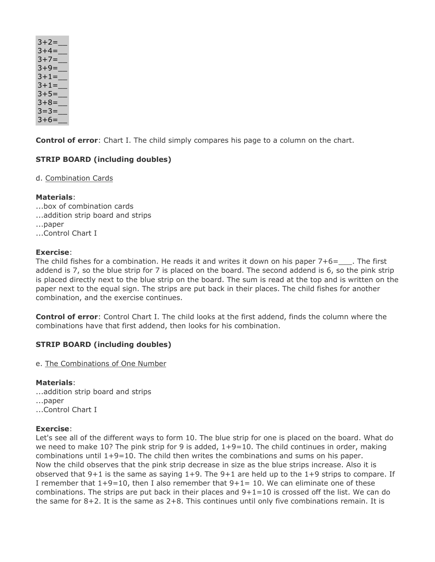| $3+2=$ |
|--------|
| $3+4=$ |
| $3+7=$ |
| $3+9=$ |
| $3+1=$ |
| $3+1=$ |
| $3+5=$ |
| $3+8=$ |
| $3=3=$ |
| $3+6=$ |

**Control of error**: Chart I. The child simply compares his page to a column on the chart.

## **STRIP BOARD (including doubles)**

d. Combination Cards

## **Materials**:

...box of combination cards ...addition strip board and strips ...paper ...Control Chart I

## **Exercise**:

The child fishes for a combination. He reads it and writes it down on his paper  $7+6=$ . The first addend is 7, so the blue strip for 7 is placed on the board. The second addend is 6, so the pink strip is placed directly next to the blue strip on the board. The sum is read at the top and is written on the paper next to the equal sign. The strips are put back in their places. The child fishes for another combination, and the exercise continues.

**Control of error**: Control Chart I. The child looks at the first addend, finds the column where the combinations have that first addend, then looks for his combination.

## **STRIP BOARD (including doubles)**

e. The Combinations of One Number

## **Materials**:

...addition strip board and strips ...paper ...Control Chart I

## **Exercise**:

Let's see all of the different ways to form 10. The blue strip for one is placed on the board. What do we need to make 10? The pink strip for 9 is added,  $1+9=10$ . The child continues in order, making combinations until 1+9=10. The child then writes the combinations and sums on his paper. Now the child observes that the pink strip decrease in size as the blue strips increase. Also it is observed that  $9+1$  is the same as saying  $1+9$ . The  $9+1$  are held up to the  $1+9$  strips to compare. If I remember that  $1+9=10$ , then I also remember that  $9+1=10$ . We can eliminate one of these combinations. The strips are put back in their places and  $9+1=10$  is crossed off the list. We can do the same for  $8+2$ . It is the same as  $2+8$ . This continues until only five combinations remain. It is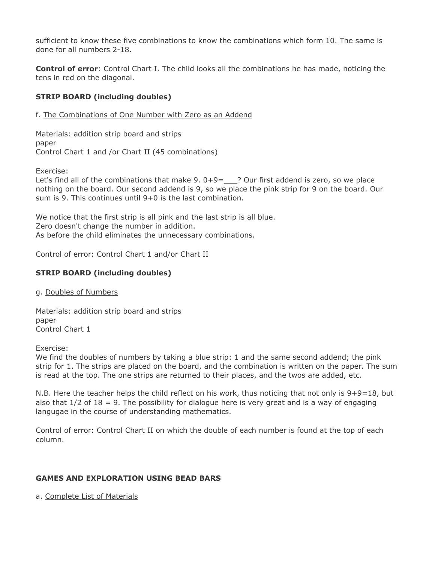sufficient to know these five combinations to know the combinations which form 10. The same is done for all numbers 2-18.

**Control of error**: Control Chart I. The child looks all the combinations he has made, noticing the tens in red on the diagonal.

## **STRIP BOARD (including doubles)**

f. The Combinations of One Number with Zero as an Addend

Materials: addition strip board and strips paper Control Chart 1 and /or Chart II (45 combinations)

Exercise:

Let's find all of the combinations that make 9.  $0+9=$  ? Our first addend is zero, so we place nothing on the board. Our second addend is 9, so we place the pink strip for 9 on the board. Our sum is 9. This continues until 9+0 is the last combination.

We notice that the first strip is all pink and the last strip is all blue. Zero doesn't change the number in addition. As before the child eliminates the unnecessary combinations.

Control of error: Control Chart 1 and/or Chart II

## **STRIP BOARD (including doubles)**

g. Doubles of Numbers

Materials: addition strip board and strips paper Control Chart 1

Exercise:

We find the doubles of numbers by taking a blue strip: 1 and the same second addend; the pink strip for 1. The strips are placed on the board, and the combination is written on the paper. The sum is read at the top. The one strips are returned to their places, and the twos are added, etc.

N.B. Here the teacher helps the child reflect on his work, thus noticing that not only is 9+9=18, but also that  $1/2$  of  $18 = 9$ . The possibility for dialogue here is very great and is a way of engaging langugae in the course of understanding mathematics.

Control of error: Control Chart II on which the double of each number is found at the top of each column.

## **GAMES AND EXPLORATION USING BEAD BARS**

a. Complete List of Materials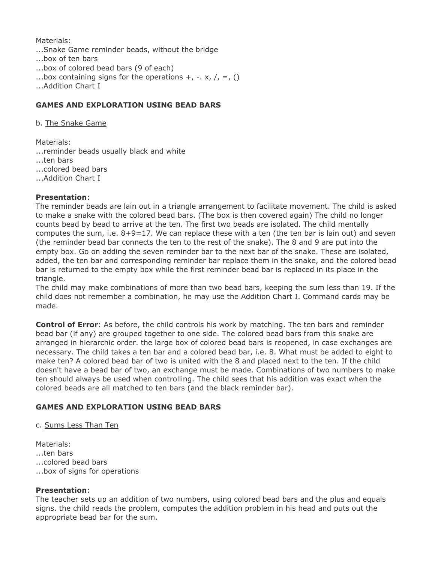Materials:

...Snake Game reminder beads, without the bridge

- ...box of ten bars
- ...box of colored bead bars (9 of each)
- ...box containing signs for the operations  $+$ ,  $-$ ,  $\times$ ,  $/$ ,  $=$ , ()
- ...Addition Chart I

## **GAMES AND EXPLORATION USING BEAD BARS**

b. The Snake Game

Materials:

...reminder beads usually black and white

...ten bars

...colored bead bars

...Addition Chart I

#### **Presentation**:

The reminder beads are lain out in a triangle arrangement to facilitate movement. The child is asked to make a snake with the colored bead bars. (The box is then covered again) The child no longer counts bead by bead to arrive at the ten. The first two beads are isolated. The child mentally computes the sum, i.e.  $8+9=17$ . We can replace these with a ten (the ten bar is lain out) and seven (the reminder bead bar connects the ten to the rest of the snake). The 8 and 9 are put into the empty box. Go on adding the seven reminder bar to the next bar of the snake. These are isolated, added, the ten bar and corresponding reminder bar replace them in the snake, and the colored bead bar is returned to the empty box while the first reminder bead bar is replaced in its place in the triangle.

The child may make combinations of more than two bead bars, keeping the sum less than 19. If the child does not remember a combination, he may use the Addition Chart I. Command cards may be made.

**Control of Error**: As before, the child controls his work by matching. The ten bars and reminder bead bar (if any) are grouped together to one side. The colored bead bars from this snake are arranged in hierarchic order. the large box of colored bead bars is reopened, in case exchanges are necessary. The child takes a ten bar and a colored bead bar, i.e. 8. What must be added to eight to make ten? A colored bead bar of two is united with the 8 and placed next to the ten. If the child doesn't have a bead bar of two, an exchange must be made. Combinations of two numbers to make ten should always be used when controlling. The child sees that his addition was exact when the colored beads are all matched to ten bars (and the black reminder bar).

## **GAMES AND EXPLORATION USING BEAD BARS**

c. Sums Less Than Ten

Materials: ...ten bars ...colored bead bars ...box of signs for operations

#### **Presentation**:

The teacher sets up an addition of two numbers, using colored bead bars and the plus and equals signs. the child reads the problem, computes the addition problem in his head and puts out the appropriate bead bar for the sum.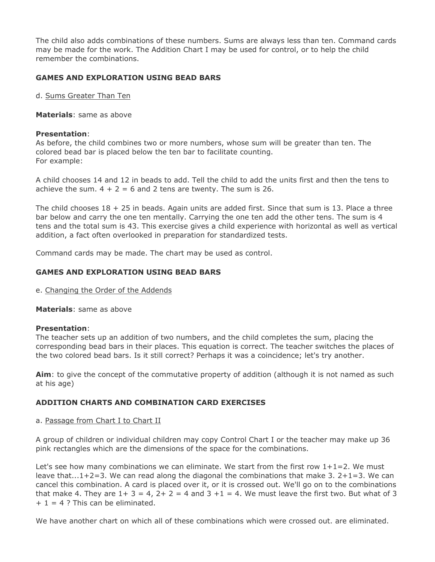The child also adds combinations of these numbers. Sums are always less than ten. Command cards may be made for the work. The Addition Chart I may be used for control, or to help the child remember the combinations.

## **GAMES AND EXPLORATION USING BEAD BARS**

d. Sums Greater Than Ten

**Materials**: same as above

#### **Presentation**:

As before, the child combines two or more numbers, whose sum will be greater than ten. The colored bead bar is placed below the ten bar to facilitate counting. For example:

A child chooses 14 and 12 in beads to add. Tell the child to add the units first and then the tens to achieve the sum.  $4 + 2 = 6$  and 2 tens are twenty. The sum is 26.

The child chooses  $18 + 25$  in beads. Again units are added first. Since that sum is 13. Place a three bar below and carry the one ten mentally. Carrying the one ten add the other tens. The sum is 4 tens and the total sum is 43. This exercise gives a child experience with horizontal as well as vertical addition, a fact often overlooked in preparation for standardized tests.

Command cards may be made. The chart may be used as control.

## **GAMES AND EXPLORATION USING BEAD BARS**

e. Changing the Order of the Addends

**Materials**: same as above

## **Presentation**:

The teacher sets up an addition of two numbers, and the child completes the sum, placing the corresponding bead bars in their places. This equation is correct. The teacher switches the places of the two colored bead bars. Is it still correct? Perhaps it was a coincidence; let's try another.

**Aim**: to give the concept of the commutative property of addition (although it is not named as such at his age)

## **ADDITION CHARTS AND COMBINATION CARD EXERCISES**

a. Passage from Chart I to Chart II

A group of children or individual children may copy Control Chart I or the teacher may make up 36 pink rectangles which are the dimensions of the space for the combinations.

Let's see how many combinations we can eliminate. We start from the first row  $1+1=2$ . We must leave that...1+2=3. We can read along the diagonal the combinations that make 3. 2+1=3. We can cancel this combination. A card is placed over it, or it is crossed out. We'll go on to the combinations that make 4. They are  $1+ 3 = 4$ ,  $2+ 2 = 4$  and  $3 + 1 = 4$ . We must leave the first two. But what of 3  $+ 1 = 4$  ? This can be eliminated.

We have another chart on which all of these combinations which were crossed out. are eliminated.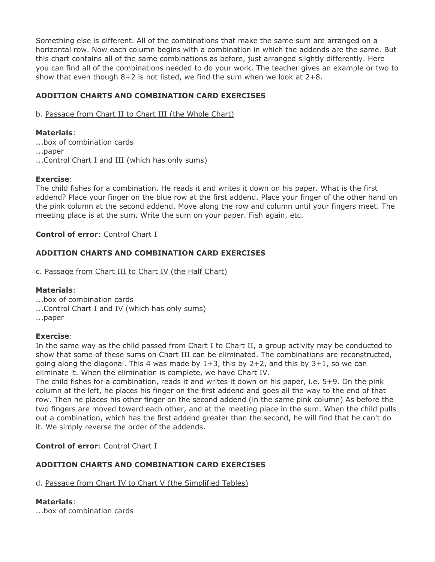Something else is different. All of the combinations that make the same sum are arranged on a horizontal row. Now each column begins with a combination in which the addends are the same. But this chart contains all of the same combinations as before, just arranged slightly differently. Here you can find all of the combinations needed to do your work. The teacher gives an example or two to show that even though  $8+2$  is not listed, we find the sum when we look at  $2+8$ .

## **ADDITION CHARTS AND COMBINATION CARD EXERCISES**

b. Passage from Chart II to Chart III (the Whole Chart)

## **Materials**:

- ...box of combination cards
- ...paper
- ...Control Chart I and III (which has only sums)

## **Exercise**:

The child fishes for a combination. He reads it and writes it down on his paper. What is the first addend? Place your finger on the blue row at the first addend. Place your finger of the other hand on the pink column at the second addend. Move along the row and column until your fingers meet. The meeting place is at the sum. Write the sum on your paper. Fish again, etc.

## **Control of error**: Control Chart I

## **ADDITION CHARTS AND COMBINATION CARD EXERCISES**

c. Passage from Chart III to Chart IV (the Half Chart)

## **Materials**:

- ...box of combination cards
- ...Control Chart I and IV (which has only sums)
- ...paper

## **Exercise**:

In the same way as the child passed from Chart I to Chart II, a group activity may be conducted to show that some of these sums on Chart III can be eliminated. The combinations are reconstructed, going along the diagonal. This 4 was made by  $1+3$ , this by  $2+2$ , and this by  $3+1$ , so we can eliminate it. When the elimination is complete, we have Chart IV.

The child fishes for a combination, reads it and writes it down on his paper, i.e. 5+9. On the pink column at the left, he places his finger on the first addend and goes all the way to the end of that row. Then he places his other finger on the second addend (in the same pink column) As before the two fingers are moved toward each other, and at the meeting place in the sum. When the child pulls out a combination, which has the first addend greater than the second, he will find that he can't do it. We simply reverse the order of the addends.

## **Control of error**: Control Chart I

## **ADDITION CHARTS AND COMBINATION CARD EXERCISES**

d. Passage from Chart IV to Chart V (the Simplified Tables)

## **Materials**:

...box of combination cards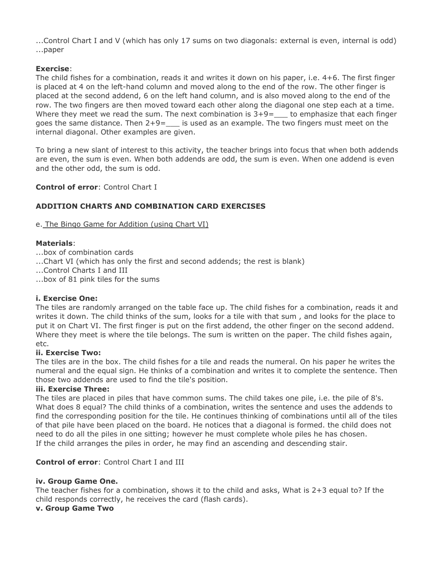...Control Chart I and V (which has only 17 sums on two diagonals: external is even, internal is odd) ...paper

## **Exercise**:

The child fishes for a combination, reads it and writes it down on his paper, i.e. 4+6. The first finger is placed at 4 on the left-hand column and moved along to the end of the row. The other finger is placed at the second addend, 6 on the left hand column, and is also moved along to the end of the row. The two fingers are then moved toward each other along the diagonal one step each at a time. Where they meet we read the sum. The next combination is  $3+9=$  to emphasize that each finger goes the same distance. Then  $2+9=$  is used as an example. The two fingers must meet on the internal diagonal. Other examples are given.

To bring a new slant of interest to this activity, the teacher brings into focus that when both addends are even, the sum is even. When both addends are odd, the sum is even. When one addend is even and the other odd, the sum is odd.

## **Control of error**: Control Chart I

## **ADDITION CHARTS AND COMBINATION CARD EXERCISES**

e. The Bingo Game for Addition (using Chart VI)

#### **Materials**:

...box of combination cards

- ...Chart VI (which has only the first and second addends; the rest is blank)
- ...Control Charts I and III
- ...box of 81 pink tiles for the sums

## **i. Exercise One:**

The tiles are randomly arranged on the table face up. The child fishes for a combination, reads it and writes it down. The child thinks of the sum, looks for a tile with that sum , and looks for the place to put it on Chart VI. The first finger is put on the first addend, the other finger on the second addend. Where they meet is where the tile belongs. The sum is written on the paper. The child fishes again, etc.

#### **ii. Exercise Two:**

The tiles are in the box. The child fishes for a tile and reads the numeral. On his paper he writes the numeral and the equal sign. He thinks of a combination and writes it to complete the sentence. Then those two addends are used to find the tile's position.

#### **iii. Exercise Three:**

The tiles are placed in piles that have common sums. The child takes one pile, i.e. the pile of 8's. What does 8 equal? The child thinks of a combination, writes the sentence and uses the addends to find the corresponding position for the tile. He continues thinking of combinations until all of the tiles of that pile have been placed on the board. He notices that a diagonal is formed. the child does not need to do all the piles in one sitting; however he must complete whole piles he has chosen. If the child arranges the piles in order, he may find an ascending and descending stair.

## **Control of error**: Control Chart I and III

## **iv. Group Game One.**

The teacher fishes for a combination, shows it to the child and asks, What is 2+3 equal to? If the child responds correctly, he receives the card (flash cards).

#### **v. Group Game Two**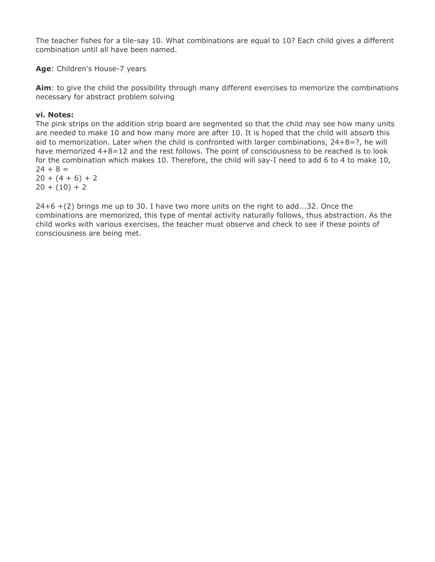The teacher fishes for a tile-say 10. What combinations are equal to 10? Each child gives a different combination until all have been named.

**Age**: Children's House-7 years

**Aim**: to give the child the possibility through many different exercises to memorize the combinations necessary for abstract problem solving

#### **vi. Notes:**

The pink strips on the addition strip board are segmented so that the child may see how many units are needed to make 10 and how many more are after 10. It is hoped that the child will absorb this aid to memorization. Later when the child is confronted with larger combinations, 24+8=?, he will have memorized  $4+8=12$  and the rest follows. The point of consciousness to be reached is to look for the combination which makes 10. Therefore, the child will say-I need to add 6 to 4 to make 10,  $24 + 8 =$ 

 $20 + (4 + 6) + 2$  $20 + (10) + 2$ 

 $24+6$  +(2) brings me up to 30. I have two more units on the right to add...32. Once the combinations are memorized, this type of mental activity naturally follows, thus abstraction. As the child works with various exercises, the teacher must observe and check to see if these points of consciousness are being met.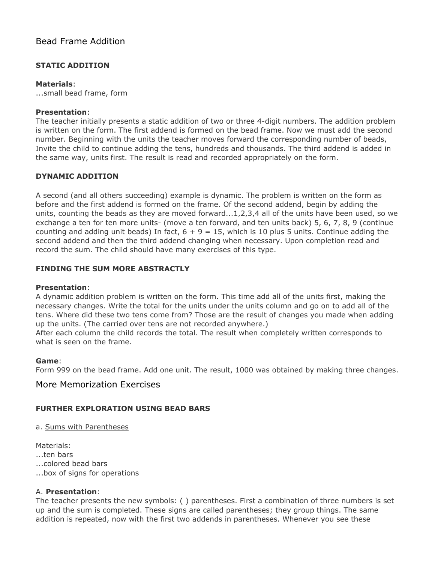## Bead Frame Addition

## **STATIC ADDITION**

#### **Materials**:

...small bead frame, form

#### **Presentation**:

The teacher initially presents a static addition of two or three 4-digit numbers. The addition problem is written on the form. The first addend is formed on the bead frame. Now we must add the second number. Beginning with the units the teacher moves forward the corresponding number of beads, Invite the child to continue adding the tens, hundreds and thousands. The third addend is added in the same way, units first. The result is read and recorded appropriately on the form.

## **DYNAMIC ADDITION**

A second (and all others succeeding) example is dynamic. The problem is written on the form as before and the first addend is formed on the frame. Of the second addend, begin by adding the units, counting the beads as they are moved forward...1,2,3,4 all of the units have been used, so we exchange a ten for ten more units- (move a ten forward, and ten units back) 5, 6, 7, 8, 9 (continue counting and adding unit beads) In fact,  $6 + 9 = 15$ , which is 10 plus 5 units. Continue adding the second addend and then the third addend changing when necessary. Upon completion read and record the sum. The child should have many exercises of this type.

## **FINDING THE SUM MORE ABSTRACTLY**

## **Presentation**:

A dynamic addition problem is written on the form. This time add all of the units first, making the necessary changes. Write the total for the units under the units column and go on to add all of the tens. Where did these two tens come from? Those are the result of changes you made when adding up the units. (The carried over tens are not recorded anywhere.)

After each column the child records the total. The result when completely written corresponds to what is seen on the frame.

#### **Game**:

Form 999 on the bead frame. Add one unit. The result, 1000 was obtained by making three changes.

## More Memorization Exercises

## **FURTHER EXPLORATION USING BEAD BARS**

#### a. Sums with Parentheses

Materials: ...ten bars ...colored bead bars ...box of signs for operations

## A. **Presentation**:

The teacher presents the new symbols: ( ) parentheses. First a combination of three numbers is set up and the sum is completed. These signs are called parentheses; they group things. The same addition is repeated, now with the first two addends in parentheses. Whenever you see these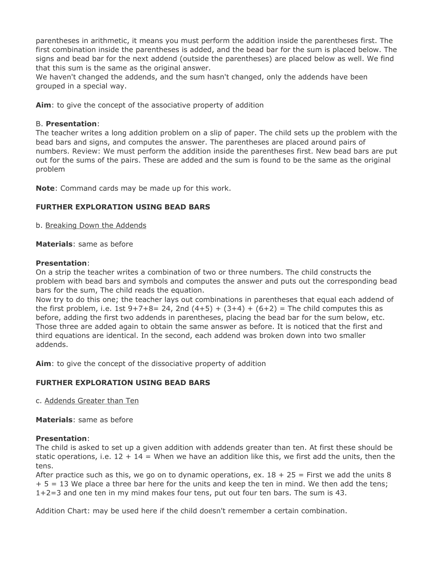parentheses in arithmetic, it means you must perform the addition inside the parentheses first. The first combination inside the parentheses is added, and the bead bar for the sum is placed below. The signs and bead bar for the next addend (outside the parentheses) are placed below as well. We find that this sum is the same as the original answer.

We haven't changed the addends, and the sum hasn't changed, only the addends have been grouped in a special way.

**Aim**: to give the concept of the associative property of addition

#### B. **Presentation**:

The teacher writes a long addition problem on a slip of paper. The child sets up the problem with the bead bars and signs, and computes the answer. The parentheses are placed around pairs of numbers. Review: We must perform the addition inside the parentheses first. New bead bars are put out for the sums of the pairs. These are added and the sum is found to be the same as the original problem

**Note**: Command cards may be made up for this work.

## **FURTHER EXPLORATION USING BEAD BARS**

b. Breaking Down the Addends

**Materials**: same as before

#### **Presentation**:

On a strip the teacher writes a combination of two or three numbers. The child constructs the problem with bead bars and symbols and computes the answer and puts out the corresponding bead bars for the sum, The child reads the equation.

Now try to do this one; the teacher lays out combinations in parentheses that equal each addend of the first problem, i.e. 1st  $9+7+8= 24$ , 2nd  $(4+5) + (3+4) + (6+2) =$  The child computes this as before, adding the first two addends in parentheses, placing the bead bar for the sum below, etc. Those three are added again to obtain the same answer as before. It is noticed that the first and third equations are identical. In the second, each addend was broken down into two smaller addends.

**Aim**: to give the concept of the dissociative property of addition

## **FURTHER EXPLORATION USING BEAD BARS**

c. Addends Greater than Ten

**Materials**: same as before

## **Presentation**:

The child is asked to set up a given addition with addends greater than ten. At first these should be static operations, i.e.  $12 + 14 =$  When we have an addition like this, we first add the units, then the tens.

After practice such as this, we go on to dynamic operations, ex.  $18 + 25 =$  First we add the units 8  $+ 5 = 13$  We place a three bar here for the units and keep the ten in mind. We then add the tens; 1+2=3 and one ten in my mind makes four tens, put out four ten bars. The sum is 43.

Addition Chart: may be used here if the child doesn't remember a certain combination.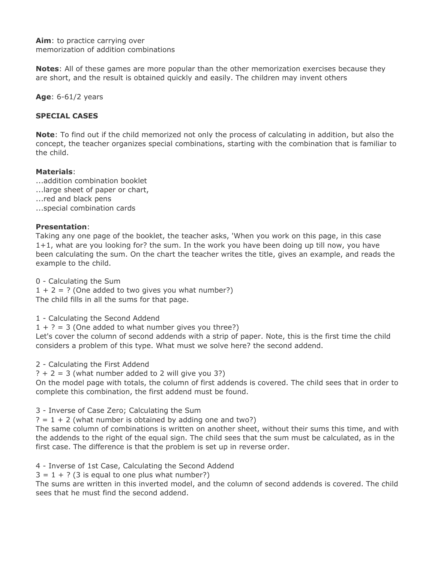**Aim**: to practice carrying over memorization of addition combinations

**Notes**: All of these games are more popular than the other memorization exercises because they are short, and the result is obtained quickly and easily. The children may invent others

**Age**: 6-61/2 years

#### **SPECIAL CASES**

**Note**: To find out if the child memorized not only the process of calculating in addition, but also the concept, the teacher organizes special combinations, starting with the combination that is familiar to the child.

#### **Materials**:

- ...addition combination booklet
- ...large sheet of paper or chart,
- ...red and black pens
- ...special combination cards

#### **Presentation**:

Taking any one page of the booklet, the teacher asks, 'When you work on this page, in this case 1+1, what are you looking for? the sum. In the work you have been doing up till now, you have been calculating the sum. On the chart the teacher writes the title, gives an example, and reads the example to the child.

0 - Calculating the Sum

 $1 + 2 = ?$  (One added to two gives you what number?) The child fills in all the sums for that page.

1 - Calculating the Second Addend

 $1 + ? = 3$  (One added to what number gives you three?)

Let's cover the column of second addends with a strip of paper. Note, this is the first time the child considers a problem of this type. What must we solve here? the second addend.

2 - Calculating the First Addend

 $? + 2 = 3$  (what number added to 2 will give you 3?)

On the model page with totals, the column of first addends is covered. The child sees that in order to complete this combination, the first addend must be found.

3 - Inverse of Case Zero; Calculating the Sum

 $? = 1 + 2$  (what number is obtained by adding one and two?)

The same column of combinations is written on another sheet, without their sums this time, and with the addends to the right of the equal sign. The child sees that the sum must be calculated, as in the first case. The difference is that the problem is set up in reverse order.

4 - Inverse of 1st Case, Calculating the Second Addend

 $3 = 1 + ?$  (3 is equal to one plus what number?)

The sums are written in this inverted model, and the column of second addends is covered. The child sees that he must find the second addend.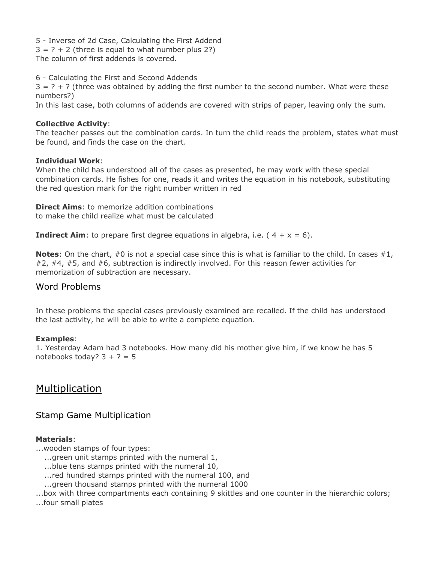5 - Inverse of 2d Case, Calculating the First Addend  $3 = ? + 2$  (three is equal to what number plus 2?) The column of first addends is covered.

6 - Calculating the First and Second Addends

 $3 = ? + ?$  (three was obtained by adding the first number to the second number. What were these numbers?)

In this last case, both columns of addends are covered with strips of paper, leaving only the sum.

#### **Collective Activity**:

The teacher passes out the combination cards. In turn the child reads the problem, states what must be found, and finds the case on the chart.

#### **Individual Work**:

When the child has understood all of the cases as presented, he may work with these special combination cards. He fishes for one, reads it and writes the equation in his notebook, substituting the red question mark for the right number written in red

**Direct Aims**: to memorize addition combinations to make the child realize what must be calculated

**Indirect Aim**: to prepare first degree equations in algebra, i.e.  $(4 + x = 6)$ .

**Notes**: On the chart, #0 is not a special case since this is what is familiar to the child. In cases #1, #2, #4, #5, and #6, subtraction is indirectly involved. For this reason fewer activities for memorization of subtraction are necessary.

## Word Problems

In these problems the special cases previously examined are recalled. If the child has understood the last activity, he will be able to write a complete equation.

## **Examples**:

1. Yesterday Adam had 3 notebooks. How many did his mother give him, if we know he has 5 notebooks today?  $3 + ? = 5$ 

## Multiplication

## Stamp Game Multiplication

## **Materials**:

...wooden stamps of four types:

- $\ldots$  green unit stamps printed with the numeral 1,
- ...blue tens stamps printed with the numeral 10,
- ...red hundred stamps printed with the numeral 100, and
- ...green thousand stamps printed with the numeral 1000

...box with three compartments each containing 9 skittles and one counter in the hierarchic colors;

...four small plates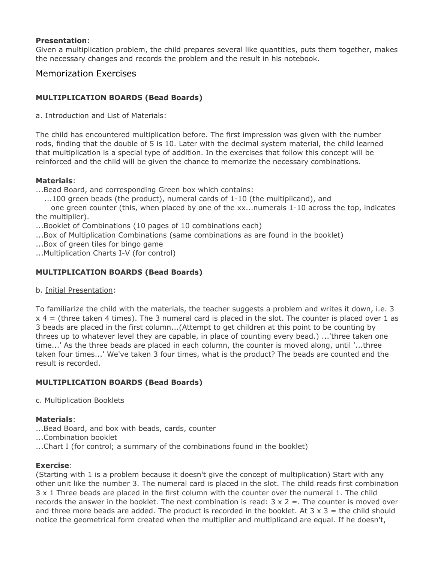#### **Presentation**:

Given a multiplication problem, the child prepares several like quantities, puts them together, makes the necessary changes and records the problem and the result in his notebook.

## Memorization Exercises

## **MULTIPLICATION BOARDS (Bead Boards)**

#### a. Introduction and List of Materials:

The child has encountered multiplication before. The first impression was given with the number rods, finding that the double of 5 is 10. Later with the decimal system material, the child learned that multiplication is a special type of addition. In the exercises that follow this concept will be reinforced and the child will be given the chance to memorize the necessary combinations.

#### **Materials**:

...Bead Board, and corresponding Green box which contains:

 $\dots$ 100 green beads (the product), numeral cards of 1-10 (the multiplicand), and

one green counter (this, when placed by one of the  $xx$ ...numerals  $1-10$  across the top, indicates the multiplier).

...Booklet of Combinations (10 pages of 10 combinations each)

- ...Box of Multiplication Combinations (same combinations as are found in the booklet)
- ...Box of green tiles for bingo game

...Multiplication Charts I-V (for control)

## **MULTIPLICATION BOARDS (Bead Boards)**

b. Initial Presentation:

To familiarize the child with the materials, the teacher suggests a problem and writes it down, i.e. 3  $x$  4 = (three taken 4 times). The 3 numeral card is placed in the slot. The counter is placed over 1 as 3 beads are placed in the first column...(Attempt to get children at this point to be counting by threes up to whatever level they are capable, in place of counting every bead.) ...'three taken one time...' As the three beads are placed in each column, the counter is moved along, until '...three taken four times...' We've taken 3 four times, what is the product? The beads are counted and the result is recorded.

## **MULTIPLICATION BOARDS (Bead Boards)**

c. Multiplication Booklets

## **Materials**:

- ...Bead Board, and box with beads, cards, counter
- ...Combination booklet
- ...Chart I (for control; a summary of the combinations found in the booklet)

## **Exercise**:

(Starting with 1 is a problem because it doesn't give the concept of multiplication) Start with any other unit like the number 3. The numeral card is placed in the slot. The child reads first combination 3 x 1 Three beads are placed in the first column with the counter over the numeral 1. The child records the answer in the booklet. The next combination is read:  $3 \times 2 =$ . The counter is moved over and three more beads are added. The product is recorded in the booklet. At  $3 \times 3 =$  the child should notice the geometrical form created when the multiplier and multiplicand are equal. If he doesn't,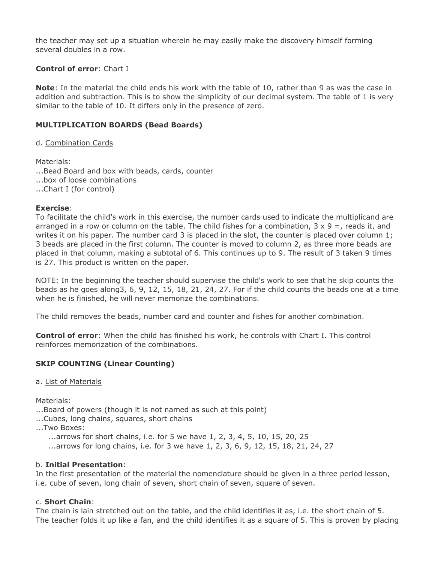the teacher may set up a situation wherein he may easily make the discovery himself forming several doubles in a row.

## **Control of error**: Chart I

**Note**: In the material the child ends his work with the table of 10, rather than 9 as was the case in addition and subtraction. This is to show the simplicity of our decimal system. The table of 1 is very similar to the table of 10. It differs only in the presence of zero.

## **MULTIPLICATION BOARDS (Bead Boards)**

d. Combination Cards

Materials: ...Bead Board and box with beads, cards, counter ...box of loose combinations ...Chart I (for control)

#### **Exercise**:

To facilitate the child's work in this exercise, the number cards used to indicate the multiplicand are arranged in a row or column on the table. The child fishes for a combination,  $3 \times 9 =$ , reads it, and writes it on his paper. The number card 3 is placed in the slot, the counter is placed over column 1; 3 beads are placed in the first column. The counter is moved to column 2, as three more beads are placed in that column, making a subtotal of 6. This continues up to 9. The result of 3 taken 9 times is 27. This product is written on the paper.

NOTE: In the beginning the teacher should supervise the child's work to see that he skip counts the beads as he goes along3, 6, 9, 12, 15, 18, 21, 24, 27. For if the child counts the beads one at a time when he is finished, he will never memorize the combinations.

The child removes the beads, number card and counter and fishes for another combination.

**Control of error**: When the child has finished his work, he controls with Chart I. This control reinforces memorization of the combinations.

## **SKIP COUNTING (Linear Counting)**

#### a. List of Materials

Materials:

...Board of powers (though it is not named as such at this point)

- ...Cubes, long chains, squares, short chains
- ...Two Boxes:
	- $\dots$  arrows for short chains, i.e. for 5 we have 1, 2, 3, 4, 5, 10, 15, 20, 25
	- ...arrows for long chains, i.e. for 3 we have 1, 2, 3, 6, 9, 12, 15, 18, 21, 24, 27

## b. **Initial Presentation**:

In the first presentation of the material the nomenclature should be given in a three period lesson, i.e. cube of seven, long chain of seven, short chain of seven, square of seven.

## c. **Short Chain**:

The chain is lain stretched out on the table, and the child identifies it as, i.e. the short chain of 5. The teacher folds it up like a fan, and the child identifies it as a square of 5. This is proven by placing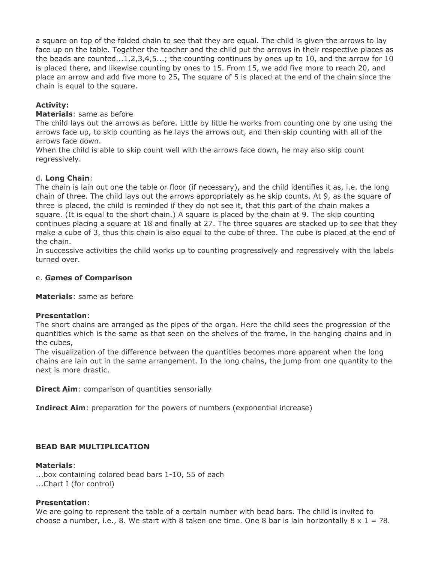a square on top of the folded chain to see that they are equal. The child is given the arrows to lay face up on the table. Together the teacher and the child put the arrows in their respective places as the beads are counted...1,2,3,4,5...; the counting continues by ones up to 10, and the arrow for 10 is placed there, and likewise counting by ones to 15. From 15, we add five more to reach 20, and place an arrow and add five more to 25, The square of 5 is placed at the end of the chain since the chain is equal to the square.

## **Activity:**

## **Materials**: same as before

The child lays out the arrows as before. Little by little he works from counting one by one using the arrows face up, to skip counting as he lays the arrows out, and then skip counting with all of the arrows face down.

When the child is able to skip count well with the arrows face down, he may also skip count regressively.

## d. **Long Chain**:

The chain is lain out one the table or floor (if necessary), and the child identifies it as, i.e. the long chain of three. The child lays out the arrows appropriately as he skip counts. At 9, as the square of three is placed, the child is reminded if they do not see it, that this part of the chain makes a square. (It is equal to the short chain.) A square is placed by the chain at 9. The skip counting continues placing a square at 18 and finally at 27. The three squares are stacked up to see that they make a cube of 3, thus this chain is also equal to the cube of three. The cube is placed at the end of the chain.

In successive activities the child works up to counting progressively and regressively with the labels turned over.

## e. **Games of Comparison**

**Materials**: same as before

## **Presentation**:

The short chains are arranged as the pipes of the organ. Here the child sees the progression of the quantities which is the same as that seen on the shelves of the frame, in the hanging chains and in the cubes,

The visualization of the difference between the quantities becomes more apparent when the long chains are lain out in the same arrangement. In the long chains, the jump from one quantity to the next is more drastic.

**Direct Aim:** comparison of quantities sensorially

**Indirect Aim**: preparation for the powers of numbers (exponential increase)

## **BEAD BAR MULTIPLICATION**

## **Materials**:

...box containing colored bead bars 1-10, 55 of each ...Chart I (for control)

## **Presentation**:

We are going to represent the table of a certain number with bead bars. The child is invited to choose a number, i.e., 8. We start with 8 taken one time. One 8 bar is lain horizontally  $8 \times 1 = ?8$ .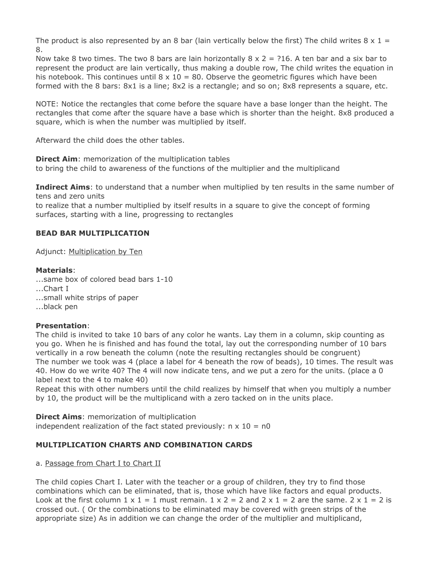The product is also represented by an 8 bar (lain vertically below the first) The child writes  $8 \times 1 =$ 8.

Now take 8 two times. The two 8 bars are lain horizontally  $8 \times 2 = ?16$ . A ten bar and a six bar to represent the product are lain vertically, thus making a double row, The child writes the equation in his notebook. This continues until  $8 \times 10 = 80$ . Observe the geometric figures which have been formed with the 8 bars: 8x1 is a line; 8x2 is a rectangle; and so on; 8x8 represents a square, etc.

NOTE: Notice the rectangles that come before the square have a base longer than the height. The rectangles that come after the square have a base which is shorter than the height. 8x8 produced a square, which is when the number was multiplied by itself.

Afterward the child does the other tables.

**Direct Aim:** memorization of the multiplication tables to bring the child to awareness of the functions of the multiplier and the multiplicand

**Indirect Aims**: to understand that a number when multiplied by ten results in the same number of tens and zero units

to realize that a number multiplied by itself results in a square to give the concept of forming surfaces, starting with a line, progressing to rectangles

## **BEAD BAR MULTIPLICATION**

Adjunct: Multiplication by Ten

#### **Materials**:

...same box of colored bead bars 1-10 ...Chart I ...small white strips of paper ...black pen

## **Presentation**:

The child is invited to take 10 bars of any color he wants. Lay them in a column, skip counting as you go. When he is finished and has found the total, lay out the corresponding number of 10 bars vertically in a row beneath the column (note the resulting rectangles should be congruent) The number we took was 4 (place a label for 4 beneath the row of beads), 10 times. The result was 40. How do we write 40? The 4 will now indicate tens, and we put a zero for the units. (place a 0 label next to the 4 to make 40)

Repeat this with other numbers until the child realizes by himself that when you multiply a number by 10, the product will be the multiplicand with a zero tacked on in the units place.

**Direct Aims**: memorization of multiplication independent realization of the fact stated previously:  $n \times 10 = n0$ 

## **MULTIPLICATION CHARTS AND COMBINATION CARDS**

## a. Passage from Chart I to Chart II

The child copies Chart I. Later with the teacher or a group of children, they try to find those combinations which can be eliminated, that is, those which have like factors and equal products. Look at the first column  $1 \times 1 = 1$  must remain.  $1 \times 2 = 2$  and  $2 \times 1 = 2$  are the same.  $2 \times 1 = 2$  is crossed out. ( Or the combinations to be eliminated may be covered with green strips of the appropriate size) As in addition we can change the order of the multiplier and multiplicand,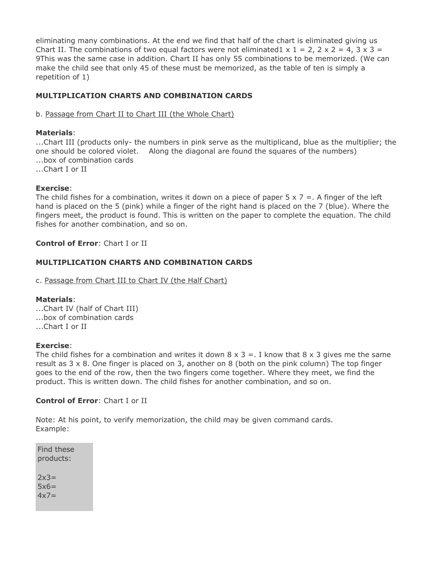eliminating many combinations. At the end we find that half of the chart is eliminated giving us Chart II. The combinations of two equal factors were not eliminated1  $\times$  1 = 2, 2  $\times$  2 = 4, 3  $\times$  3 = 9This was the same case in addition. Chart II has only 55 combinations to be memorized. (We can make the child see that only 45 of these must be memorized, as the table of ten is simply a repetition of 1)

## **MULTIPLICATION CHARTS AND COMBINATION CARDS**

## b. Passage from Chart II to Chart III (the Whole Chart)

#### **Materials**:

...Chart III (products only- the numbers in pink serve as the multiplicand, blue as the multiplier; the one should be colored violet. - Along the diagonal are found the squares of the numbers) ...box of combination cards ...Chart I or II

#### **Exercise**:

The child fishes for a combination, writes it down on a piece of paper  $5 \times 7 =$ . A finger of the left hand is placed on the 5 (pink) while a finger of the right hand is placed on the 7 (blue). Where the fingers meet, the product is found. This is written on the paper to complete the equation. The child fishes for another combination, and so on.

#### **Control of Error**: Chart I or II

#### **MULTIPLICATION CHARTS AND COMBINATION CARDS**

#### c. Passage from Chart III to Chart IV (the Half Chart)

#### **Materials**:

...Chart IV (half of Chart III) ...box of combination cards ...Chart I or II

#### **Exercise**:

The child fishes for a combination and writes it down  $8 \times 3 =$ . I know that  $8 \times 3$  gives me the same result as  $3 \times 8$ . One finger is placed on 3, another on 8 (both on the pink column) The top finger goes to the end of the row, then the two fingers come together. Where they meet, we find the product. This is written down. The child fishes for another combination, and so on.

#### **Control of Error**: Chart I or II

Note: At his point, to verify memorization, the child may be given command cards. Example:

Find these products:  $2x3=$  $5x6=$  $4x7=$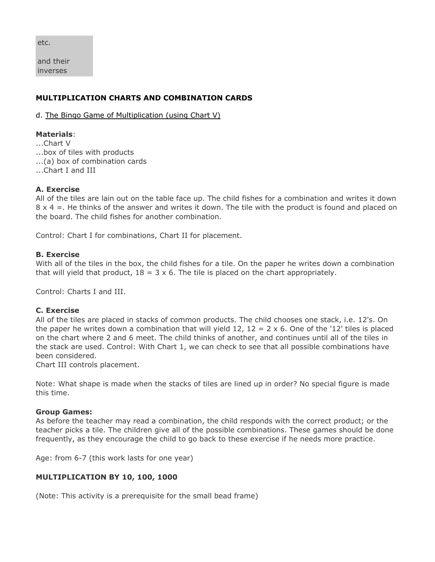etc.

and their inverses

## **MULTIPLICATION CHARTS AND COMBINATION CARDS**

d. The Bingo Game of Multiplication (using Chart V)

#### **Materials**:

...Chart V ...box of tiles with products ...(a) box of combination cards ...Chart I and III

#### **A. Exercise**

All of the tiles are lain out on the table face up. The child fishes for a combination and writes it down  $8 \times 4 =$ . He thinks of the answer and writes it down. The tile with the product is found and placed on the board. The child fishes for another combination.

Control: Chart I for combinations, Chart II for placement.

#### **B. Exercise**

With all of the tiles in the box, the child fishes for a tile. On the paper he writes down a combination that will yield that product,  $18 = 3 \times 6$ . The tile is placed on the chart appropriately.

Control: Charts I and III.

#### **C. Exercise**

All of the tiles are placed in stacks of common products. The child chooses one stack, i.e. 12's. On the paper he writes down a combination that will yield 12,  $12 = 2 \times 6$ . One of the '12' tiles is placed on the chart where 2 and 6 meet. The child thinks of another, and continues until all of the tiles in the stack are used. Control: With Chart 1, we can check to see that all possible combinations have been considered.

Chart III controls placement.

Note: What shape is made when the stacks of tiles are lined up in order? No special figure is made this time.

#### **Group Games:**

As before the teacher may read a combination, the child responds with the correct product; or the teacher picks a tile. The children give all of the possible combinations. These games should be done frequently, as they encourage the child to go back to these exercise if he needs more practice.

Age: from 6-7 (this work lasts for one year)

## **MULTIPLICATION BY 10, 100, 1000**

(Note: This activity is a prerequisite for the small bead frame)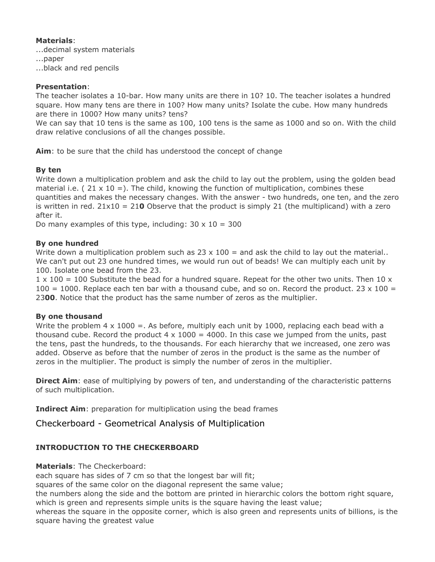## **Materials**:

...decimal system materials

...paper

...black and red pencils

#### **Presentation**:

The teacher isolates a 10-bar. How many units are there in 10? 10. The teacher isolates a hundred square. How many tens are there in 100? How many units? Isolate the cube. How many hundreds are there in 1000? How many units? tens?

We can say that 10 tens is the same as 100, 100 tens is the same as 1000 and so on. With the child draw relative conclusions of all the changes possible.

**Aim**: to be sure that the child has understood the concept of change

## **By ten**

Write down a multiplication problem and ask the child to lay out the problem, using the golden bead material i.e. (  $21 \times 10 =$ ). The child, knowing the function of multiplication, combines these quantities and makes the necessary changes. With the answer - two hundreds, one ten, and the zero is written in red. 21x10 = 21**0** Observe that the product is simply 21 (the multiplicand) with a zero after it.

Do many examples of this type, including:  $30 \times 10 = 300$ 

#### **By one hundred**

Write down a multiplication problem such as  $23 \times 100 =$  and ask the child to lay out the material.. We can't put out 23 one hundred times, we would run out of beads! We can multiply each unit by 100. Isolate one bead from the 23.

 $1 \times 100 = 100$  Substitute the bead for a hundred square. Repeat for the other two units. Then 10 x  $100 = 1000$ . Replace each ten bar with a thousand cube, and so on. Record the product. 23 x 100 = 23**00**. Notice that the product has the same number of zeros as the multiplier.

#### **By one thousand**

Write the problem  $4 \times 1000 =$ . As before, multiply each unit by 1000, replacing each bead with a thousand cube. Record the product  $4 \times 1000 = 4000$ . In this case we jumped from the units, past the tens, past the hundreds, to the thousands. For each hierarchy that we increased, one zero was added. Observe as before that the number of zeros in the product is the same as the number of zeros in the multiplier. The product is simply the number of zeros in the multiplier.

**Direct Aim**: ease of multiplying by powers of ten, and understanding of the characteristic patterns of such multiplication.

**Indirect Aim**: preparation for multiplication using the bead frames

Checkerboard - Geometrical Analysis of Multiplication

## **INTRODUCTION TO THE CHECKERBOARD**

**Materials**: The Checkerboard:

each square has sides of 7 cm so that the longest bar will fit;

squares of the same color on the diagonal represent the same value;

the numbers along the side and the bottom are printed in hierarchic colors the bottom right square, which is green and represents simple units is the square having the least value;

whereas the square in the opposite corner, which is also green and represents units of billions, is the square having the greatest value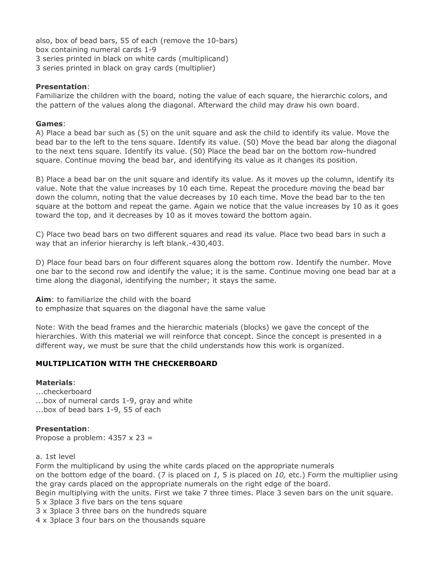also, box of bead bars, 55 of each (remove the 10-bars) box containing numeral cards 1-9 3 series printed in black on white cards (multiplicand) 3 series printed in black on gray cards (multiplier)

#### **Presentation**:

Familiarize the children with the board, noting the value of each square, the hierarchic colors, and the pattern of the values along the diagonal. Afterward the child may draw his own board.

#### **Games**:

A) Place a bead bar such as (5) on the unit square and ask the child to identify its value. Move the bead bar to the left to the tens square. Identify its value. (50) Move the bead bar along the diagonal to the next tens square. Identify its value. (50) Place the bead bar on the bottom row-hundred square. Continue moving the bead bar, and identifying its value as it changes its position.

B) Place a bead bar on the unit square and identify its value. As it moves up the column, identify its value. Note that the value increases by 10 each time. Repeat the procedure moving the bead bar down the column, noting that the value decreases by 10 each time. Move the bead bar to the ten square at the bottom and repeat the game. Again we notice that the value increases by 10 as it goes toward the top, and it decreases by 10 as it moves toward the bottom again.

C) Place two bead bars on two different squares and read its value. Place two bead bars in such a way that an inferior hierarchy is left blank.-430,403.

D) Place four bead bars on four different squares along the bottom row. Identify the number. Move one bar to the second row and identify the value; it is the same. Continue moving one bead bar at a time along the diagonal, identifying the number; it stays the same.

**Aim**: to familiarize the child with the board

to emphasize that squares on the diagonal have the same value

Note: With the bead frames and the hierarchic materials (blocks) we gave the concept of the hierarchies. With this material we will reinforce that concept. Since the concept is presented in a different way, we must be sure that the child understands how this work is organized.

## **MULTIPLICATION WITH THE CHECKERBOARD**

#### **Materials**:

...checkerboard ...box of numeral cards 1-9, gray and white ...box of bead bars 1-9, 55 of each

#### **Presentation**:

Propose a problem:  $4357 \times 23 =$ 

#### a. 1st level

Form the multiplicand by using the white cards placed on the appropriate numerals

on the bottom edge of the board. (7 is placed on *1,* 5 is placed on *10,* etc.) Form the multiplier using the gray cards placed on the appropriate numerals on the right edge of the board.

Begin multiplying with the units. First we take 7 three times. Place 3 seven bars on the unit square.

5 x 3place 3 five bars on the tens square

3 x 3place 3 three bars on the hundreds square

4 x 3place 3 four bars on the thousands square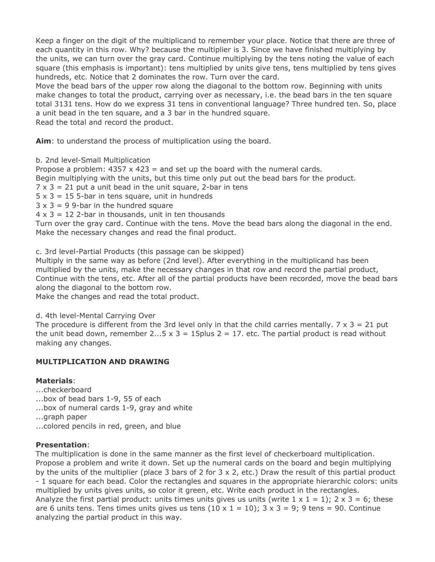Keep a finger on the digit of the multiplicand to remember your place. Notice that there are three of each quantity in this row. Why? because the multiplier is 3. Since we have finished multiplying by the units, we can turn over the gray card. Continue multiplying by the tens noting the value of each square (this emphasis is important): tens multiplied by units give tens, tens multiplied by tens gives hundreds, etc. Notice that 2 dominates the row. Turn over the card.

Move the bead bars of the upper row along the diagonal to the bottom row. Beginning with units make changes to total the product, carrying over as necessary, i.e. the bead bars in the ten square total 3131 tens. How do we express 31 tens in conventional language? Three hundred ten. So, place a unit bead in the ten square, and a 3 bar in the hundred square. Read the total and record the product.

**Aim**: to understand the process of multiplication using the board.

b. 2nd level-Small Multiplication

Propose a problem:  $4357 \times 423 =$  and set up the board with the numeral cards.

Begin multiplying with the units, but this time only put out the bead bars for the product.

- $7 \times 3 = 21$  put a unit bead in the unit square, 2-bar in tens
- $5 \times 3 = 15$  5-bar in tens square, unit in hundreds
- $3 \times 3 = 9$  9-bar in the hundred square
- $4 \times 3 = 12$  2-bar in thousands, unit in ten thousands

Turn over the gray card. Continue with the tens. Move the bead bars along the diagonal in the end. Make the necessary changes and read the final product.

c. 3rd level-Partial Products (this passage can be skipped)

Multiply in the same way as before (2nd level). After everything in the multiplicand has been multiplied by the units, make the necessary changes in that row and record the partial product, Continue with the tens, etc. After all of the partial products have been recorded, move the bead bars along the diagonal to the bottom row.

Make the changes and read the total product.

d. 4th level-Mental Carrying Over

The procedure is different from the 3rd level only in that the child carries mentally.  $7 \times 3 = 21$  put the unit bead down, remember 2...5  $\times$  3 = 15plus 2 = 17. etc. The partial product is read without making any changes.

## **MULTIPLICATION AND DRAWING**

## **Materials**:

- ...checkerboard
- ...box of bead bars 1-9, 55 of each
- ...box of numeral cards 1-9, gray and white
- ...graph paper
- ...colored pencils in red, green, and blue

## **Presentation**:

The multiplication is done in the same manner as the first level of checkerboard multiplication. Propose a problem and write it down. Set up the numeral cards on the board and begin multiplying by the units of the multiplier (place 3 bars of 2 for  $3 \times 2$ , etc.) Draw the result of this partial product - 1 square for each bead. Color the rectangles and squares in the appropriate hierarchic colors: units multiplied by units gives units, so color it green, etc. Write each product in the rectangles. Analyze the first partial product: units times units gives us units (write  $1 \times 1 = 1$ );  $2 \times 3 = 6$ ; these are 6 units tens. Tens times units gives us tens  $(10 \times 1 = 10)$ ;  $3 \times 3 = 9$ ; 9 tens = 90. Continue analyzing the partial product in this way.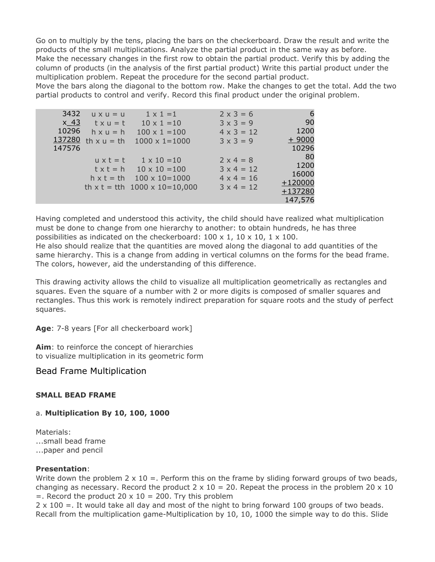Go on to multiply by the tens, placing the bars on the checkerboard. Draw the result and write the products of the small multiplications. Analyze the partial product in the same way as before. Make the necessary changes in the first row to obtain the partial product. Verify this by adding the column of products (in the analysis of the first partial product) Write this partial product under the multiplication problem. Repeat the procedure for the second partial product.

Move the bars along the diagonal to the bottom row. Make the changes to get the total. Add the two partial products to control and verify. Record this final product under the original problem.

| 3432   | $U \times U = U$  | $1 \times 1 = 1$                   | $2 \times 3 = 6$  |           |
|--------|-------------------|------------------------------------|-------------------|-----------|
| $x$ 43 | $txu = t$         | $10 \times 1 = 10$                 | $3 \times 3 = 9$  | 90        |
| 10296  | $h \times u = h$  | $100 \times 1 = 100$               | $4 \times 3 = 12$ | 1200      |
| 137280 | th $x u = th$     | $1000 \times 1 = 1000$             | $3 \times 3 = 9$  | $+9000$   |
| 147576 |                   |                                    |                   | 10296     |
|        | $u \times t = t$  | $1 \times 10 = 10$                 | $2 \times 4 = 8$  | -80       |
|        |                   | $tx t = h$ 10 $x 10 = 100$         | $3 \times 4 = 12$ | 1200      |
|        | $h \times t = th$ | $100 \times 10 = 1000$             | $4 \times 4 = 16$ | 16000     |
|        |                   | th $x t = t$ th 1000 $x 10=10,000$ | $3 \times 4 = 12$ | $+120000$ |
|        |                   |                                    |                   | $+137280$ |
|        |                   |                                    |                   | 147,576   |

Having completed and understood this activity, the child should have realized what multiplication must be done to change from one hierarchy to another: to obtain hundreds, he has three possibilities as indicated on the checkerboard:  $100 \times 1$ ,  $10 \times 10$ ,  $1 \times 100$ .

He also should realize that the quantities are moved along the diagonal to add quantities of the same hierarchy. This is a change from adding in vertical columns on the forms for the bead frame. The colors, however, aid the understanding of this difference.

This drawing activity allows the child to visualize all multiplication geometrically as rectangles and squares. Even the square of a number with 2 or more digits is composed of smaller squares and rectangles. Thus this work is remotely indirect preparation for square roots and the study of perfect squares.

Age: 7-8 years [For all checkerboard work]

**Aim**: to reinforce the concept of hierarchies to visualize multiplication in its geometric form

Bead Frame Multiplication

#### **SMALL BEAD FRAME**

#### a. **Multiplication By 10, 100, 1000**

Materials: ...small bead frame ...paper and pencil

#### **Presentation**:

Write down the problem  $2 \times 10 =$ . Perform this on the frame by sliding forward groups of two beads, changing as necessary. Record the product  $2 \times 10 = 20$ . Repeat the process in the problem  $20 \times 10$  $=$ . Record the product 20  $\times$  10 = 200. Try this problem

 $2 \times 100 =$ . It would take all day and most of the night to bring forward 100 groups of two beads. Recall from the multiplication game-Multiplication by 10, 10, 1000 the simple way to do this. Slide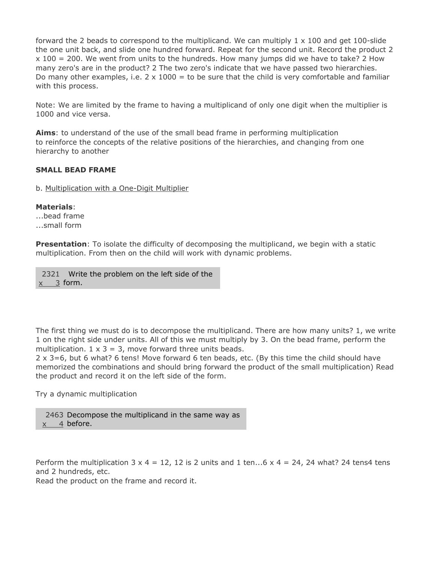forward the 2 beads to correspond to the multiplicand. We can multiply  $1 \times 100$  and get 100-slide the one unit back, and slide one hundred forward. Repeat for the second unit. Record the product 2  $x$  100 = 200. We went from units to the hundreds. How many jumps did we have to take? 2 How many zero's are in the product? 2 The two zero's indicate that we have passed two hierarchies. Do many other examples, i.e.  $2 \times 1000 =$  to be sure that the child is very comfortable and familiar with this process.

Note: We are limited by the frame to having a multiplicand of only one digit when the multiplier is 1000 and vice versa.

**Aims**: to understand of the use of the small bead frame in performing multiplication to reinforce the concepts of the relative positions of the hierarchies, and changing from one hierarchy to another

#### **SMALL BEAD FRAME**

b. Multiplication with a One-Digit Multiplier

#### **Materials**:

...bead frame ...small form

**Presentation**: To isolate the difficulty of decomposing the multiplicand, we begin with a static multiplication. From then on the child will work with dynamic problems.

2321 Write the problem on the left side of the  $\underline{x}$  3 form.

The first thing we must do is to decompose the multiplicand. There are how many units? 1, we write 1 on the right side under units. All of this we must multiply by 3. On the bead frame, perform the multiplication.  $1 \times 3 = 3$ , move forward three units beads.

2 x 3=6, but 6 what? 6 tens! Move forward 6 ten beads, etc. (By this time the child should have memorized the combinations and should bring forward the product of the small multiplication) Read the product and record it on the left side of the form.

Try a dynamic multiplication

2463 Decompose the multiplicand in the same way as <u>x 4</u> before.

Perform the multiplication  $3 \times 4 = 12$ , 12 is 2 units and 1 ten...6  $\times 4 = 24$ , 24 what? 24 tens4 tens and 2 hundreds, etc.

Read the product on the frame and record it.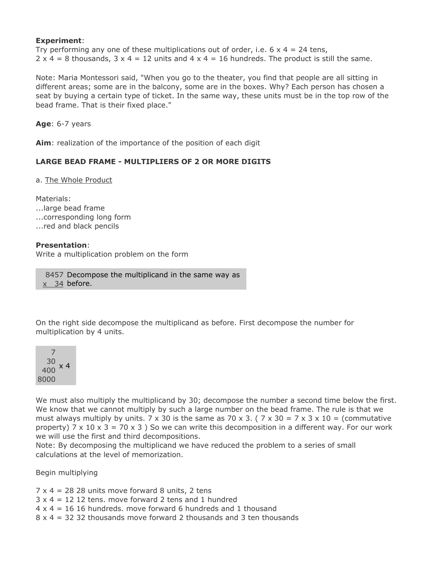#### **Experiment**:

Try performing any one of these multiplications out of order, i.e.  $6 \times 4 = 24$  tens,  $2 \times 4 = 8$  thousands,  $3 \times 4 = 12$  units and  $4 \times 4 = 16$  hundreds. The product is still the same.

Note: Maria Montessori said, "When you go to the theater, you find that people are all sitting in different areas; some are in the balcony, some are in the boxes. Why? Each person has chosen a seat by buying a certain type of ticket. In the same way, these units must be in the top row of the bead frame. That is their fixed place."

**Age**: 6-7 years

**Aim**: realization of the importance of the position of each digit

# **LARGE BEAD FRAME - MULTIPLIERS OF 2 OR MORE DIGITS**

a. The Whole Product

Materials: ...large bead frame ...corresponding long form ...red and black pencils

## **Presentation**:

Write a multiplication problem on the form

8457 Decompose the multiplicand in the same way as <u>x 34</u> before.

On the right side decompose the multiplicand as before. First decompose the number for multiplication by 4 units.



We must also multiply the multiplicand by 30; decompose the number a second time below the first. We know that we cannot multiply by such a large number on the bead frame. The rule is that we must always multiply by units. 7 x 30 is the same as 70 x 3. (  $7 \times 30 = 7 \times 3 \times 10 =$  (commutative property) 7 x 10 x 3 = 70 x 3 ) So we can write this decomposition in a different way. For our work we will use the first and third decompositions.

Note: By decomposing the multiplicand we have reduced the problem to a series of small calculations at the level of memorization.

Begin multiplying

 $7 \times 4 = 2828$  units move forward 8 units, 2 tens

- $3 \times 4 = 12$  12 tens. move forward 2 tens and 1 hundred
- $4 \times 4 = 16$  16 hundreds, move forward 6 hundreds and 1 thousand
- $8 \times 4 = 32$  32 thousands move forward 2 thousands and 3 ten thousands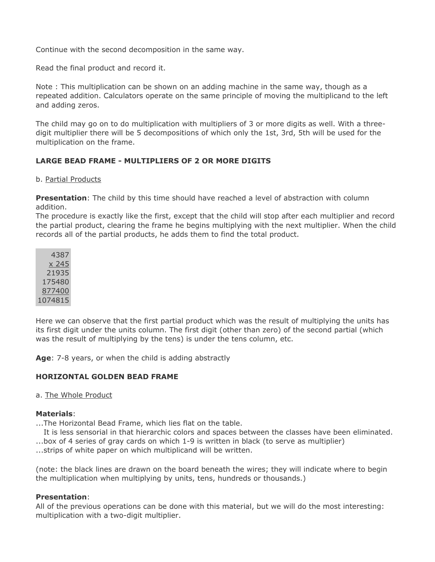Continue with the second decomposition in the same way.

Read the final product and record it.

Note : This multiplication can be shown on an adding machine in the same way, though as a repeated addition. Calculators operate on the same principle of moving the multiplicand to the left and adding zeros.

The child may go on to do multiplication with multipliers of 3 or more digits as well. With a threedigit multiplier there will be 5 decompositions of which only the 1st, 3rd, 5th will be used for the multiplication on the frame.

## **LARGE BEAD FRAME - MULTIPLIERS OF 2 OR MORE DIGITS**

#### b. Partial Products

**Presentation**: The child by this time should have reached a level of abstraction with column addition.

The procedure is exactly like the first, except that the child will stop after each multiplier and record the partial product, clearing the frame he begins multiplying with the next multiplier. When the child records all of the partial products, he adds them to find the total product.

|         | 4387   |
|---------|--------|
|         | x 245  |
|         | 21935  |
|         | 175480 |
|         | 877400 |
| 1074815 |        |

Here we can observe that the first partial product which was the result of multiplying the units has its first digit under the units column. The first digit (other than zero) of the second partial (which was the result of multiplying by the tens) is under the tens column, etc.

**Age**: 7-8 years, or when the child is adding abstractly

#### **HORIZONTAL GOLDEN BEAD FRAME**

#### a. The Whole Product

#### **Materials**:

...The Horizontal Bead Frame, which lies flat on the table.

It is less sensorial in that hierarchic colors and spaces between the classes have been eliminated.

...box of 4 series of gray cards on which 1-9 is written in black (to serve as multiplier)

...strips of white paper on which multiplicand will be written.

(note: the black lines are drawn on the board beneath the wires; they will indicate where to begin the multiplication when multiplying by units, tens, hundreds or thousands.)

#### **Presentation**:

All of the previous operations can be done with this material, but we will do the most interesting: multiplication with a two-digit multiplier.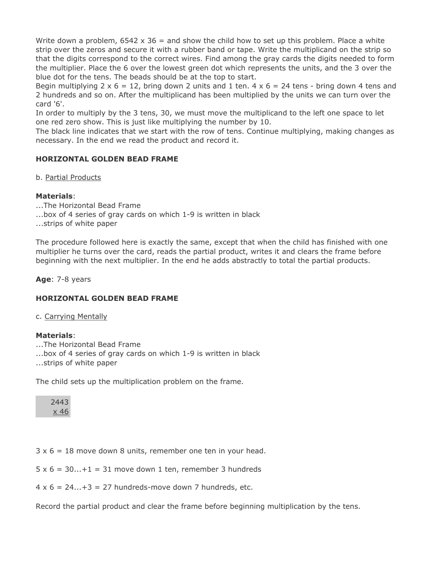Write down a problem,  $6542 \times 36 =$  and show the child how to set up this problem. Place a white strip over the zeros and secure it with a rubber band or tape. Write the multiplicand on the strip so that the digits correspond to the correct wires. Find among the gray cards the digits needed to form the multiplier. Place the 6 over the lowest green dot which represents the units, and the 3 over the blue dot for the tens. The beads should be at the top to start.

Begin multiplying  $2 \times 6 = 12$ , bring down 2 units and 1 ten.  $4 \times 6 = 24$  tens - bring down 4 tens and 2 hundreds and so on. After the multiplicand has been multiplied by the units we can turn over the card '6'.

In order to multiply by the 3 tens, 30, we must move the multiplicand to the left one space to let one red zero show. This is just like multiplying the number by 10.

The black line indicates that we start with the row of tens. Continue multiplying, making changes as necessary. In the end we read the product and record it.

## **HORIZONTAL GOLDEN BEAD FRAME**

b. Partial Products

#### **Materials**:

...The Horizontal Bead Frame ...box of 4 series of gray cards on which 1-9 is written in black ...strips of white paper

The procedure followed here is exactly the same, except that when the child has finished with one multiplier he turns over the card, reads the partial product, writes it and clears the frame before beginning with the next multiplier. In the end he adds abstractly to total the partial products.

**Age**: 7-8 years

#### **HORIZONTAL GOLDEN BEAD FRAME**

c. Carrying Mentally

#### **Materials**:

...The Horizontal Bead Frame ...box of 4 series of gray cards on which 1-9 is written in black ...strips of white paper

The child sets up the multiplication problem on the frame.

2443 x 46

 $3 \times 6 = 18$  move down 8 units, remember one ten in your head.

 $5 \times 6 = 30...+1 = 31$  move down 1 ten, remember 3 hundreds

 $4 \times 6 = 24...+3 = 27$  hundreds-move down 7 hundreds, etc.

Record the partial product and clear the frame before beginning multiplication by the tens.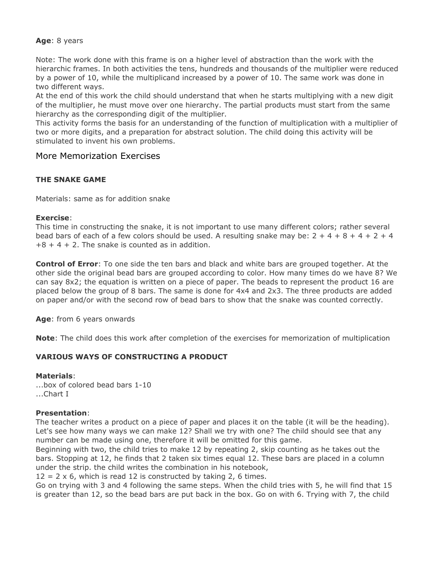#### **Age**: 8 years

Note: The work done with this frame is on a higher level of abstraction than the work with the hierarchic frames. In both activities the tens, hundreds and thousands of the multiplier were reduced by a power of 10, while the multiplicand increased by a power of 10. The same work was done in two different ways.

At the end of this work the child should understand that when he starts multiplying with a new digit of the multiplier, he must move over one hierarchy. The partial products must start from the same hierarchy as the corresponding digit of the multiplier.

This activity forms the basis for an understanding of the function of multiplication with a multiplier of two or more digits, and a preparation for abstract solution. The child doing this activity will be stimulated to invent his own problems.

# More Memorization Exercises

# **THE SNAKE GAME**

Materials: same as for addition snake

#### **Exercise**:

This time in constructing the snake, it is not important to use many different colors; rather several bead bars of each of a few colors should be used. A resulting snake may be:  $2 + 4 + 8 + 4 + 2 + 4$  $+8 + 4 + 2$ . The snake is counted as in addition.

**Control of Error**: To one side the ten bars and black and white bars are grouped together. At the other side the original bead bars are grouped according to color. How many times do we have 8? We can say 8x2; the equation is written on a piece of paper. The beads to represent the product 16 are placed below the group of 8 bars. The same is done for 4x4 and 2x3. The three products are added on paper and/or with the second row of bead bars to show that the snake was counted correctly.

**Age**: from 6 years onwards

**Note**: The child does this work after completion of the exercises for memorization of multiplication

# **VARIOUS WAYS OF CONSTRUCTING A PRODUCT**

#### **Materials**:

...box of colored bead bars 1-10 ...Chart I

#### **Presentation**:

The teacher writes a product on a piece of paper and places it on the table (it will be the heading). Let's see how many ways we can make 12? Shall we try with one? The child should see that any number can be made using one, therefore it will be omitted for this game.

Beginning with two, the child tries to make 12 by repeating 2, skip counting as he takes out the bars. Stopping at 12, he finds that 2 taken six times equal 12. These bars are placed in a column under the strip. the child writes the combination in his notebook,

 $12 = 2 \times 6$ , which is read 12 is constructed by taking 2, 6 times.

Go on trying with 3 and 4 following the same steps. When the child tries with 5, he will find that 15 is greater than 12, so the bead bars are put back in the box. Go on with 6. Trying with 7, the child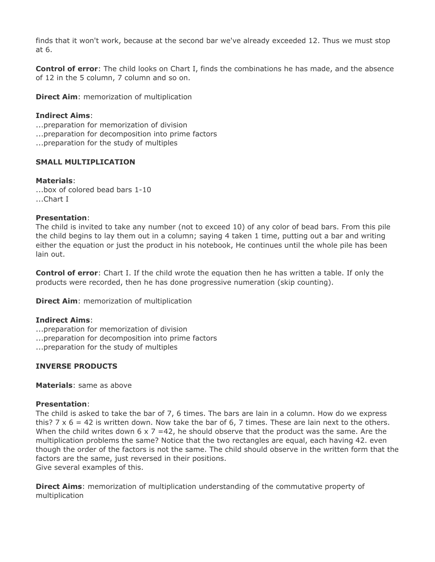finds that it won't work, because at the second bar we've already exceeded 12. Thus we must stop at 6.

**Control of error**: The child looks on Chart I, finds the combinations he has made, and the absence of 12 in the 5 column, 7 column and so on.

**Direct Aim:** memorization of multiplication

## **Indirect Aims**:

- ...preparation for memorization of division
- ...preparation for decomposition into prime factors
- ...preparation for the study of multiples

#### **SMALL MULTIPLICATION**

#### **Materials**:

...box of colored bead bars 1-10 ...Chart I

#### **Presentation**:

The child is invited to take any number (not to exceed 10) of any color of bead bars. From this pile the child begins to lay them out in a column; saying 4 taken 1 time, putting out a bar and writing either the equation or just the product in his notebook, He continues until the whole pile has been lain out.

**Control of error**: Chart I. If the child wrote the equation then he has written a table. If only the products were recorded, then he has done progressive numeration (skip counting).

**Direct Aim:** memorization of multiplication

#### **Indirect Aims**:

...preparation for memorization of division

- ...preparation for decomposition into prime factors
- ...preparation for the study of multiples

#### **INVERSE PRODUCTS**

**Materials**: same as above

#### **Presentation**:

The child is asked to take the bar of 7, 6 times. The bars are lain in a column. How do we express this?  $7 \times 6 = 42$  is written down. Now take the bar of 6, 7 times. These are lain next to the others. When the child writes down  $6 \times 7 = 42$ , he should observe that the product was the same. Are the multiplication problems the same? Notice that the two rectangles are equal, each having 42. even though the order of the factors is not the same. The child should observe in the written form that the factors are the same, just reversed in their positions.

Give several examples of this.

**Direct Aims**: memorization of multiplication understanding of the commutative property of multiplication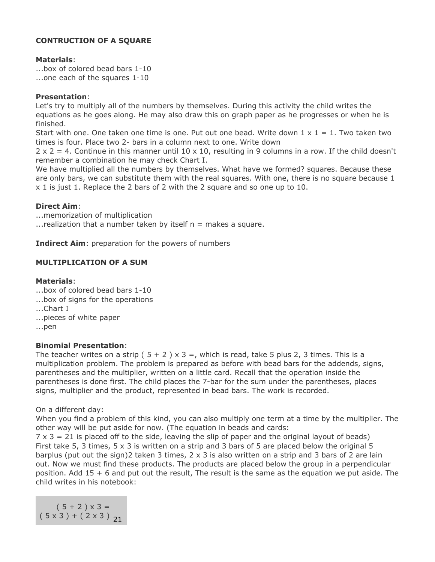# **CONTRUCTION OF A SQUARE**

#### **Materials**:

...box of colored bead bars 1-10 ...one each of the squares 1-10

#### **Presentation**:

Let's try to multiply all of the numbers by themselves. During this activity the child writes the equations as he goes along. He may also draw this on graph paper as he progresses or when he is finished.

Start with one. One taken one time is one. Put out one bead. Write down  $1 \times 1 = 1$ . Two taken two times is four. Place two 2- bars in a column next to one. Write down

 $2 \times 2 = 4$ . Continue in this manner until 10 x 10, resulting in 9 columns in a row. If the child doesn't remember a combination he may check Chart I.

We have multiplied all the numbers by themselves. What have we formed? squares. Because these are only bars, we can substitute them with the real squares. With one, there is no square because 1 x 1 is just 1. Replace the 2 bars of 2 with the 2 square and so one up to 10.

## **Direct Aim**:

...memorization of multiplication ... realization that a number taken by itself  $n =$  makes a square.

**Indirect Aim**: preparation for the powers of numbers

# **MULTIPLICATION OF A SUM**

#### **Materials**:

...box of colored bead bars 1-10 ...box of signs for the operations ...Chart I ...pieces of white paper ...pen

#### **Binomial Presentation**:

The teacher writes on a strip (  $5 + 2$  ) x 3 =, which is read, take 5 plus 2, 3 times. This is a multiplication problem. The problem is prepared as before with bead bars for the addends, signs, parentheses and the multiplier, written on a little card. Recall that the operation inside the parentheses is done first. The child places the 7-bar for the sum under the parentheses, places signs, multiplier and the product, represented in bead bars. The work is recorded.

On a different day:

When you find a problem of this kind, you can also multiply one term at a time by the multiplier. The other way will be put aside for now. (The equation in beads and cards:

 $7 \times 3 = 21$  is placed off to the side, leaving the slip of paper and the original layout of beads) First take 5, 3 times, 5 x 3 is written on a strip and 3 bars of 5 are placed below the original 5 barplus (put out the sign)2 taken 3 times, 2 x 3 is also written on a strip and 3 bars of 2 are lain out. Now we must find these products. The products are placed below the group in a perpendicular position. Add 15 + 6 and put out the result, The result is the same as the equation we put aside. The child writes in his notebook:

 $(5 + 2) \times 3 =$  $(5 \times 3) + (2 \times 3)$ <sub>21</sub>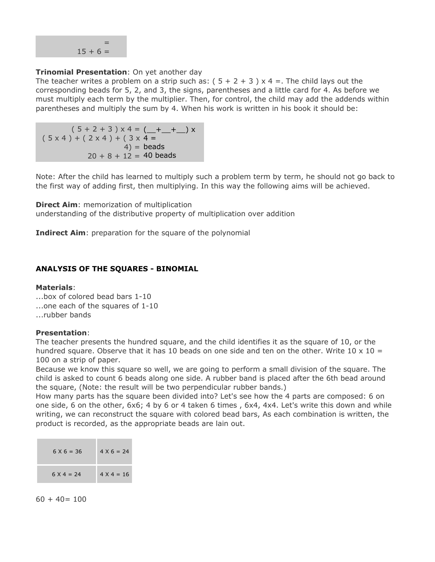

## **Trinomial Presentation**: On yet another day

The teacher writes a problem on a strip such as:  $(5 + 2 + 3) \times 4 =$ . The child lays out the corresponding beads for 5, 2, and 3, the signs, parentheses and a little card for 4. As before we must multiply each term by the multiplier. Then, for control, the child may add the addends within parentheses and multiply the sum by 4. When his work is written in his book it should be:

( 5 + 2 + 3 ) x 4 = (\_\_+\_\_+\_\_) x  $(5 \times 4) + (2 \times 4) + (3 \times 4)$ 4) = beads  $20 + 8 + 12 = 40$  beads

Note: After the child has learned to multiply such a problem term by term, he should not go back to the first way of adding first, then multiplying. In this way the following aims will be achieved.

**Direct Aim:** memorization of multiplication understanding of the distributive property of multiplication over addition

**Indirect Aim**: preparation for the square of the polynomial

# **ANALYSIS OF THE SQUARES - BINOMIAL**

#### **Materials**:

...box of colored bead bars 1-10 ...one each of the squares of 1-10

...rubber bands

#### **Presentation**:

The teacher presents the hundred square, and the child identifies it as the square of 10, or the hundred square. Observe that it has 10 beads on one side and ten on the other. Write 10  $\times$  10 = 100 on a strip of paper.

Because we know this square so well, we are going to perform a small division of the square. The child is asked to count 6 beads along one side. A rubber band is placed after the 6th bead around the square, (Note: the result will be two perpendicular rubber bands.)

How many parts has the square been divided into? Let's see how the 4 parts are composed: 6 on one side, 6 on the other, 6x6; 4 by 6 or 4 taken 6 times , 6x4, 4x4. Let's write this down and while writing, we can reconstruct the square with colored bead bars, As each combination is written, the product is recorded, as the appropriate beads are lain out.

| $6 \times 6 = 36$ | $4 X 6 = 24$      |
|-------------------|-------------------|
| $6 \times 4 = 24$ | $4 \times 4 = 16$ |

 $60 + 40 = 100$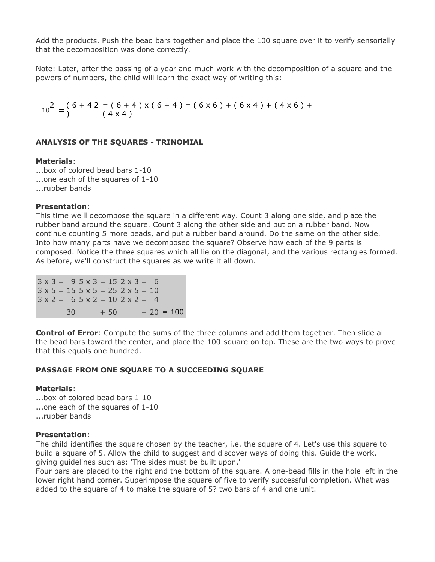Add the products. Push the bead bars together and place the 100 square over it to verify sensorially that the decomposition was done correctly.

Note: Later, after the passing of a year and much work with the decomposition of a square and the powers of numbers, the child will learn the exact way of writing this:

 $10^{2} = \binom{6+4}{ }$ 2 = ( 6 + 4 ) x ( 6 + 4 ) = ( 6 x 6 ) + ( 6 x 4 ) + ( 4 x 6 ) + ( 4 x 4 )

#### **ANALYSIS OF THE SQUARES - TRINOMIAL**

#### **Materials**:

...box of colored bead bars 1-10 ...one each of the squares of 1-10 ...rubber bands

#### **Presentation**:

This time we'll decompose the square in a different way. Count 3 along one side, and place the rubber band around the square. Count 3 along the other side and put on a rubber band. Now continue counting 5 more beads, and put a rubber band around. Do the same on the other side. Into how many parts have we decomposed the square? Observe how each of the 9 parts is composed. Notice the three squares which all lie on the diagonal, and the various rectangles formed. As before, we'll construct the squares as we write it all down.

 $3 \times 3 = 95 \times 3 = 152 \times 3 = 6$  $3 \times 5 = 15$   $5 \times 5 = 25$   $2 \times 5 = 10$  $3 \times 2 = 65 \times 2 = 102 \times 2 = 4$  $30 + 50 + 20 = 100$ 

**Control of Error**: Compute the sums of the three columns and add them together. Then slide all the bead bars toward the center, and place the 100-square on top. These are the two ways to prove that this equals one hundred.

#### **PASSAGE FROM ONE SQUARE TO A SUCCEEDING SQUARE**

#### **Materials**:

...box of colored bead bars 1-10 ...one each of the squares of 1-10 ...rubber bands

#### **Presentation**:

The child identifies the square chosen by the teacher, i.e. the square of 4. Let's use this square to build a square of 5. Allow the child to suggest and discover ways of doing this. Guide the work, giving guidelines such as: 'The sides must be built upon.'

Four bars are placed to the right and the bottom of the square. A one-bead fills in the hole left in the lower right hand corner. Superimpose the square of five to verify successful completion. What was added to the square of 4 to make the square of 5? two bars of 4 and one unit.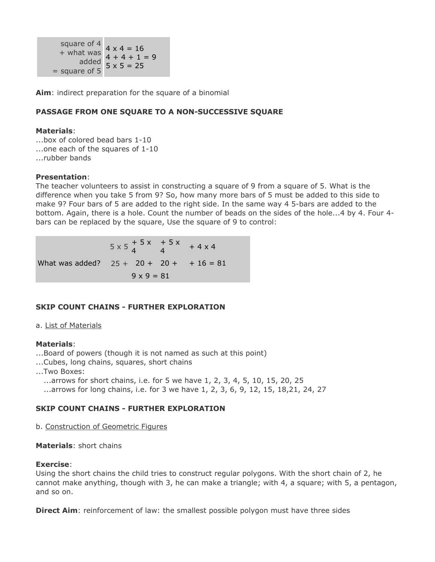square of 4  $+$  what was  $4 \times 4 = 16$ added  $5 \times 5 = 25$  $=$  square of 5 4 + 4 + 1 = 9

**Aim**: indirect preparation for the square of a binomial

## **PASSAGE FROM ONE SQUARE TO A NON-SUCCESSIVE SQUARE**

#### **Materials**:

...box of colored bead bars 1-10 ...one each of the squares of 1-10 ...rubber bands

#### **Presentation**:

The teacher volunteers to assist in constructing a square of 9 from a square of 5. What is the difference when you take 5 from 9? So, how many more bars of 5 must be added to this side to make 9? Four bars of 5 are added to the right side. In the same way 4 5-bars are added to the bottom. Again, there is a hole. Count the number of beads on the sides of the hole...4 by 4. Four 4 bars can be replaced by the square, Use the square of 9 to control:

 $5 \times 5 \frac{+5 \times}{4}$  $+ 5 x + 4 x 4$ What was added?  $25 + 20 + 20 + 16 = 81$  $9 \times 9 = 81$ 

# **SKIP COUNT CHAINS - FURTHER EXPLORATION**

#### a. List of Materials

#### **Materials**:

- ...Board of powers (though it is not named as such at this point)
- ...Cubes, long chains, squares, short chains
- ...Two Boxes:
	- ...arrows for short chains, i.e. for 5 we have 1, 2, 3, 4, 5, 10, 15, 20, 25
	- ...arrows for long chains, i.e. for 3 we have 1, 2, 3, 6, 9, 12, 15, 18, 21, 24, 27

#### **SKIP COUNT CHAINS - FURTHER EXPLORATION**

#### b. Construction of Geometric Figures

#### **Materials**: short chains

#### **Exercise**:

Using the short chains the child tries to construct regular polygons. With the short chain of 2, he cannot make anything, though with 3, he can make a triangle; with 4, a square; with 5, a pentagon, and so on.

**Direct Aim**: reinforcement of law: the smallest possible polygon must have three sides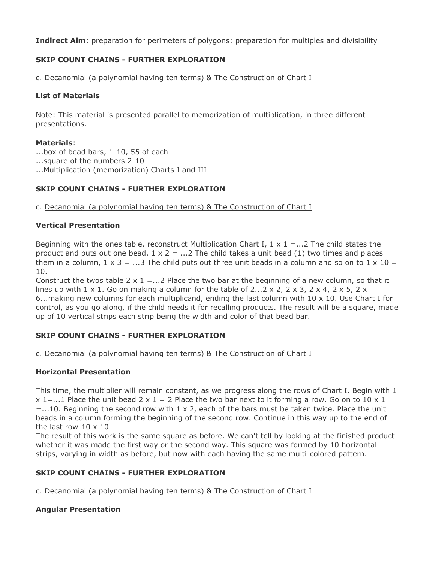**Indirect Aim**: preparation for perimeters of polygons: preparation for multiples and divisibility

## **SKIP COUNT CHAINS - FURTHER EXPLORATION**

c. Decanomial (a polynomial having ten terms) & The Construction of Chart I

## **List of Materials**

Note: This material is presented parallel to memorization of multiplication, in three different presentations.

#### **Materials**:

...box of bead bars, 1-10, 55 of each ...square of the numbers 2-10 ...Multiplication (memorization) Charts I and III

# **SKIP COUNT CHAINS - FURTHER EXPLORATION**

c. Decanomial (a polynomial having ten terms) & The Construction of Chart I

## **Vertical Presentation**

Beginning with the ones table, reconstruct Multiplication Chart I,  $1 \times 1 = ... 2$  The child states the product and puts out one bead,  $1 \times 2 = ...2$  The child takes a unit bead (1) two times and places them in a column,  $1 \times 3 = ...3$  The child puts out three unit beads in a column and so on to  $1 \times 10 =$ 10.

Construct the twos table 2  $\times$  1 = ...2 Place the two bar at the beginning of a new column, so that it lines up with  $1 \times 1$ . Go on making a column for the table of 2... 2 x 2, 2 x 3, 2 x 4, 2 x 5, 2 x 6...making new columns for each multiplicand, ending the last column with  $10 \times 10$ . Use Chart I for control, as you go along, if the child needs it for recalling products. The result will be a square, made up of 10 vertical strips each strip being the width and color of that bead bar.

# **SKIP COUNT CHAINS - FURTHER EXPLORATION**

c. Decanomial (a polynomial having ten terms) & The Construction of Chart I

# **Horizontal Presentation**

This time, the multiplier will remain constant, as we progress along the rows of Chart I. Begin with 1  $x$  1=...1 Place the unit bead 2 x 1 = 2 Place the two bar next to it forming a row. Go on to 10 x 1  $=$ ...10. Beginning the second row with 1 x 2, each of the bars must be taken twice. Place the unit beads in a column forming the beginning of the second row. Continue in this way up to the end of the last row-10  $\times$  10

The result of this work is the same square as before. We can't tell by looking at the finished product whether it was made the first way or the second way. This square was formed by 10 horizontal strips, varying in width as before, but now with each having the same multi-colored pattern.

# **SKIP COUNT CHAINS - FURTHER EXPLORATION**

c. Decanomial (a polynomial having ten terms) & The Construction of Chart I

# **Angular Presentation**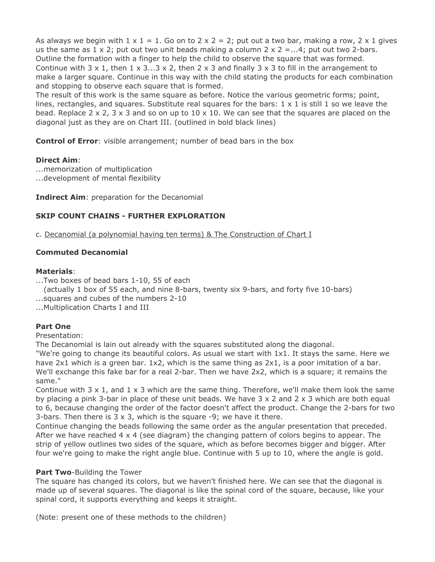As always we begin with  $1 \times 1 = 1$ . Go on to  $2 \times 2 = 2$ ; put out a two bar, making a row,  $2 \times 1$  gives us the same as  $1 \times 2$ ; put out two unit beads making a column  $2 \times 2 = ...4$ ; put out two 2-bars. Outline the formation with a finger to help the child to observe the square that was formed. Continue with  $3 \times 1$ , then  $1 \times 3...3 \times 2$ , then  $2 \times 3$  and finally  $3 \times 3$  to fill in the arrangement to make a larger square. Continue in this way with the child stating the products for each combination and stopping to observe each square that is formed.

The result of this work is the same square as before. Notice the various geometric forms; point, lines, rectangles, and squares. Substitute real squares for the bars:  $1 \times 1$  is still 1 so we leave the bead. Replace  $2 \times 2$ ,  $3 \times 3$  and so on up to  $10 \times 10$ . We can see that the squares are placed on the diagonal just as they are on Chart III. (outlined in bold black lines)

**Control of Error**: visible arrangement; number of bead bars in the box

# **Direct Aim**:

...memorization of multiplication ...development of mental flexibility

**Indirect Aim**: preparation for the Decanomial

# **SKIP COUNT CHAINS - FURTHER EXPLORATION**

c. Decanomial (a polynomial having ten terms) & The Construction of Chart I

# **Commuted Decanomial**

#### **Materials**:

...Two boxes of bead bars 1-10, 55 of each

(actually 1 box of 55 each, and nine 8-bars, twenty six 9-bars, and forty five 10-bars) ...squares and cubes of the numbers 2-10

...Multiplication Charts I and III

# **Part One**

Presentation:

The Decanomial is lain out already with the squares substituted along the diagonal.

"We're going to change its beautiful colors. As usual we start with 1x1. It stays the same. Here we have 2x1 which is a green bar. 1x2, which is the same thing as 2x1, is a poor imitation of a bar. We'll exchange this fake bar for a real 2-bar. Then we have 2x2, which is a square; it remains the same."

Continue with  $3 \times 1$ , and  $1 \times 3$  which are the same thing. Therefore, we'll make them look the same by placing a pink 3-bar in place of these unit beads. We have  $3 \times 2$  and  $2 \times 3$  which are both equal to 6, because changing the order of the factor doesn't affect the product. Change the 2-bars for two 3-bars. Then there is  $3 \times 3$ , which is the square  $-9$ ; we have it there.

Continue changing the beads following the same order as the angular presentation that preceded. After we have reached  $4 \times 4$  (see diagram) the changing pattern of colors begins to appear. The strip of yellow outlines two sides of the square, which as before becomes bigger and bigger. After four we're going to make the right angle blue. Continue with 5 up to 10, where the angle is gold.

#### **Part Two**-Building the Tower

The square has changed its colors, but we haven't finished here. We can see that the diagonal is made up of several squares. The diagonal is like the spinal cord of the square, because, like your spinal cord, it supports everything and keeps it straight.

(Note: present one of these methods to the children)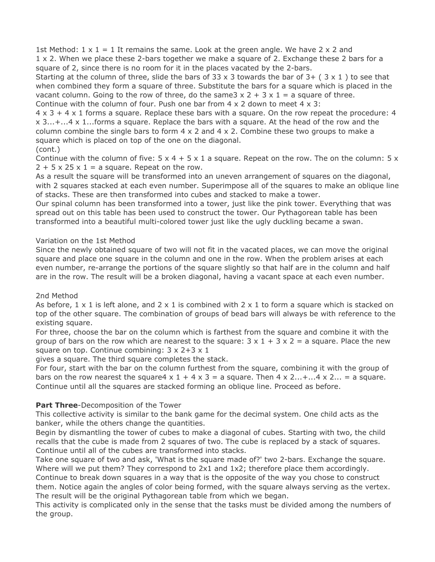1st Method:  $1 \times 1 = 1$  It remains the same. Look at the green angle. We have 2  $\times$  2 and 1 x 2. When we place these 2-bars together we make a square of 2. Exchange these 2 bars for a square of 2, since there is no room for it in the places vacated by the 2-bars.

Starting at the column of three, slide the bars of 33 x 3 towards the bar of  $3+$  ( $3 \times 1$ ) to see that when combined they form a square of three. Substitute the bars for a square which is placed in the vacant column. Going to the row of three, do the same3  $x$  2 + 3  $x$  1 = a square of three. Continue with the column of four. Push one bar from  $4 \times 2$  down to meet  $4 \times 3$ :

 $4 \times 3 + 4 \times 1$  forms a square. Replace these bars with a square. On the row repeat the procedure: 4  $x$  3...+...4 x 1...forms a square. Replace the bars with a square. At the head of the row and the column combine the single bars to form  $4 \times 2$  and  $4 \times 2$ . Combine these two groups to make a square which is placed on top of the one on the diagonal.

# (cont.)

Continue with the column of five:  $5 \times 4 + 5 \times 1$  a square. Repeat on the row. The on the column:  $5 \times$  $2 + 5 \times 25 \times 1 = a$  square. Repeat on the row.

As a result the square will be transformed into an uneven arrangement of squares on the diagonal, with 2 squares stacked at each even number. Superimpose all of the squares to make an oblique line of stacks. These are then transformed into cubes and stacked to make a tower.

Our spinal column has been transformed into a tower, just like the pink tower. Everything that was spread out on this table has been used to construct the tower. Our Pythagorean table has been transformed into a beautiful multi-colored tower just like the ugly duckling became a swan.

# Variation on the 1st Method

Since the newly obtained square of two will not fit in the vacated places, we can move the original square and place one square in the column and one in the row. When the problem arises at each even number, re-arrange the portions of the square slightly so that half are in the column and half are in the row. The result will be a broken diagonal, having a vacant space at each even number.

# 2nd Method

As before,  $1 \times 1$  is left alone, and  $2 \times 1$  is combined with  $2 \times 1$  to form a square which is stacked on top of the other square. The combination of groups of bead bars will always be with reference to the existing square.

For three, choose the bar on the column which is farthest from the square and combine it with the group of bars on the row which are nearest to the square:  $3 \times 1 + 3 \times 2 =$  a square. Place the new square on top. Continue combining:  $3 \times 2 + 3 \times 1$ 

gives a square. The third square completes the stack.

For four, start with the bar on the column furthest from the square, combining it with the group of bars on the row nearest the square4  $x 1 + 4x 3 = a$  square. Then  $4 \times 2...+...4 \times 2... = a$  square. Continue until all the squares are stacked forming an oblique line. Proceed as before.

# **Part Three**-Decomposition of the Tower

This collective activity is similar to the bank game for the decimal system. One child acts as the banker, while the others change the quantities.

Begin by dismantling the tower of cubes to make a diagonal of cubes. Starting with two, the child recalls that the cube is made from 2 squares of two. The cube is replaced by a stack of squares. Continue until all of the cubes are transformed into stacks.

Take one square of two and ask, 'What is the square made of?' two 2-bars. Exchange the square. Where will we put them? They correspond to 2x1 and 1x2; therefore place them accordingly.

Continue to break down squares in a way that is the opposite of the way you chose to construct them. Notice again the angles of color being formed, with the square always serving as the vertex. The result will be the original Pythagorean table from which we began.

This activity is complicated only in the sense that the tasks must be divided among the numbers of the group.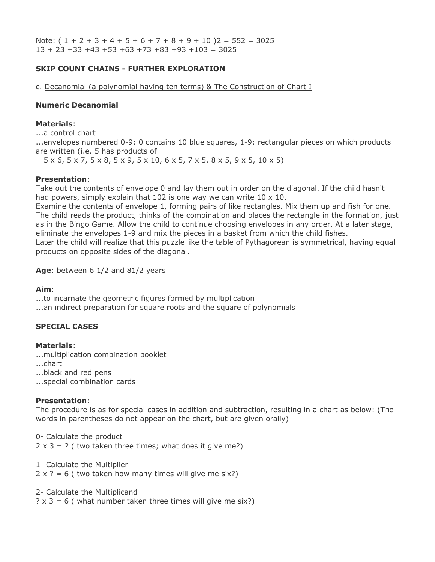Note:  $(1 + 2 + 3 + 4 + 5 + 6 + 7 + 8 + 9 + 10)$   $2 = 552 = 3025$  $13 + 23 + 33 + 43 + 53 + 63 + 73 + 83 + 93 + 103 = 3025$ 

## **SKIP COUNT CHAINS - FURTHER EXPLORATION**

c. Decanomial (a polynomial having ten terms) & The Construction of Chart I

#### **Numeric Decanomial**

#### **Materials**:

...a control chart

...envelopes numbered 0-9: 0 contains 10 blue squares, 1-9: rectangular pieces on which products are written (i.e. 5 has products of

...5 x 6, 5 x 7, 5 x 8, 5 x 9, 5 x 10, 6 x 5, 7 x 5, 8 x 5, 9 x 5, 10 x 5)

#### **Presentation**:

Take out the contents of envelope 0 and lay them out in order on the diagonal. If the child hasn't had powers, simply explain that 102 is one way we can write 10 x 10.

Examine the contents of envelope 1, forming pairs of like rectangles. Mix them up and fish for one. The child reads the product, thinks of the combination and places the rectangle in the formation, just as in the Bingo Game. Allow the child to continue choosing envelopes in any order. At a later stage, eliminate the envelopes 1-9 and mix the pieces in a basket from which the child fishes. Later the child will realize that this puzzle like the table of Pythagorean is symmetrical, having equal products on opposite sides of the diagonal.

Age: between 6 1/2 and 81/2 years

#### **Aim**:

...to incarnate the geometric figures formed by multiplication ...an indirect preparation for square roots and the square of polynomials

#### **SPECIAL CASES**

#### **Materials**:

...multiplication combination booklet

...chart

...black and red pens

...special combination cards

#### **Presentation**:

The procedure is as for special cases in addition and subtraction, resulting in a chart as below: (The words in parentheses do not appear on the chart, but are given orally)

0- Calculate the product  $2 \times 3 = ?$  (two taken three times; what does it give me?)

1- Calculate the Multiplier

 $2 \times ? = 6$  ( two taken how many times will give me six?)

#### 2- Calculate the Multiplicand

 $? \times 3 = 6$  (what number taken three times will give me six?)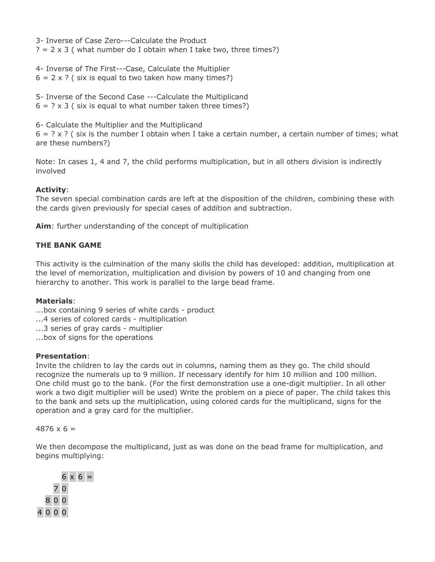3- Inverse of Case Zero---Calculate the Product  $? = 2 \times 3$  (what number do I obtain when I take two, three times?)

4- Inverse of The First---Case, Calculate the Multiplier  $6 = 2 \times ?$  ( six is equal to two taken how many times?)

5- Inverse of the Second Case ---Calculate the Multiplicand  $6 = ? \times 3$  (six is equal to what number taken three times?)

6- Calculate the Multiplier and the Multiplicand

 $6 = ? \times ?$  (six is the number I obtain when I take a certain number, a certain number of times; what are these numbers?)

Note: In cases 1, 4 and 7, the child performs multiplication, but in all others division is indirectly involved

# **Activity**:

The seven special combination cards are left at the disposition of the children, combining these with the cards given previously for special cases of addition and subtraction.

**Aim**: further understanding of the concept of multiplication

# **THE BANK GAME**

This activity is the culmination of the many skills the child has developed: addition, multiplication at the level of memorization, multiplication and division by powers of 10 and changing from one hierarchy to another. This work is parallel to the large bead frame.

# **Materials**:

- ...box containing 9 series of white cards product
- ...4 series of colored cards multiplication
- ...3 series of gray cards multiplier
- ...box of signs for the operations

# **Presentation**:

Invite the children to lay the cards out in columns, naming them as they go. The child should recognize the numerals up to 9 million. If necessary identify for him 10 million and 100 million. One child must go to the bank. (For the first demonstration use a one-digit multiplier. In all other work a two digit multiplier will be used) Write the problem on a piece of paper. The child takes this to the bank and sets up the multiplication, using colored cards for the multiplicand, signs for the operation and a gray card for the multiplier.

#### $4876 \times 6 =$

We then decompose the multiplicand, just as was done on the bead frame for multiplication, and begins multiplying:

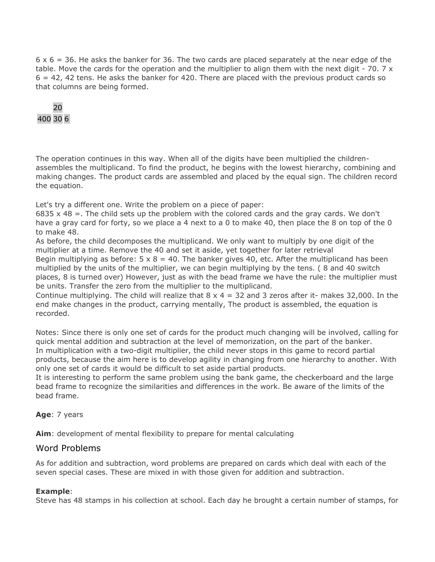$6 \times 6 = 36$ . He asks the banker for 36. The two cards are placed separately at the near edge of the table. Move the cards for the operation and the multiplier to align them with the next digit - 70. 7  $\times$  $6 = 42$ , 42 tens. He asks the banker for 420. There are placed with the previous product cards so that columns are being formed.

# 20 400 30 6

The operation continues in this way. When all of the digits have been multiplied the childrenassembles the multiplicand. To find the product, he begins with the lowest hierarchy, combining and making changes. The product cards are assembled and placed by the equal sign. The children record the equation.

Let's try a different one. Write the problem on a piece of paper:

6835  $\times$  48 =. The child sets up the problem with the colored cards and the gray cards. We don't have a gray card for forty, so we place a 4 next to a 0 to make 40, then place the 8 on top of the 0 to make 48.

As before, the child decomposes the multiplicand. We only want to multiply by one digit of the multiplier at a time. Remove the 40 and set it aside, yet together for later retrieval

Begin multiplying as before:  $5 \times 8 = 40$ . The banker gives 40, etc. After the multiplicand has been multiplied by the units of the multiplier, we can begin multiplying by the tens. ( 8 and 40 switch places, 8 is turned over) However, just as with the bead frame we have the rule: the multiplier must be units. Transfer the zero from the multiplier to the multiplicand.

Continue multiplying. The child will realize that  $8 \times 4 = 32$  and 3 zeros after it- makes 32,000. In the end make changes in the product, carrying mentally, The product is assembled, the equation is recorded.

Notes: Since there is only one set of cards for the product much changing will be involved, calling for quick mental addition and subtraction at the level of memorization, on the part of the banker. In multiplication with a two-digit multiplier, the child never stops in this game to record partial products, because the aim here is to develop agility in changing from one hierarchy to another. With only one set of cards it would be difficult to set aside partial products.

It is interesting to perform the same problem using the bank game, the checkerboard and the large bead frame to recognize the similarities and differences in the work. Be aware of the limits of the bead frame.

# **Age**: 7 years

**Aim**: development of mental flexibility to prepare for mental calculating

# Word Problems

As for addition and subtraction, word problems are prepared on cards which deal with each of the seven special cases. These are mixed in with those given for addition and subtraction.

# **Example**:

Steve has 48 stamps in his collection at school. Each day he brought a certain number of stamps, for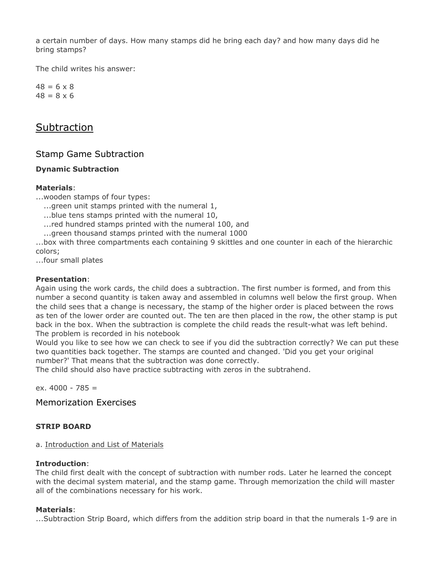a certain number of days. How many stamps did he bring each day? and how many days did he bring stamps?

The child writes his answer:

 $48 = 6 \times 8$  $48 = 8 \times 6$ 

# **Subtraction**

# Stamp Game Subtraction

# **Dynamic Subtraction**

## **Materials**:

...wooden stamps of four types:

...green unit stamps printed with the numeral 1,

......blue tens stamps printed with the numeral 10,

....red hundred stamps printed with the numeral 100, and

...green thousand stamps printed with the numeral 1000

...box with three compartments each containing 9 skittles and one counter in each of the hierarchic colors;

...four small plates

#### **Presentation**:

Again using the work cards, the child does a subtraction. The first number is formed, and from this number a second quantity is taken away and assembled in columns well below the first group. When the child sees that a change is necessary, the stamp of the higher order is placed between the rows as ten of the lower order are counted out. The ten are then placed in the row, the other stamp is put back in the box. When the subtraction is complete the child reads the result-what was left behind. The problem is recorded in his notebook

Would you like to see how we can check to see if you did the subtraction correctly? We can put these two quantities back together. The stamps are counted and changed. 'Did you get your original number?' That means that the subtraction was done correctly.

The child should also have practice subtracting with zeros in the subtrahend.

ex.  $4000 - 785 =$ 

Memorization Exercises

# **STRIP BOARD**

#### a. Introduction and List of Materials

#### **Introduction**:

The child first dealt with the concept of subtraction with number rods. Later he learned the concept with the decimal system material, and the stamp game. Through memorization the child will master all of the combinations necessary for his work.

#### **Materials**:

...Subtraction Strip Board, which differs from the addition strip board in that the numerals 1-9 are in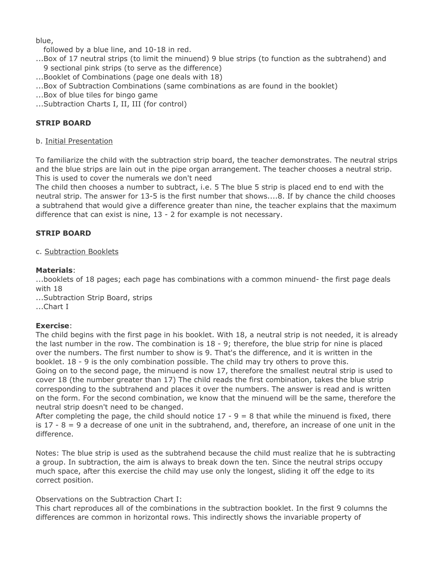blue,

followed by a blue line, and 10-18 in red.

- ...Box of 17 neutral strips (to limit the minuend) 9 blue strips (to function as the subtrahend) and 9 sectional pink strips (to serve as the difference)
- ...Booklet of Combinations (page one deals with 18)
- ...Box of Subtraction Combinations (same combinations as are found in the booklet)
- ...Box of blue tiles for bingo game
- ...Subtraction Charts I, II, III (for control)

# **STRIP BOARD**

#### b. Initial Presentation

To familiarize the child with the subtraction strip board, the teacher demonstrates. The neutral strips and the blue strips are lain out in the pipe organ arrangement. The teacher chooses a neutral strip. This is used to cover the numerals we don't need

The child then chooses a number to subtract, i.e. 5 The blue 5 strip is placed end to end with the neutral strip. The answer for 13-5 is the first number that shows....8. If by chance the child chooses a subtrahend that would give a difference greater than nine, the teacher explains that the maximum difference that can exist is nine, 13 - 2 for example is not necessary.

# **STRIP BOARD**

## c. Subtraction Booklets

## **Materials**:

...booklets of 18 pages; each page has combinations with a common minuend- the first page deals with 18

...Subtraction Strip Board, strips ...Chart I

# **Exercise**:

The child begins with the first page in his booklet. With 18, a neutral strip is not needed, it is already the last number in the row. The combination is  $18 - 9$ ; therefore, the blue strip for nine is placed over the numbers. The first number to show is 9. That's the difference, and it is written in the booklet. 18 - 9 is the only combination possible. The child may try others to prove this. Going on to the second page, the minuend is now 17, therefore the smallest neutral strip is used to cover 18 (the number greater than 17) The child reads the first combination, takes the blue strip corresponding to the subtrahend and places it over the numbers. The answer is read and is written on the form. For the second combination, we know that the minuend will be the same, therefore the neutral strip doesn't need to be changed.

After completing the page, the child should notice  $17 - 9 = 8$  that while the minuend is fixed, there is  $17 - 8 = 9$  a decrease of one unit in the subtrahend, and, therefore, an increase of one unit in the difference.

Notes: The blue strip is used as the subtrahend because the child must realize that he is subtracting a group. In subtraction, the aim is always to break down the ten. Since the neutral strips occupy much space, after this exercise the child may use only the longest, sliding it off the edge to its correct position.

# Observations on the Subtraction Chart I:

This chart reproduces all of the combinations in the subtraction booklet. In the first 9 columns the differences are common in horizontal rows. This indirectly shows the invariable property of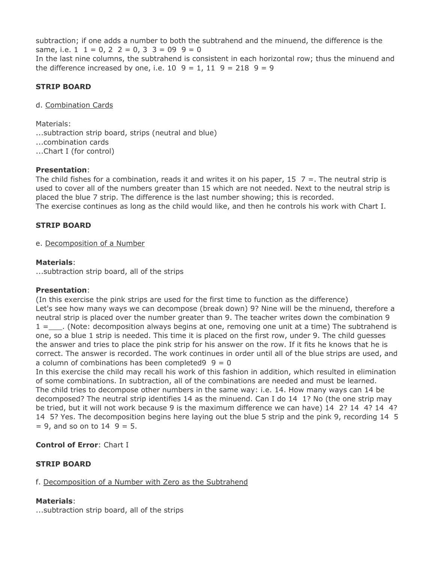subtraction; if one adds a number to both the subtrahend and the minuend, the difference is the same, i.e.  $1 \t1 = 0, 2 \t2 = 0, 3 \t3 = 09 \t9 = 0$ In the last nine columns, the subtrahend is consistent in each horizontal row; thus the minuend and the difference increased by one, i.e.  $10\,9 = 1$ ,  $11\,9 = 218\,9 = 9$ 

# **STRIP BOARD**

d. Combination Cards

Materials:

...subtraction strip board, strips (neutral and blue)

...combination cards

...Chart I (for control)

#### **Presentation**:

The child fishes for a combination, reads it and writes it on his paper,  $15 \, 7 =$ . The neutral strip is used to cover all of the numbers greater than 15 which are not needed. Next to the neutral strip is placed the blue 7 strip. The difference is the last number showing; this is recorded.

The exercise continues as long as the child would like, and then he controls his work with Chart I.

#### **STRIP BOARD**

e. Decomposition of a Number

#### **Materials**:

...subtraction strip board, all of the strips

#### **Presentation**:

(In this exercise the pink strips are used for the first time to function as the difference) Let's see how many ways we can decompose (break down) 9? Nine will be the minuend, therefore a neutral strip is placed over the number greater than 9. The teacher writes down the combination 9  $1 =$  (Note: decomposition always begins at one, removing one unit at a time) The subtrahend is one, so a blue 1 strip is needed. This time it is placed on the first row, under 9. The child guesses the answer and tries to place the pink strip for his answer on the row. If it fits he knows that he is correct. The answer is recorded. The work continues in order until all of the blue strips are used, and a column of combinations has been completed  $9 = 0$ 

In this exercise the child may recall his work of this fashion in addition, which resulted in elimination of some combinations. In subtraction, all of the combinations are needed and must be learned. The child tries to decompose other numbers in the same way: i.e. 14. How many ways can 14 be decomposed? The neutral strip identifies 14 as the minuend. Can I do 14 1? No (the one strip may be tried, but it will not work because 9 is the maximum difference we can have) 14 2? 14 4? 14 4? 14 5? Yes. The decomposition begins here laying out the blue 5 strip and the pink 9, recording 14 5  $= 9$ , and so on to 14  $9 = 5$ .

# **Control of Error**: Chart I

# **STRIP BOARD**

f. Decomposition of a Number with Zero as the Subtrahend

#### **Materials**:

...subtraction strip board, all of the strips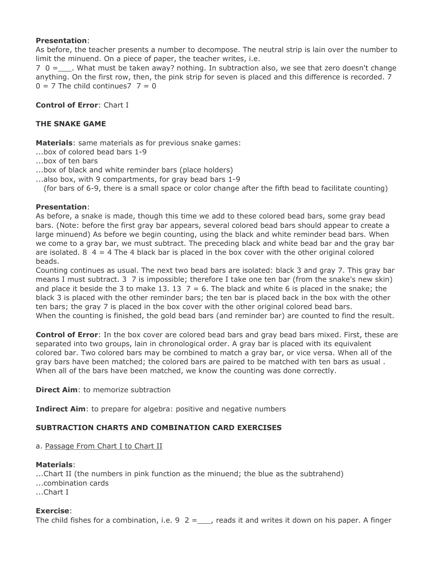## **Presentation**:

As before, the teacher presents a number to decompose. The neutral strip is lain over the number to limit the minuend. On a piece of paper, the teacher writes, i.e.

 $7 \t0 =$  . What must be taken away? nothing. In subtraction also, we see that zero doesn't change anything. On the first row, then, the pink strip for seven is placed and this difference is recorded. 7  $0 = 7$  The child continues  $7 = 0$ 

## **Control of Error**: Chart I

## **THE SNAKE GAME**

**Materials**: same materials as for previous snake games:

...box of colored bead bars 1-9

...box of ten bars

...box of black and white reminder bars (place holders)

...also box, with 9 compartments, for gray bead bars 1-9

...(for bars of 6-9, there is a small space or color change after the fifth bead to facilitate counting)

## **Presentation**:

As before, a snake is made, though this time we add to these colored bead bars, some gray bead bars. (Note: before the first gray bar appears, several colored bead bars should appear to create a large minuend) As before we begin counting, using the black and white reminder bead bars. When we come to a gray bar, we must subtract. The preceding black and white bead bar and the gray bar are isolated. 8  $4 = 4$  The 4 black bar is placed in the box cover with the other original colored beads.

Counting continues as usual. The next two bead bars are isolated: black 3 and gray 7. This gray bar means I must subtract. 3 7 is impossible; therefore I take one ten bar (from the snake's new skin) and place it beside the 3 to make 13. 13  $7 = 6$ . The black and white 6 is placed in the snake; the black 3 is placed with the other reminder bars; the ten bar is placed back in the box with the other ten bars; the gray 7 is placed in the box cover with the other original colored bead bars. When the counting is finished, the gold bead bars (and reminder bar) are counted to find the result.

**Control of Error**: In the box cover are colored bead bars and gray bead bars mixed. First, these are separated into two groups, lain in chronological order. A gray bar is placed with its equivalent colored bar. Two colored bars may be combined to match a gray bar, or vice versa. When all of the gray bars have been matched; the colored bars are paired to be matched with ten bars as usual . When all of the bars have been matched, we know the counting was done correctly.

**Direct Aim:** to memorize subtraction

**Indirect Aim**: to prepare for algebra: positive and negative numbers

#### **SUBTRACTION CHARTS AND COMBINATION CARD EXERCISES**

a. Passage From Chart I to Chart II

#### **Materials**:

...Chart II (the numbers in pink function as the minuend; the blue as the subtrahend) ...combination cards ...Chart I

#### **Exercise**:

The child fishes for a combination, i.e.  $9 \ 2 =$ , reads it and writes it down on his paper. A finger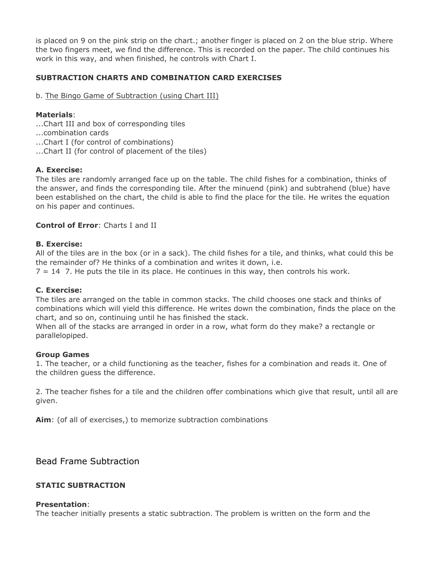is placed on 9 on the pink strip on the chart.; another finger is placed on 2 on the blue strip. Where the two fingers meet, we find the difference. This is recorded on the paper. The child continues his work in this way, and when finished, he controls with Chart I.

# **SUBTRACTION CHARTS AND COMBINATION CARD EXERCISES**

## b. The Bingo Game of Subtraction (using Chart III)

## **Materials**:

- ...Chart III and box of corresponding tiles
- ...combination cards
- ...Chart I (for control of combinations)
- ...Chart II (for control of placement of the tiles)

## **A. Exercise:**

The tiles are randomly arranged face up on the table. The child fishes for a combination, thinks of the answer, and finds the corresponding tile. After the minuend (pink) and subtrahend (blue) have been established on the chart, the child is able to find the place for the tile. He writes the equation on his paper and continues.

## **Control of Error**: Charts I and II

#### **B. Exercise:**

All of the tiles are in the box (or in a sack). The child fishes for a tile, and thinks, what could this be the remainder of? He thinks of a combination and writes it down, i.e.

 $7 = 14$  7. He puts the tile in its place. He continues in this way, then controls his work.

#### **C. Exercise:**

The tiles are arranged on the table in common stacks. The child chooses one stack and thinks of combinations which will yield this difference. He writes down the combination, finds the place on the chart, and so on, continuing until he has finished the stack.

When all of the stacks are arranged in order in a row, what form do they make? a rectangle or parallelopiped.

#### **Group Games**

1. The teacher, or a child functioning as the teacher, fishes for a combination and reads it. One of the children guess the difference.

2. The teacher fishes for a tile and the children offer combinations which give that result, until all are given.

**Aim**: (of all of exercises,) to memorize subtraction combinations

Bead Frame Subtraction

#### **STATIC SUBTRACTION**

#### **Presentation**:

The teacher initially presents a static subtraction. The problem is written on the form and the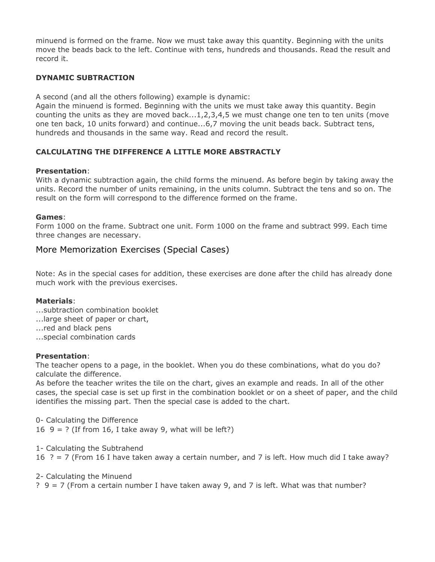minuend is formed on the frame. Now we must take away this quantity. Beginning with the units move the beads back to the left. Continue with tens, hundreds and thousands. Read the result and record it.

# **DYNAMIC SUBTRACTION**

A second (and all the others following) example is dynamic:

Again the minuend is formed. Beginning with the units we must take away this quantity. Begin counting the units as they are moved back...1,2,3,4,5 we must change one ten to ten units (move one ten back, 10 units forward) and continue...6,7 moving the unit beads back. Subtract tens, hundreds and thousands in the same way. Read and record the result.

# **CALCULATING THE DIFFERENCE A LITTLE MORE ABSTRACTLY**

#### **Presentation**:

With a dynamic subtraction again, the child forms the minuend. As before begin by taking away the units. Record the number of units remaining, in the units column. Subtract the tens and so on. The result on the form will correspond to the difference formed on the frame.

## **Games**:

Form 1000 on the frame. Subtract one unit. Form 1000 on the frame and subtract 999. Each time three changes are necessary.

# More Memorization Exercises (Special Cases)

Note: As in the special cases for addition, these exercises are done after the child has already done much work with the previous exercises.

# **Materials**:

- ...subtraction combination booklet
- ...large sheet of paper or chart,
- ...red and black pens
- ...special combination cards

#### **Presentation**:

The teacher opens to a page, in the booklet. When you do these combinations, what do you do? calculate the difference.

As before the teacher writes the tile on the chart, gives an example and reads. In all of the other cases, the special case is set up first in the combination booklet or on a sheet of paper, and the child identifies the missing part. Then the special case is added to the chart.

0- Calculating the Difference 16  $9 = ?$  (If from 16, I take away 9, what will be left?)

1- Calculating the Subtrahend 16  $? = 7$  (From 16 I have taken away a certain number, and 7 is left. How much did I take away?

2- Calculating the Minuend

? 9 = 7 (From a certain number I have taken away 9, and 7 is left. What was that number?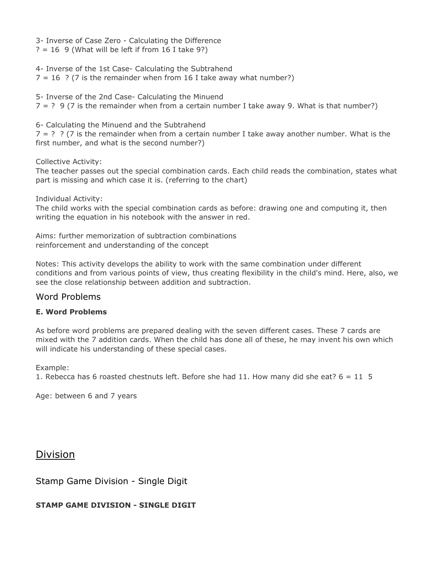3- Inverse of Case Zero - Calculating the Difference

 $? = 16$  9 (What will be left if from 16 I take 9?)

4- Inverse of the 1st Case- Calculating the Subtrahend  $7 = 16$  ? (7 is the remainder when from 16 I take away what number?)

5- Inverse of the 2nd Case- Calculating the Minuend  $7 = ?$  9 (7 is the remainder when from a certain number I take away 9. What is that number?)

6- Calculating the Minuend and the Subtrahend

 $7 = ?$  ? (7 is the remainder when from a certain number I take away another number. What is the first number, and what is the second number?)

Collective Activity:

The teacher passes out the special combination cards. Each child reads the combination, states what part is missing and which case it is. (referring to the chart)

Individual Activity:

The child works with the special combination cards as before: drawing one and computing it, then writing the equation in his notebook with the answer in red.

Aims: further memorization of subtraction combinations reinforcement and understanding of the concept

Notes: This activity develops the ability to work with the same combination under different conditions and from various points of view, thus creating flexibility in the child's mind. Here, also, we see the close relationship between addition and subtraction.

# Word Problems

# **E. Word Problems**

As before word problems are prepared dealing with the seven different cases. These 7 cards are mixed with the 7 addition cards. When the child has done all of these, he may invent his own which will indicate his understanding of these special cases.

Example:

1. Rebecca has 6 roasted chestnuts left. Before she had 11. How many did she eat?  $6 = 11, 5$ 

Age: between 6 and 7 years

# Division

Stamp Game Division - Single Digit

# **STAMP GAME DIVISION - SINGLE DIGIT**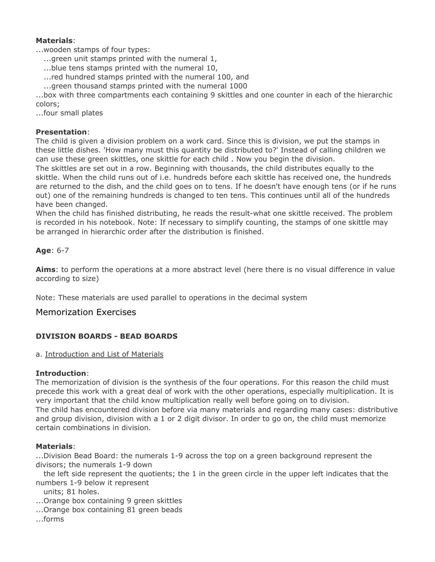## **Materials**:

...wooden stamps of four types:

- ...green unit stamps printed with the numeral 1,
- ......blue tens stamps printed with the numeral 10,
- ....red hundred stamps printed with the numeral 100, and
- ......green thousand stamps printed with the numeral 1000

...box with three compartments each containing 9 skittles and one counter in each of the hierarchic colors;

...four small plates

## **Presentation**:

The child is given a division problem on a work card. Since this is division, we put the stamps in these little dishes. 'How many must this quantity be distributed to?' Instead of calling children we can use these green skittles, one skittle for each child . Now you begin the division.

The skittles are set out in a row. Beginning with thousands, the child distributes equally to the skittle. When the child runs out of i.e. hundreds before each skittle has received one, the hundreds are returned to the dish, and the child goes on to tens. If he doesn't have enough tens (or if he runs out) one of the remaining hundreds is changed to ten tens. This continues until all of the hundreds have been changed.

When the child has finished distributing, he reads the result-what one skittle received. The problem is recorded in his notebook. Note: If necessary to simplify counting, the stamps of one skittle may be arranged in hierarchic order after the distribution is finished.

# **Age**: 6-7

**Aims**: to perform the operations at a more abstract level (here there is no visual difference in value according to size)

Note: These materials are used parallel to operations in the decimal system

# Memorization Exercises

# **DIVISION BOARDS - BEAD BOARDS**

#### a. Introduction and List of Materials

#### **Introduction**:

The memorization of division is the synthesis of the four operations. For this reason the child must precede this work with a great deal of work with the other operations, especially multiplication. It is very important that the child know multiplication really well before going on to division. The child has encountered division before via many materials and regarding many cases: distributive and group division, division with a 1 or 2 digit divisor. In order to go on, the child must memorize certain combinations in division.

#### **Materials**:

...Division Bead Board: the numerals 1-9 across the top on a green background represent the divisors; the numerals 1-9 down

the left side represent the quotients; the 1 in the green circle in the upper left indicates that the numbers 1-9 below it represent

units; 81 holes.

...Orange box containing 9 green skittles

...Orange box containing 81 green beads

...forms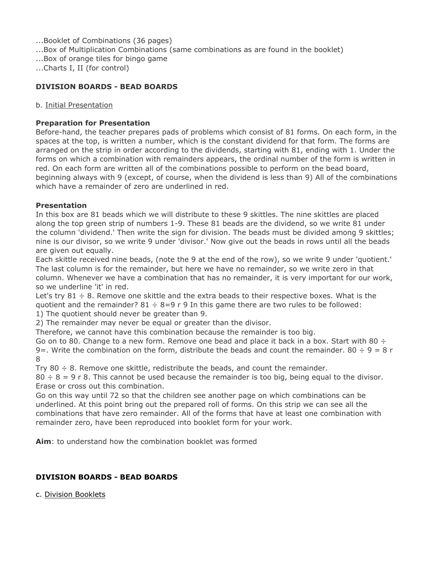...Booklet of Combinations (36 pages)

- ...Box of Multiplication Combinations (same combinations as are found in the booklet)
- ...Box of orange tiles for bingo game

...Charts I, II (for control)

## **DIVISION BOARDS - BEAD BOARDS**

#### b. Initial Presentation

## **Preparation for Presentation**

Before-hand, the teacher prepares pads of problems which consist of 81 forms. On each form, in the spaces at the top, is written a number, which is the constant dividend for that form. The forms are arranged on the strip in order according to the dividends, starting with 81, ending with 1. Under the forms on which a combination with remainders appears, the ordinal number of the form is written in red. On each form are written all of the combinations possible to perform on the bead board, beginning always with 9 (except, of course, when the dividend is less than 9) All of the combinations which have a remainder of zero are underlined in red.

#### **Presentation**

In this box are 81 beads which we will distribute to these 9 skittles. The nine skittles are placed along the top green strip of numbers 1-9. These 81 beads are the dividend, so we write 81 under the column 'dividend.' Then write the sign for division. The beads must be divided among 9 skittles; nine is our divisor, so we write 9 under 'divisor.' Now give out the beads in rows until all the beads are given out equally.

Each skittle received nine beads, (note the 9 at the end of the row), so we write 9 under 'quotient.' The last column is for the remainder, but here we have no remainder, so we write zero in that column. Whenever we have a combination that has no remainder, it is very important for our work, so we underline 'it' in red.

Let's try  $81 \div 8$ . Remove one skittle and the extra beads to their respective boxes. What is the quotient and the remainder?  $81 \div 8 = 9$  r 9 In this game there are two rules to be followed: 1) The quotient should never be greater than 9.

2) The remainder may never be equal or greater than the divisor.

Therefore, we cannot have this combination because the remainder is too big.

Go on to 80. Change to a new form. Remove one bead and place it back in a box. Start with 80  $\div$ 9=. Write the combination on the form, distribute the beads and count the remainder. 80  $\div$  9 = 8 r 8

Try  $80 \div 8$ . Remove one skittle, redistribute the beads, and count the remainder.

 $80 \div 8 = 9$  r 8. This cannot be used because the remainder is too big, being equal to the divisor. Erase or cross out this combination.

Go on this way until 72 so that the children see another page on which combinations can be underlined. At this point bring out the prepared roll of forms. On this strip we can see all the combinations that have zero remainder. All of the forms that have at least one combination with remainder zero, have been reproduced into booklet form for your work.

**Aim**: to understand how the combination booklet was formed

# **DIVISION BOARDS - BEAD BOARDS**

c. Division Booklets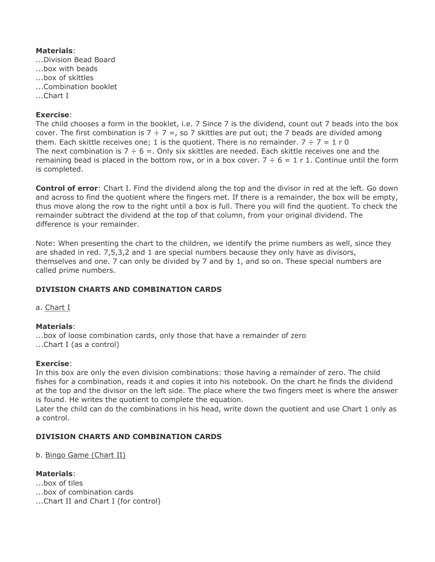# **Materials**:

- ...Division Bead Board
- ...box with beads
- ...box of skittles
- ...Combination booklet
- ...Chart I

# **Exercise**:

The child chooses a form in the booklet, i.e. 7 Since 7 is the dividend, count out 7 beads into the box cover. The first combination is  $7 \div 7 =$ , so 7 skittles are put out; the 7 beads are divided among them. Each skittle receives one; 1 is the quotient. There is no remainder.  $7 \div 7 = 1$  r 0 The next combination is  $7 \div 6 =$ . Only six skittles are needed. Each skittle receives one and the remaining bead is placed in the bottom row, or in a box cover.  $7 \div 6 = 1$  r 1. Continue until the form is completed.

**Control of error**: Chart I. Find the dividend along the top and the divisor in red at the left. Go down and across to find the quotient where the fingers met. If there is a remainder, the box will be empty, thus move along the row to the right until a box is full. There you will find the quotient. To check the remainder subtract the dividend at the top of that column, from your original dividend. The difference is your remainder.

Note: When presenting the chart to the children, we identify the prime numbers as well, since they are shaded in red. 7,5,3,2 and 1 are special numbers because they only have as divisors, themselves and one. 7 can only be divided by 7 and by 1, and so on. These special numbers are called prime numbers.

# **DIVISION CHARTS AND COMBINATION CARDS**

a. Chart I

# **Materials**:

...box of loose combination cards, only those that have a remainder of zero ...Chart I (as a control)

# **Exercise**:

In this box are only the even division combinations: those having a remainder of zero. The child fishes for a combination, reads it and copies it into his notebook. On the chart he finds the dividend at the top and the divisor on the left side. The place where the two fingers meet is where the answer is found. He writes the quotient to complete the equation.

Later the child can do the combinations in his head, write down the quotient and use Chart 1 only as a control.

# **DIVISION CHARTS AND COMBINATION CARDS**

b. Bingo Game (Chart II)

# **Materials**:

- ...box of tiles
- ...box of combination cards
- ...Chart II and Chart I (for control)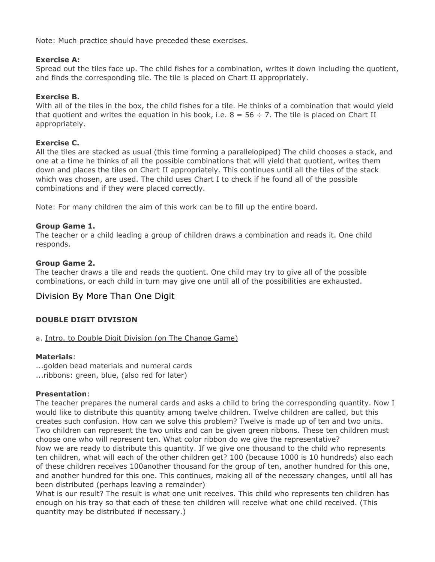Note: Much practice should have preceded these exercises.

## **Exercise A:**

Spread out the tiles face up. The child fishes for a combination, writes it down including the quotient, and finds the corresponding tile. The tile is placed on Chart II appropriately.

## **Exercise B.**

With all of the tiles in the box, the child fishes for a tile. He thinks of a combination that would yield that quotient and writes the equation in his book, i.e.  $8 = 56 \div 7$ . The tile is placed on Chart II appropriately.

## **Exercise C.**

All the tiles are stacked as usual (this time forming a parallelopiped) The child chooses a stack, and one at a time he thinks of all the possible combinations that will yield that quotient, writes them down and places the tiles on Chart II appropriately. This continues until all the tiles of the stack which was chosen, are used. The child uses Chart I to check if he found all of the possible combinations and if they were placed correctly.

Note: For many children the aim of this work can be to fill up the entire board.

## **Group Game 1.**

The teacher or a child leading a group of children draws a combination and reads it. One child responds.

## **Group Game 2.**

The teacher draws a tile and reads the quotient. One child may try to give all of the possible combinations, or each child in turn may give one until all of the possibilities are exhausted.

# Division By More Than One Digit

# **DOUBLE DIGIT DIVISION**

a. Intro. to Double Digit Division (on The Change Game)

#### **Materials**:

...golden bead materials and numeral cards ...ribbons: green, blue, (also red for later)

# **Presentation**:

The teacher prepares the numeral cards and asks a child to bring the corresponding quantity. Now I would like to distribute this quantity among twelve children. Twelve children are called, but this creates such confusion. How can we solve this problem? Twelve is made up of ten and two units. Two children can represent the two units and can be given green ribbons. These ten children must choose one who will represent ten. What color ribbon do we give the representative? Now we are ready to distribute this quantity. If we give one thousand to the child who represents ten children, what will each of the other children get? 100 (because 1000 is 10 hundreds) also each of these children receives 100another thousand for the group of ten, another hundred for this one, and another hundred for this one. This continues, making all of the necessary changes, until all has been distributed (perhaps leaving a remainder)

What is our result? The result is what one unit receives. This child who represents ten children has enough on his tray so that each of these ten children will receive what one child received. (This quantity may be distributed if necessary.)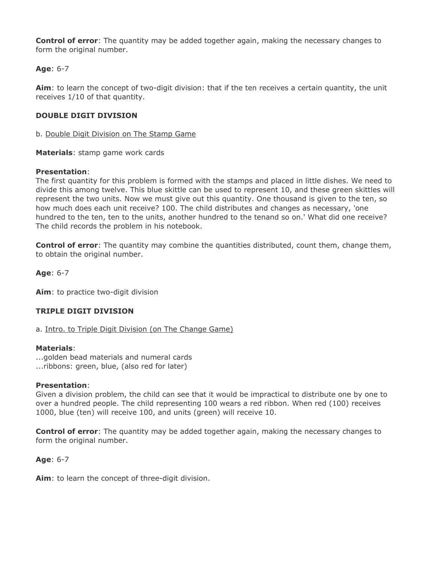**Control of error**: The quantity may be added together again, making the necessary changes to form the original number.

# **Age**: 6-7

**Aim**: to learn the concept of two-digit division: that if the ten receives a certain quantity, the unit receives 1/10 of that quantity.

# **DOUBLE DIGIT DIVISION**

b. Double Digit Division on The Stamp Game

**Materials**: stamp game work cards

## **Presentation**:

The first quantity for this problem is formed with the stamps and placed in little dishes. We need to divide this among twelve. This blue skittle can be used to represent 10, and these green skittles will represent the two units. Now we must give out this quantity. One thousand is given to the ten, so how much does each unit receive? 100. The child distributes and changes as necessary, 'one hundred to the ten, ten to the units, another hundred to the tenand so on.' What did one receive? The child records the problem in his notebook.

**Control of error**: The quantity may combine the quantities distributed, count them, change them, to obtain the original number.

**Age**: 6-7

**Aim**: to practice two-digit division

# **TRIPLE DIGIT DIVISION**

a. Intro. to Triple Digit Division (on The Change Game)

#### **Materials**:

...golden bead materials and numeral cards ...ribbons: green, blue, (also red for later)

# **Presentation**:

Given a division problem, the child can see that it would be impractical to distribute one by one to over a hundred people. The child representing 100 wears a red ribbon. When red (100) receives 1000, blue (ten) will receive 100, and units (green) will receive 10.

**Control of error**: The quantity may be added together again, making the necessary changes to form the original number.

# **Age**: 6-7

**Aim**: to learn the concept of three-digit division.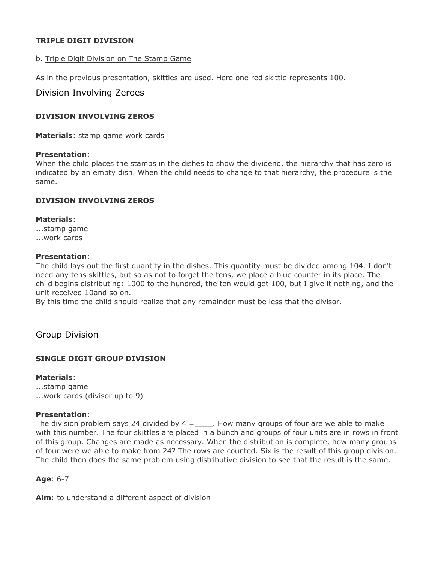## **TRIPLE DIGIT DIVISION**

#### b. Triple Digit Division on The Stamp Game

As in the previous presentation, skittles are used. Here one red skittle represents 100.

## Division Involving Zeroes

#### **DIVISION INVOLVING ZEROS**

**Materials**: stamp game work cards

#### **Presentation**:

When the child places the stamps in the dishes to show the dividend, the hierarchy that has zero is indicated by an empty dish. When the child needs to change to that hierarchy, the procedure is the same.

#### **DIVISION INVOLVING ZEROS**

#### **Materials**:

...stamp game ...work cards

#### **Presentation**:

The child lays out the first quantity in the dishes. This quantity must be divided among 104. I don't need any tens skittles, but so as not to forget the tens, we place a blue counter in its place. The child begins distributing: 1000 to the hundred, the ten would get 100, but I give it nothing, and the unit received 10and so on.

By this time the child should realize that any remainder must be less that the divisor.

# Group Division

# **SINGLE DIGIT GROUP DIVISION**

#### **Materials**:

...stamp game ...work cards (divisor up to 9)

#### **Presentation**:

The division problem says 24 divided by  $4 =$ \_\_\_\_\_. How many groups of four are we able to make with this number. The four skittles are placed in a bunch and groups of four units are in rows in front of this group. Changes are made as necessary. When the distribution is complete, how many groups of four were we able to make from 24? The rows are counted. Six is the result of this group division. The child then does the same problem using distributive division to see that the result is the same.

#### **Age**: 6-7

**Aim**: to understand a different aspect of division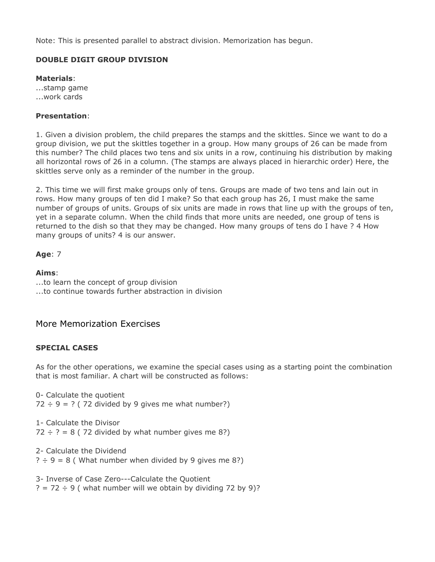Note: This is presented parallel to abstract division. Memorization has begun.

# **DOUBLE DIGIT GROUP DIVISION**

**Materials**: ...stamp game

...work cards

# **Presentation**:

1. Given a division problem, the child prepares the stamps and the skittles. Since we want to do a group division, we put the skittles together in a group. How many groups of 26 can be made from this number? The child places two tens and six units in a row, continuing his distribution by making all horizontal rows of 26 in a column. (The stamps are always placed in hierarchic order) Here, the skittles serve only as a reminder of the number in the group.

2. This time we will first make groups only of tens. Groups are made of two tens and lain out in rows. How many groups of ten did I make? So that each group has 26, I must make the same number of groups of units. Groups of six units are made in rows that line up with the groups of ten, yet in a separate column. When the child finds that more units are needed, one group of tens is returned to the dish so that they may be changed. How many groups of tens do I have ? 4 How many groups of units? 4 is our answer.

**Age**: 7

**Aims**: ...to learn the concept of group division ...to continue towards further abstraction in division

# More Memorization Exercises

# **SPECIAL CASES**

As for the other operations, we examine the special cases using as a starting point the combination that is most familiar. A chart will be constructed as follows:

0- Calculate the quotient  $72 \div 9 = ?$  (72 divided by 9 gives me what number?)

1- Calculate the Divisor  $72 \div ? = 8$  (72 divided by what number gives me 8?)

2- Calculate the Dividend  $? \div 9 = 8$  (What number when divided by 9 gives me 8?)

3- Inverse of Case Zero---Calculate the Quotient  $? = 72 \div 9$  (what number will we obtain by dividing 72 by 9)?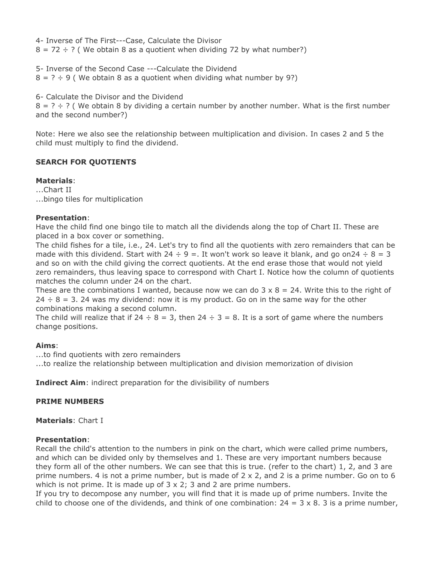4- Inverse of The First---Case, Calculate the Divisor  $8 = 72 \div ?$  (We obtain 8 as a quotient when dividing 72 by what number?)

5- Inverse of the Second Case ---Calculate the Dividend  $8 = ? ÷ 9$  (We obtain 8 as a quotient when dividing what number by 9?)

6- Calculate the Divisor and the Dividend  $8 = ? \div ?$  (We obtain 8 by dividing a certain number by another number. What is the first number and the second number?)

Note: Here we also see the relationship between multiplication and division. In cases 2 and 5 the child must multiply to find the dividend.

# **SEARCH FOR QUOTIENTS**

## **Materials**:

...Chart II ...bingo tiles for multiplication

## **Presentation**:

Have the child find one bingo tile to match all the dividends along the top of Chart II. These are placed in a box cover or something.

The child fishes for a tile, i.e., 24. Let's try to find all the quotients with zero remainders that can be made with this dividend. Start with 24  $\div$  9 =. It won't work so leave it blank, and go on24  $\div$  8 = 3 and so on with the child giving the correct quotients. At the end erase those that would not yield zero remainders, thus leaving space to correspond with Chart I. Notice how the column of quotients matches the column under 24 on the chart.

These are the combinations I wanted, because now we can do  $3 \times 8 = 24$ . Write this to the right of  $24 \div 8 = 3$ . 24 was my dividend: now it is my product. Go on in the same way for the other combinations making a second column.

The child will realize that if 24  $\div$  8 = 3, then 24  $\div$  3 = 8. It is a sort of game where the numbers change positions.

# **Aims**:

...to find quotients with zero remainders

...to realize the relationship between multiplication and division memorization of division

**Indirect Aim**: indirect preparation for the divisibility of numbers

# **PRIME NUMBERS**

**Materials**: Chart I

# **Presentation**:

Recall the child's attention to the numbers in pink on the chart, which were called prime numbers, and which can be divided only by themselves and 1. These are very important numbers because they form all of the other numbers. We can see that this is true. (refer to the chart) 1, 2, and 3 are prime numbers. 4 is not a prime number, but is made of 2 x 2, and 2 is a prime number. Go on to 6 which is not prime. It is made up of  $3 \times 2$ ; 3 and 2 are prime numbers.

If you try to decompose any number, you will find that it is made up of prime numbers. Invite the child to choose one of the dividends, and think of one combination:  $24 = 3 \times 8$ . 3 is a prime number,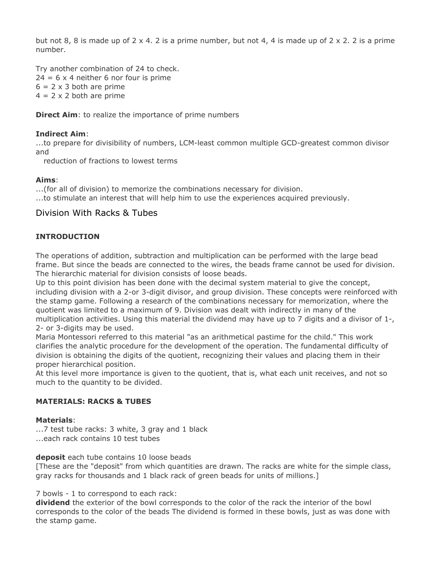but not 8, 8 is made up of  $2 \times 4$ . 2 is a prime number, but not 4, 4 is made up of  $2 \times 2$ . 2 is a prime number.

Try another combination of 24 to check.  $24 = 6 \times 4$  neither 6 nor four is prime  $6 = 2 \times 3$  both are prime  $4 = 2 \times 2$  both are prime

**Direct Aim:** to realize the importance of prime numbers

## **Indirect Aim**:

...to prepare for divisibility of numbers, LCM-least common multiple GCD-greatest common divisor and

reduction of fractions to lowest terms

## **Aims**:

...(for all of division) to memorize the combinations necessary for division. ...to stimulate an interest that will help him to use the experiences acquired previously.

# Division With Racks & Tubes

## **INTRODUCTION**

The operations of addition, subtraction and multiplication can be performed with the large bead frame. But since the beads are connected to the wires, the beads frame cannot be used for division. The hierarchic material for division consists of loose beads.

Up to this point division has been done with the decimal system material to give the concept, including division with a 2-or 3-digit divisor, and group division. These concepts were reinforced with the stamp game. Following a research of the combinations necessary for memorization, where the quotient was limited to a maximum of 9. Division was dealt with indirectly in many of the multiplication activities. Using this material the dividend may have up to 7 digits and a divisor of 1-, 2- or 3-digits may be used.

Maria Montessori referred to this material "as an arithmetical pastime for the child." This work clarifies the analytic procedure for the development of the operation. The fundamental difficulty of division is obtaining the digits of the quotient, recognizing their values and placing them in their proper hierarchical position.

At this level more importance is given to the quotient, that is, what each unit receives, and not so much to the quantity to be divided.

#### **MATERIALS: RACKS & TUBES**

#### **Materials**:

...7 test tube racks: 3 white, 3 gray and 1 black ...each rack contains 10 test tubes

**deposit** each tube contains 10 loose beads

[These are the "deposit" from which quantities are drawn. The racks are white for the simple class, gray racks for thousands and 1 black rack of green beads for units of millions.]

7 bowls - 1 to correspond to each rack:

**dividend** the exterior of the bowl corresponds to the color of the rack the interior of the bowl corresponds to the color of the beads The dividend is formed in these bowls, just as was done with the stamp game.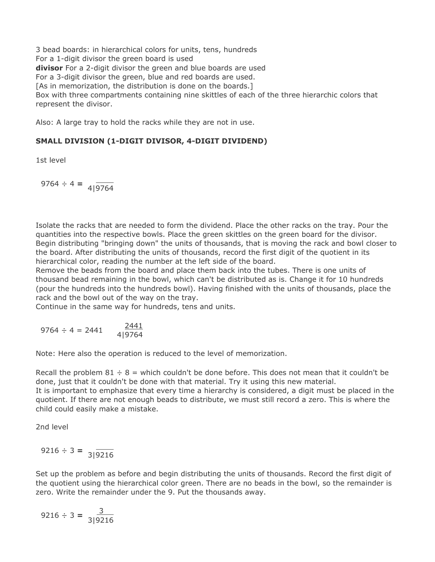3 bead boards: in hierarchical colors for units, tens, hundreds For a 1-digit divisor the green board is used **divisor** For a 2-digit divisor the green and blue boards are used For a 3-digit divisor the green, blue and red boards are used. [As in memorization, the distribution is done on the boards.] Box with three compartments containing nine skittles of each of the three hierarchic colors that represent the divisor.

Also: A large tray to hold the racks while they are not in use.

# **SMALL DIVISION (1-DIGIT DIVISOR, 4-DIGIT DIVIDEND)**

1st level

 $9764 \div 4 = 4\sqrt{9764}$ 

Isolate the racks that are needed to form the dividend. Place the other racks on the tray. Pour the quantities into the respective bowls. Place the green skittles on the green board for the divisor. Begin distributing "bringing down" the units of thousands, that is moving the rack and bowl closer to the board. After distributing the units of thousands, record the first digit of the quotient in its hierarchical color, reading the number at the left side of the board.

Remove the beads from the board and place them back into the tubes. There is one units of thousand bead remaining in the bowl, which can't be distributed as is. Change it for 10 hundreds (pour the hundreds into the hundreds bowl). Having finished with the units of thousands, place the rack and the bowl out of the way on the tray.

Continue in the same way for hundreds, tens and units.

$$
9764 \div 4 = 2441 \qquad \frac{2441}{4|9764}
$$

Note: Here also the operation is reduced to the level of memorization.

Recall the problem  $81 \div 8$  = which couldn't be done before. This does not mean that it couldn't be done, just that it couldn't be done with that material. Try it using this new material. It is important to emphasize that every time a hierarchy is considered, a digit must be placed in the quotient. If there are not enough beads to distribute, we must still record a zero. This is where the child could easily make a mistake.

2nd level

$$
9216 \div 3 = \frac{1}{3|9216}
$$

Set up the problem as before and begin distributing the units of thousands. Record the first digit of the quotient using the hierarchical color green. There are no beads in the bowl, so the remainder is zero. Write the remainder under the 9. Put the thousands away.

$$
9216 \div 3 = \frac{3}{3|9216}
$$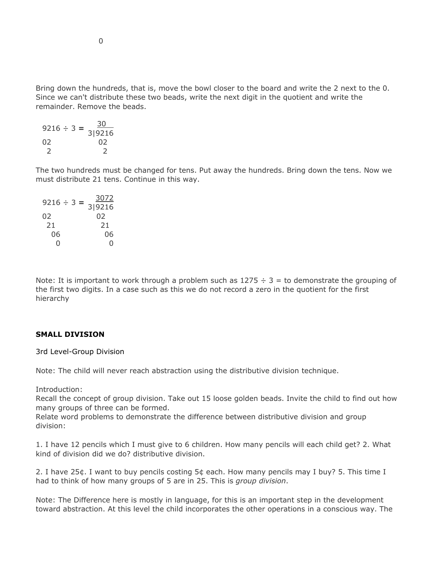Bring down the hundreds, that is, move the bowl closer to the board and write the 2 next to the 0. Since we can't distribute these two beads, write the next digit in the quotient and write the remainder. Remove the beads.

$$
9216 \div 3 = \frac{30}{3|9216}
$$
  
02 02  
2 2

The two hundreds must be changed for tens. Put away the hundreds. Bring down the tens. Now we must distribute 21 tens. Continue in this way.

| $9216 \div 3 =$ | 3072         |
|-----------------|--------------|
| 02              | 3 9216<br>02 |
| 21              | 21           |
| 06              | 06           |
| 0               |              |

Note: It is important to work through a problem such as  $1275 \div 3 =$  to demonstrate the grouping of the first two digits. In a case such as this we do not record a zero in the quotient for the first hierarchy

#### **SMALL DIVISION**

3rd Level-Group Division

Note: The child will never reach abstraction using the distributive division technique.

Introduction:

Recall the concept of group division. Take out 15 loose golden beads. Invite the child to find out how many groups of three can be formed.

Relate word problems to demonstrate the difference between distributive division and group division:

1. I have 12 pencils which I must give to 6 children. How many pencils will each child get? 2. What kind of division did we do? distributive division.

2. I have 25¢. I want to buy pencils costing 5¢ each. How many pencils may I buy? 5. This time I had to think of how many groups of 5 are in 25. This is *group division*.

Note: The Difference here is mostly in language, for this is an important step in the development toward abstraction. At this level the child incorporates the other operations in a conscious way. The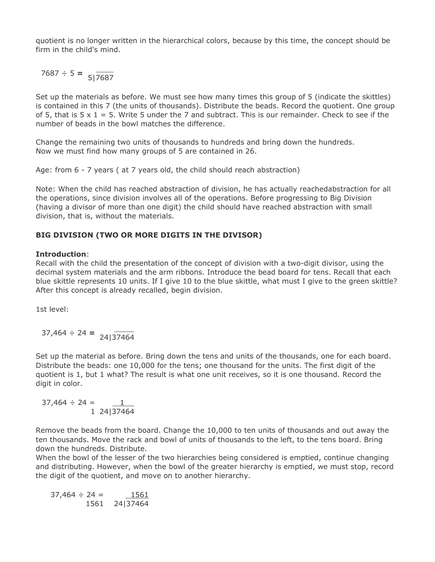quotient is no longer written in the hierarchical colors, because by this time, the concept should be firm in the child's mind.

 $7687 \div 5 = \frac{1}{5} \cdot \frac{1}{7687}$ 

Set up the materials as before. We must see how many times this group of 5 (indicate the skittles) is contained in this 7 (the units of thousands). Distribute the beads. Record the quotient. One group of 5, that is  $5 \times 1 = 5$ . Write 5 under the 7 and subtract. This is our remainder. Check to see if the number of beads in the bowl matches the difference.

Change the remaining two units of thousands to hundreds and bring down the hundreds. Now we must find how many groups of 5 are contained in 26.

Age: from 6 - 7 years ( at 7 years old, the child should reach abstraction)

Note: When the child has reached abstraction of division, he has actually reachedabstraction for all the operations, since division involves all of the operations. Before progressing to Big Division (having a divisor of more than one digit) the child should have reached abstraction with small division, that is, without the materials.

# **BIG DIVISION (TWO OR MORE DIGITS IN THE DIVISOR)**

#### **Introduction**:

Recall with the child the presentation of the concept of division with a two-digit divisor, using the decimal system materials and the arm ribbons. Introduce the bead board for tens. Recall that each blue skittle represents 10 units. If I give 10 to the blue skittle, what must I give to the green skittle? After this concept is already recalled, begin division.

1st level:

$$
37,464 \div 24 = \frac{1}{24|37464}
$$

Set up the material as before. Bring down the tens and units of the thousands, one for each board. Distribute the beads: one 10,000 for the tens; one thousand for the units. The first digit of the quotient is 1, but 1 what? The result is what one unit receives, so it is one thousand. Record the digit in color.

$$
37,464 \div 24 = \underline{1}
$$
  
1 24|37464

Remove the beads from the board. Change the 10,000 to ten units of thousands and out away the ten thousands. Move the rack and bowl of units of thousands to the left, to the tens board. Bring down the hundreds. Distribute.

When the bowl of the lesser of the two hierarchies being considered is emptied, continue changing and distributing. However, when the bowl of the greater hierarchy is emptied, we must stop, record the digit of the quotient, and move on to another hierarchy.

 $37.464 \div 24 =$ 1561 24|374641561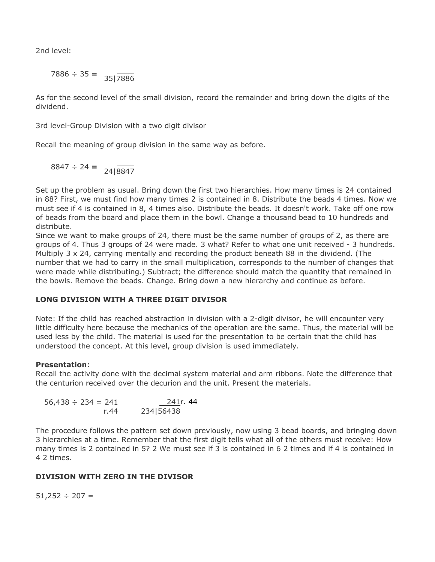2nd level:

$$
7886 \div 35 = \frac{1}{35|7886}
$$

As for the second level of the small division, record the remainder and bring down the digits of the dividend.

3rd level-Group Division with a two digit divisor

Recall the meaning of group division in the same way as before.

$$
8847 \div 24 = 24| \overline{8847}
$$

Set up the problem as usual. Bring down the first two hierarchies. How many times is 24 contained in 88? First, we must find how many times 2 is contained in 8. Distribute the beads 4 times. Now we must see if 4 is contained in 8, 4 times also. Distribute the beads. It doesn't work. Take off one row of beads from the board and place them in the bowl. Change a thousand bead to 10 hundreds and distribute.

Since we want to make groups of 24, there must be the same number of groups of 2, as there are groups of 4. Thus 3 groups of 24 were made. 3 what? Refer to what one unit received - 3 hundreds. Multiply 3 x 24, carrying mentally and recording the product beneath 88 in the dividend. (The number that we had to carry in the small multiplication, corresponds to the number of changes that were made while distributing.) Subtract; the difference should match the quantity that remained in the bowls. Remove the beads. Change. Bring down a new hierarchy and continue as before.

# **LONG DIVISION WITH A THREE DIGIT DIVISOR**

Note: If the child has reached abstraction in division with a 2-digit divisor, he will encounter very little difficulty here because the mechanics of the operation are the same. Thus, the material will be used less by the child. The material is used for the presentation to be certain that the child has understood the concept. At this level, group division is used immediately.

# **Presentation**:

Recall the activity done with the decimal system material and arm ribbons. Note the difference that the centurion received over the decurion and the unit. Present the materials.

 $56,438 \div 234 = 241$ r.44 241r. 44 234|56438

The procedure follows the pattern set down previously, now using 3 bead boards, and bringing down 3 hierarchies at a time. Remember that the first digit tells what all of the others must receive: How many times is 2 contained in 5? 2 We must see if 3 is contained in 6 2 times and if 4 is contained in 4 2 times.

# **DIVISION WITH ZERO IN THE DIVISOR**

 $51,252 \div 207 =$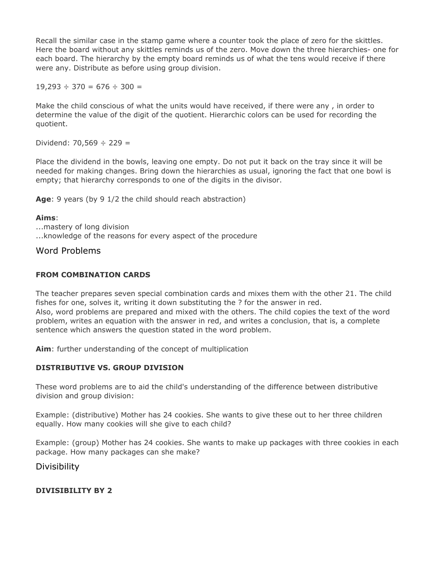Recall the similar case in the stamp game where a counter took the place of zero for the skittles. Here the board without any skittles reminds us of the zero. Move down the three hierarchies- one for each board. The hierarchy by the empty board reminds us of what the tens would receive if there were any. Distribute as before using group division.

 $19,293 \div 370 = 676 \div 300 =$ 

Make the child conscious of what the units would have received, if there were any , in order to determine the value of the digit of the quotient. Hierarchic colors can be used for recording the quotient.

Dividend: 70,569  $\div$  229 =

Place the dividend in the bowls, leaving one empty. Do not put it back on the tray since it will be needed for making changes. Bring down the hierarchies as usual, ignoring the fact that one bowl is empty; that hierarchy corresponds to one of the digits in the divisor.

**Age**: 9 years (by 9 1/2 the child should reach abstraction)

#### **Aims**:

...mastery of long division ...knowledge of the reasons for every aspect of the procedure

## Word Problems

### **FROM COMBINATION CARDS**

The teacher prepares seven special combination cards and mixes them with the other 21. The child fishes for one, solves it, writing it down substituting the ? for the answer in red. Also, word problems are prepared and mixed with the others. The child copies the text of the word problem, writes an equation with the answer in red, and writes a conclusion, that is, a complete sentence which answers the question stated in the word problem.

**Aim**: further understanding of the concept of multiplication

#### **DISTRIBUTIVE VS. GROUP DIVISION**

These word problems are to aid the child's understanding of the difference between distributive division and group division:

Example: (distributive) Mother has 24 cookies. She wants to give these out to her three children equally. How many cookies will she give to each child?

Example: (group) Mother has 24 cookies. She wants to make up packages with three cookies in each package. How many packages can she make?

**Divisibility** 

#### **DIVISIBILITY BY 2**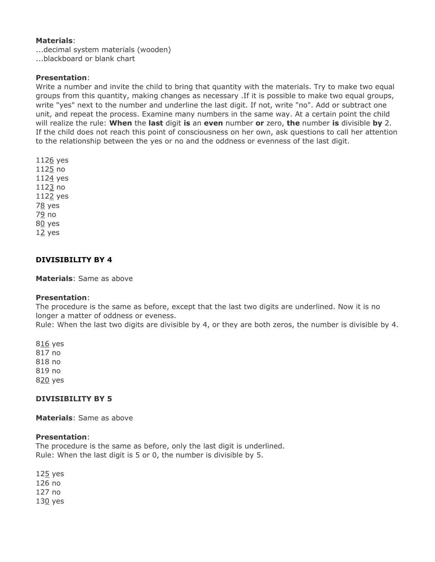#### **Materials**:

...decimal system materials (wooden) ...blackboard or blank chart

## **Presentation**:

Write a number and invite the child to bring that quantity with the materials. Try to make two equal groups from this quantity, making changes as necessary .If it is possible to make two equal groups, write "yes" next to the number and underline the last digit. If not, write "no". Add or subtract one unit, and repeat the process. Examine many numbers in the same way. At a certain point the child will realize the rule: **When** the **last** digit **is** an **even** number **or** zero, **the** number **is** divisible **by** 2. If the child does not reach this point of consciousness on her own, ask questions to call her attention to the relationship between the yes or no and the oddness or evenness of the last digit.

1126 yes 1125 no 1124 yes 1123 no 1122 yes 78 yes 79 no 80 yes  $12$  yes

## **DIVISIBILITY BY 4**

**Materials**: Same as above

#### **Presentation**:

The procedure is the same as before, except that the last two digits are underlined. Now it is no longer a matter of oddness or eveness.

Rule: When the last two digits are divisible by 4, or they are both zeros, the number is divisible by 4.

816 yes 817 no 818 no 819 no 820 yes

## **DIVISIBILITY BY 5**

**Materials**: Same as above

#### **Presentation**:

The procedure is the same as before, only the last digit is underlined. Rule: When the last digit is 5 or 0, the number is divisible by 5.

125 yes 126 no 127 no 130 yes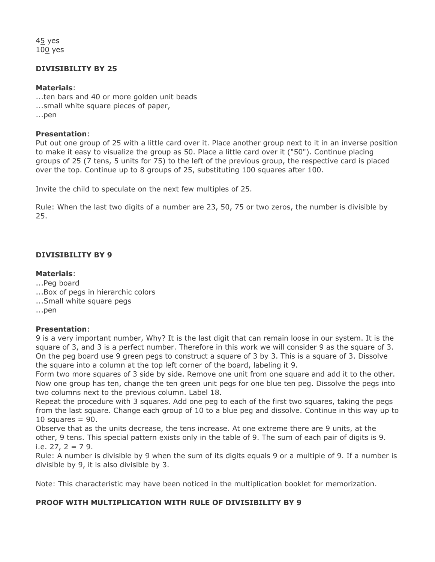45 yes 100 yes

## **DIVISIBILITY BY 25**

#### **Materials**:

...ten bars and 40 or more golden unit beads ...small white square pieces of paper, ...pen

#### **Presentation**:

Put out one group of 25 with a little card over it. Place another group next to it in an inverse position to make it easy to visualize the group as 50. Place a little card over it ("50"). Continue placing groups of 25 (7 tens, 5 units for 75) to the left of the previous group, the respective card is placed over the top. Continue up to 8 groups of 25, substituting 100 squares after 100.

Invite the child to speculate on the next few multiples of 25.

Rule: When the last two digits of a number are 23, 50, 75 or two zeros, the number is divisible by 25.

## **DIVISIBILITY BY 9**

### **Materials**:

- ...Peg board
- ...Box of pegs in hierarchic colors
- ...Small white square pegs

...pen

## **Presentation**:

9 is a very important number, Why? It is the last digit that can remain loose in our system. It is the square of 3, and 3 is a perfect number. Therefore in this work we will consider 9 as the square of 3. On the peg board use 9 green pegs to construct a square of 3 by 3. This is a square of 3. Dissolve the square into a column at the top left corner of the board, labeling it 9.

Form two more squares of 3 side by side. Remove one unit from one square and add it to the other. Now one group has ten, change the ten green unit pegs for one blue ten peg. Dissolve the pegs into two columns next to the previous column. Label 18.

Repeat the procedure with 3 squares. Add one peg to each of the first two squares, taking the pegs from the last square. Change each group of 10 to a blue peg and dissolve. Continue in this way up to 10 squares  $= 90$ .

Observe that as the units decrease, the tens increase. At one extreme there are 9 units, at the other, 9 tens. This special pattern exists only in the table of 9. The sum of each pair of digits is 9. i.e.  $27.2 = 7.9$ .

Rule: A number is divisible by 9 when the sum of its digits equals 9 or a multiple of 9. If a number is divisible by 9, it is also divisible by 3.

Note: This characteristic may have been noticed in the multiplication booklet for memorization.

## **PROOF WITH MULTIPLICATION WITH RULE OF DIVISIBILITY BY 9**